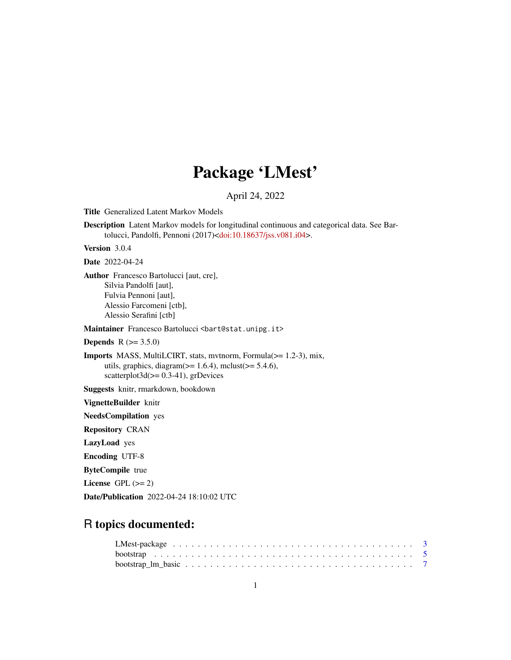# Package 'LMest'

April 24, 2022

Title Generalized Latent Markov Models

Description Latent Markov models for longitudinal continuous and categorical data. See Bartolucci, Pandolfi, Pennoni (2017)[<doi:10.18637/jss.v081.i04>](https://doi.org/10.18637/jss.v081.i04).

Version 3.0.4

Date 2022-04-24

Author Francesco Bartolucci [aut, cre], Silvia Pandolfi [aut], Fulvia Pennoni [aut], Alessio Farcomeni [ctb], Alessio Serafini [ctb]

Maintainer Francesco Bartolucci <br/>bart@stat.unipg.it>

**Depends** R  $(>= 3.5.0)$ 

Imports MASS, MultiLCIRT, stats, mvtnorm, Formula(>= 1.2-3), mix, utils, graphics, diagram( $>= 1.6.4$ ), mclust( $>= 5.4.6$ ), scatterplot $3d(>= 0.3-41)$ , grDevices

Suggests knitr, rmarkdown, bookdown

VignetteBuilder knitr

NeedsCompilation yes

Repository CRAN

LazyLoad yes

Encoding UTF-8

ByteCompile true

License GPL  $(>= 2)$ 

Date/Publication 2022-04-24 18:10:02 UTC

# R topics documented: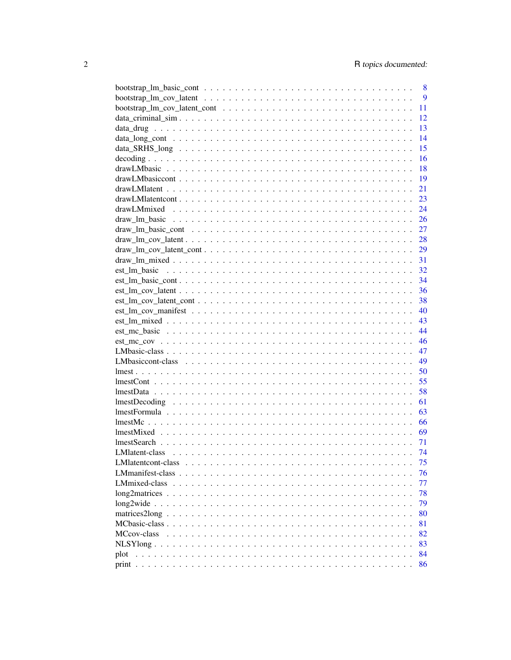|                                                                                                                              | 8 |
|------------------------------------------------------------------------------------------------------------------------------|---|
|                                                                                                                              | 9 |
| 11                                                                                                                           |   |
| 12                                                                                                                           |   |
| 13                                                                                                                           |   |
| 14                                                                                                                           |   |
| 15                                                                                                                           |   |
| 16                                                                                                                           |   |
| 18                                                                                                                           |   |
| 19                                                                                                                           |   |
| 21                                                                                                                           |   |
|                                                                                                                              |   |
|                                                                                                                              |   |
|                                                                                                                              |   |
|                                                                                                                              |   |
|                                                                                                                              |   |
|                                                                                                                              |   |
|                                                                                                                              |   |
|                                                                                                                              |   |
|                                                                                                                              |   |
|                                                                                                                              |   |
| $est\_lm\_cov\_latent\_cont \dots \dots \dots \dots \dots \dots \dots \dots \dots \dots \dots \dots \dots \dots \dots \dots$ |   |
| 40                                                                                                                           |   |
| 43                                                                                                                           |   |
| 44                                                                                                                           |   |
|                                                                                                                              |   |
| 47                                                                                                                           |   |
|                                                                                                                              |   |
| 50                                                                                                                           |   |
| 55                                                                                                                           |   |
| 58                                                                                                                           |   |
| 61                                                                                                                           |   |
| 63                                                                                                                           |   |
| 66                                                                                                                           |   |
| $lmeshMixed \dots \dots \dots \dots \dots \dots \dots \dots \dots \dots \dots \dots \dots \dots \dots \dots$<br>69           |   |
| 71                                                                                                                           |   |
| 74                                                                                                                           |   |
| 75                                                                                                                           |   |
| 76                                                                                                                           |   |
| 77                                                                                                                           |   |
| 78                                                                                                                           |   |
| 79                                                                                                                           |   |
| 80                                                                                                                           |   |
| 81                                                                                                                           |   |
| MCcov-class<br>82                                                                                                            |   |
| 83                                                                                                                           |   |
| 84<br>plot                                                                                                                   |   |
| 86                                                                                                                           |   |
|                                                                                                                              |   |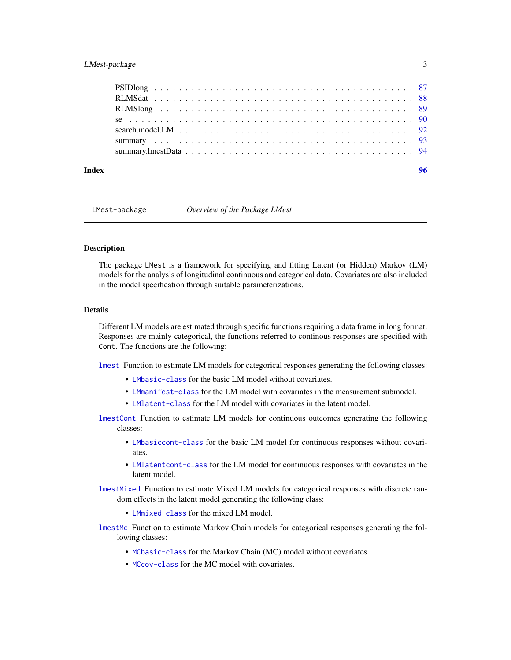# <span id="page-2-0"></span>LMest-package 3

| Index | 96 |
|-------|----|
|       |    |
|       |    |
|       |    |
|       |    |
|       |    |
|       |    |
|       |    |
|       |    |

LMest-package *Overview of the Package LMest*

#### Description

The package LMest is a framework for specifying and fitting Latent (or Hidden) Markov (LM) models for the analysis of longitudinal continuous and categorical data. Covariates are also included in the model specification through suitable parameterizations.

#### Details

Different LM models are estimated through specific functions requiring a data frame in long format. Responses are mainly categorical, the functions referred to continous responses are specified with Cont. The functions are the following:

[lmest](#page-49-1) Function to estimate LM models for categorical responses generating the following classes:

- [LMbasic-class](#page-46-1) for the basic LM model without covariates.
- [LMmanifest-class](#page-75-1) for the LM model with covariates in the measurement submodel.
- [LMlatent-class](#page-73-1) for the LM model with covariates in the latent model.

[lmestCont](#page-54-1) Function to estimate LM models for continuous outcomes generating the following classes:

- [LMbasiccont-class](#page-48-1) for the basic LM model for continuous responses without covariates.
- [LMlatentcont-class](#page-74-1) for the LM model for continuous responses with covariates in the latent model.

[lmestMixed](#page-68-1) Function to estimate Mixed LM models for categorical responses with discrete random effects in the latent model generating the following class:

- [LMmixed-class](#page-76-1) for the mixed LM model.
- [lmestMc](#page-65-1) Function to estimate Markov Chain models for categorical responses generating the following classes:
	- [MCbasic-class](#page-80-1) for the Markov Chain (MC) model without covariates.
	- [MCcov-class](#page-81-1) for the MC model with covariates.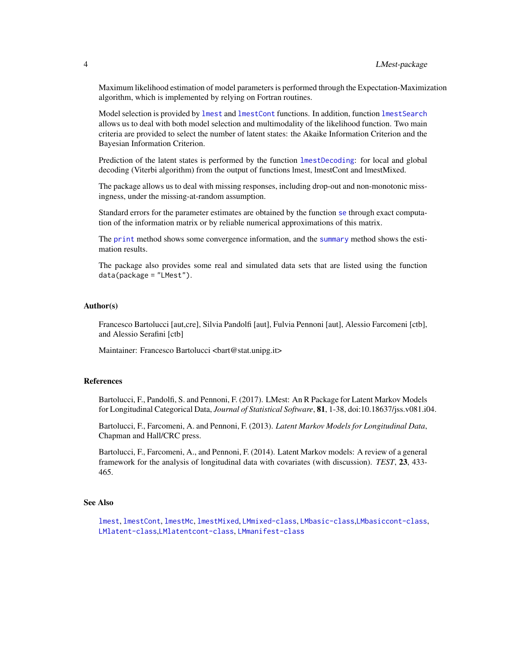Maximum likelihood estimation of model parameters is performed through the Expectation-Maximization algorithm, which is implemented by relying on Fortran routines.

Model selection is provided by [lmest](#page-49-1) and [lmestCont](#page-54-1) functions. In addition, function [lmestSearch](#page-70-1) allows us to deal with both model selection and multimodality of the likelihood function. Two main criteria are provided to select the number of latent states: the Akaike Information Criterion and the Bayesian Information Criterion.

Prediction of the latent states is performed by the function [lmestDecoding](#page-60-1): for local and global decoding (Viterbi algorithm) from the output of functions lmest, lmestCont and lmestMixed.

The package allows us to deal with missing responses, including drop-out and non-monotonic missingness, under the missing-at-random assumption.

Standard errors for the parameter estimates are obtained by the function [se](#page-89-1) through exact computation of the information matrix or by reliable numerical approximations of this matrix.

The [print](#page-85-1) method shows some convergence information, and the [summary](#page-92-1) method shows the estimation results.

The package also provides some real and simulated data sets that are listed using the function data(package = "LMest").

#### Author(s)

Francesco Bartolucci [aut,cre], Silvia Pandolfi [aut], Fulvia Pennoni [aut], Alessio Farcomeni [ctb], and Alessio Serafini [ctb]

Maintainer: Francesco Bartolucci <br/>bart@stat.unipg.it>

#### References

Bartolucci, F., Pandolfi, S. and Pennoni, F. (2017). LMest: An R Package for Latent Markov Models for Longitudinal Categorical Data, *Journal of Statistical Software*, 81, 1-38, doi:10.18637/jss.v081.i04.

Bartolucci, F., Farcomeni, A. and Pennoni, F. (2013). *Latent Markov Models for Longitudinal Data*, Chapman and Hall/CRC press.

Bartolucci, F., Farcomeni, A., and Pennoni, F. (2014). Latent Markov models: A review of a general framework for the analysis of longitudinal data with covariates (with discussion). *TEST*, 23, 433- 465.

#### See Also

[lmest](#page-49-1), [lmestCont](#page-54-1), [lmestMc](#page-65-1), [lmestMixed](#page-68-1), [LMmixed-class](#page-76-1), [LMbasic-class](#page-46-1),[LMbasiccont-class](#page-48-1), [LMlatent-class](#page-73-1),[LMlatentcont-class](#page-74-1), [LMmanifest-class](#page-75-1)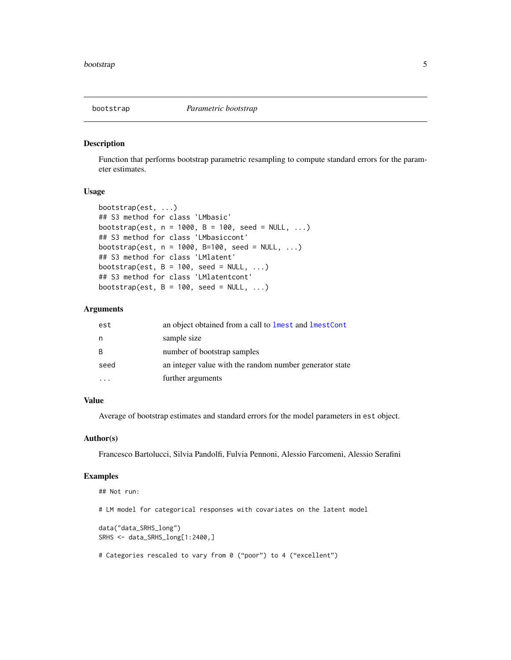<span id="page-4-1"></span><span id="page-4-0"></span>

#### Description

Function that performs bootstrap parametric resampling to compute standard errors for the parameter estimates.

# Usage

```
bootstrap(est, ...)
## S3 method for class 'LMbasic'
bootstrap(est, n = 1000, B = 100, seed = NULL, ...)
## S3 method for class 'LMbasiccont'
bootstrap(est, n = 1000, B=100, seed = NULL, ...)
## S3 method for class 'LMlatent'
bootstrap(est, B = 100, seed = NULL, ...)
## S3 method for class 'LMlatentcont'
bootstrap(est, B = 100, seed = NULL, ...)
```
#### Arguments

| est  | an object obtained from a call to lmest and lmestCont   |
|------|---------------------------------------------------------|
| n    | sample size                                             |
| R    | number of bootstrap samples                             |
| seed | an integer value with the random number generator state |
|      | further arguments                                       |

#### Value

Average of bootstrap estimates and standard errors for the model parameters in est object.

#### Author(s)

Francesco Bartolucci, Silvia Pandolfi, Fulvia Pennoni, Alessio Farcomeni, Alessio Serafini

```
## Not run:
# LM model for categorical responses with covariates on the latent model
data("data_SRHS_long")
SRHS <- data_SRHS_long[1:2400,]
# Categories rescaled to vary from 0 ("poor") to 4 ("excellent")
```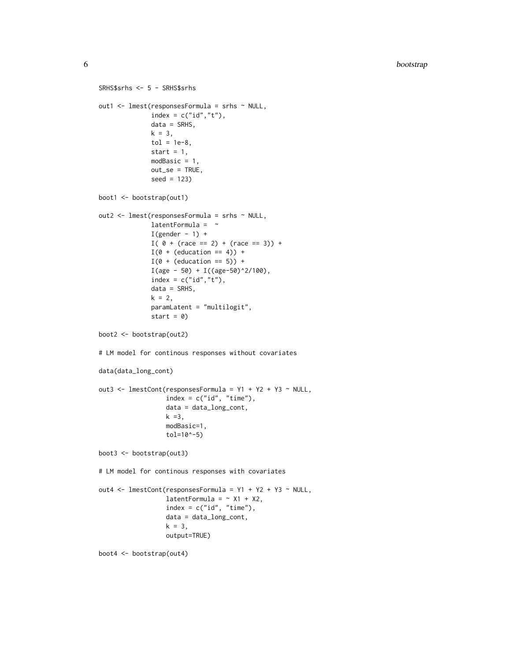```
SRHS$srhs <- 5 - SRHS$srhs
out1 <- lmest(responsesFormula = srhs ~ NULL,
              index = c("id", "t"),
              data = SRHS,
              k = 3,
              tol = 1e-8,start = 1,
              modBasic = 1,
              out_se = TRUE,
              seed = 123)
boot1 <- bootstrap(out1)
out2 <- lmest(responsesFormula = srhs ~ NULL,
              latentFormula = \simI(gender - 1) +I( 0 + (race == 2) + (race == 3)) +I(\emptyset + (education == 4)) +I(\emptyset + (education == 5)) +I(age - 50) + I((age - 50)^2/100),index = c("id", "t"),
              data = SRHS,
              k = 2,paramLatent = "multilogit",
              start = 0)boot2 <- bootstrap(out2)
# LM model for continous responses without covariates
data(data_long_cont)
out3 <- lmestCont(responsesFormula = Y1 + Y2 + Y3 ~ NULL,
                  index = c("id", "time"),data = data_long_cont,
                  k = 3,
                  modBasic=1,
                  tol=10^-5)
boot3 <- bootstrap(out3)
# LM model for continous responses with covariates
out4 <- lmestCont(responsesFormula = Y1 + Y2 + Y3 ~ NULL,
                  latentFormula = ~\sim X1 + X2,
                  index = c("id", "time"),data = data_long_cont,
                  k = 3,
                  output=TRUE)
boot4 <- bootstrap(out4)
```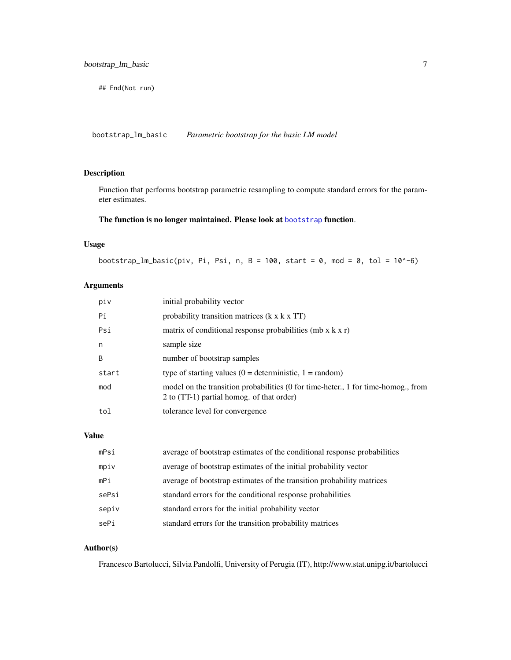<span id="page-6-0"></span>## End(Not run)

bootstrap\_lm\_basic *Parametric bootstrap for the basic LM model*

# Description

Function that performs bootstrap parametric resampling to compute standard errors for the parameter estimates.

# The function is no longer maintained. Please look at [bootstrap](#page-4-1) function.

## Usage

```
bootstrap_lm_basic(piv, Pi, Psi, n, B = 100, start = 0, mod = 0, tol = 10^-6)
```
# Arguments

| piv   | initial probability vector                                                                                                     |
|-------|--------------------------------------------------------------------------------------------------------------------------------|
| Pi    | probability transition matrices $(k \times k \times TT)$                                                                       |
| Psi   | matrix of conditional response probabilities (mb $x$ k $x$ r)                                                                  |
| n     | sample size                                                                                                                    |
| B     | number of bootstrap samples                                                                                                    |
| start | type of starting values $(0 =$ deterministic, $1 =$ random)                                                                    |
| mod   | model on the transition probabilities (0 for time-heter., 1 for time-homog., from<br>2 to (TT-1) partial homog. of that order) |
| tol   | tolerance level for convergence                                                                                                |

# Value

| mPsi  | average of bootstrap estimates of the conditional response probabilities |
|-------|--------------------------------------------------------------------------|
| mpiv  | average of bootstrap estimates of the initial probability vector         |
| mPi   | average of bootstrap estimates of the transition probability matrices    |
| sePsi | standard errors for the conditional response probabilities               |
| sepiv | standard errors for the initial probability vector                       |
| sePi  | standard errors for the transition probability matrices                  |

## Author(s)

Francesco Bartolucci, Silvia Pandolfi, University of Perugia (IT), http://www.stat.unipg.it/bartolucci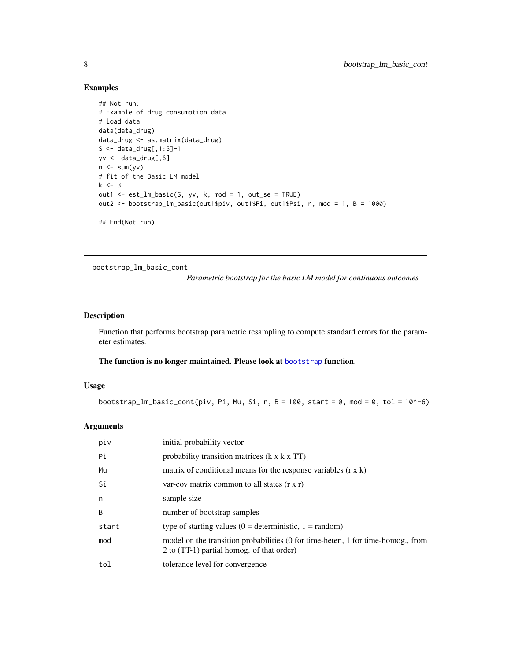# Examples

```
## Not run:
# Example of drug consumption data
# load data
data(data_drug)
data_drug <- as.matrix(data_drug)
S \leq - data_drug[,1:5]-1
yv <- data_drug[,6]
n \leq -\text{sum}(yv)# fit of the Basic LM model
k < -3out1 <- est_lm_basic(S, yv, k, mod = 1, out_se = TRUE)
out2 <- bootstrap_lm_basic(out1$piv, out1$Pi, out1$Psi, n, mod = 1, B = 1000)
## End(Not run)
```
bootstrap\_lm\_basic\_cont

*Parametric bootstrap for the basic LM model for continuous outcomes*

# Description

Function that performs bootstrap parametric resampling to compute standard errors for the parameter estimates.

# The function is no longer maintained. Please look at [bootstrap](#page-4-1) function.

# Usage

bootstrap\_lm\_basic\_cont(piv, Pi, Mu, Si, n, B = 100, start = 0, mod = 0, tol = 10^-6)

| piv   | initial probability vector                                                                                                     |
|-------|--------------------------------------------------------------------------------------------------------------------------------|
| Pi    | probability transition matrices $(k \times k \times TT)$                                                                       |
| Mu    | matrix of conditional means for the response variables $(r \times k)$                                                          |
| Si    | var-cov matrix common to all states $(r x r)$                                                                                  |
| n     | sample size                                                                                                                    |
| B     | number of bootstrap samples                                                                                                    |
| start | type of starting values $(0 =$ deterministic, $1 =$ random)                                                                    |
| mod   | model on the transition probabilities (0 for time-heter., 1 for time-homog., from<br>2 to (TT-1) partial homog. of that order) |
| tol   | tolerance level for convergence                                                                                                |

<span id="page-7-0"></span>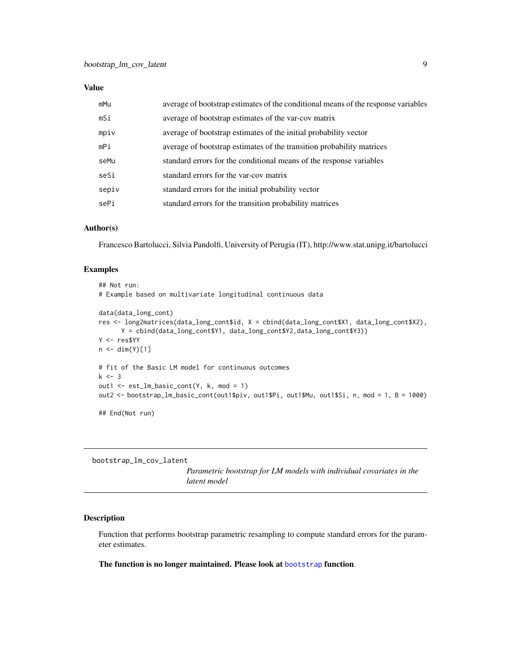<span id="page-8-0"></span>

| mMu   | average of bootstrap estimates of the conditional means of the response variables |
|-------|-----------------------------------------------------------------------------------|
| mSi   | average of bootstrap estimates of the var-cov matrix                              |
| mpiv  | average of bootstrap estimates of the initial probability vector                  |
| mPi   | average of bootstrap estimates of the transition probability matrices             |
| seMu  | standard errors for the conditional means of the response variables               |
| seSi  | standard errors for the var-cov matrix                                            |
| sepiv | standard errors for the initial probability vector                                |
| sePi  | standard errors for the transition probability matrices                           |

#### Author(s)

Francesco Bartolucci, Silvia Pandolfi, University of Perugia (IT), http://www.stat.unipg.it/bartolucci

#### Examples

```
## Not run:
# Example based on multivariate longitudinal continuous data
data(data_long_cont)
res <- long2matrices(data_long_cont$id, X = cbind(data_long_cont$X1, data_long_cont$X2),
      Y = cbind(data_long_cont$Y1, data_long_cont$Y2,data_long_cont$Y3))
Y <- res$YY
n < - dim(Y)[1]
# fit of the Basic LM model for continuous outcomes
k < -3out1 <- est_lm_basic_cont(Y, k, mod = 1)
out2 <- bootstrap_lm_basic_cont(out1$piv, out1$Pi, out1$Mu, out1$Si, n, mod = 1, B = 1000)
```
## End(Not run)

bootstrap\_lm\_cov\_latent

*Parametric bootstrap for LM models with individual covariates in the latent model*

# Description

Function that performs bootstrap parametric resampling to compute standard errors for the parameter estimates.

The function is no longer maintained. Please look at [bootstrap](#page-4-1) function.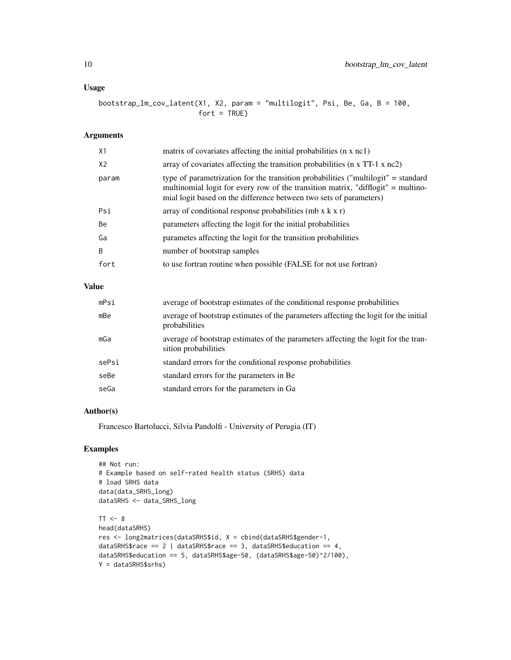# Usage

bootstrap\_lm\_cov\_latent(X1, X2, param = "multilogit", Psi, Be, Ga, B = 100,  $fort = TRUE$ )

# Arguments

| X1             | matrix of covariates affecting the initial probabilities (n x nc1)                                                                                                                                                                          |
|----------------|---------------------------------------------------------------------------------------------------------------------------------------------------------------------------------------------------------------------------------------------|
| X <sub>2</sub> | array of covariates affecting the transition probabilities ( $n \times TT-1 \times nc2$ )                                                                                                                                                   |
| param          | type of parametrization for the transition probabilities ("multilogit" = standard<br>multinomial logit for every row of the transition matrix, "difflogit" = multino-<br>mial logit based on the difference between two sets of parameters) |
| Psi            | array of conditional response probabilities (mb $x$ k $x$ r)                                                                                                                                                                                |
| Be             | parameters affecting the logit for the initial probabilities                                                                                                                                                                                |
| Ga             | parametes affecting the logit for the transition probabilities                                                                                                                                                                              |
| <sup>B</sup>   | number of bootstrap samples                                                                                                                                                                                                                 |
| fort           | to use fortran routine when possible (FALSE for not use fortran)                                                                                                                                                                            |

# Value

| mPsi  | average of bootstrap estimates of the conditional response probabilities                                   |
|-------|------------------------------------------------------------------------------------------------------------|
| mBe   | average of bootstrap estimates of the parameters affecting the logit for the initial<br>probabilities      |
| mGa   | average of bootstrap estimates of the parameters affecting the logit for the tran-<br>sition probabilities |
| sePsi | standard errors for the conditional response probabilities                                                 |
| seBe  | standard errors for the parameters in Be.                                                                  |
| seGa  | standard errors for the parameters in Ga                                                                   |

#### Author(s)

Francesco Bartolucci, Silvia Pandolfi - University of Perugia (IT)

```
## Not run:
# Example based on self-rated health status (SRHS) data
# load SRHS data
data(data_SRHS_long)
dataSRHS <- data_SRHS_long
TT < - 8head(dataSRHS)
res <- long2matrices(dataSRHS$id, X = cbind(dataSRHS$gender-1,
dataSRHS$race == 2 \mid dataSRHS$race == 3, dataSRHS$education == 4,
dataSRHS$education == 5, dataSRHS$age-50, (dataSRHS$age-50)^2/100),
Y = dataSRHS$srhs)
```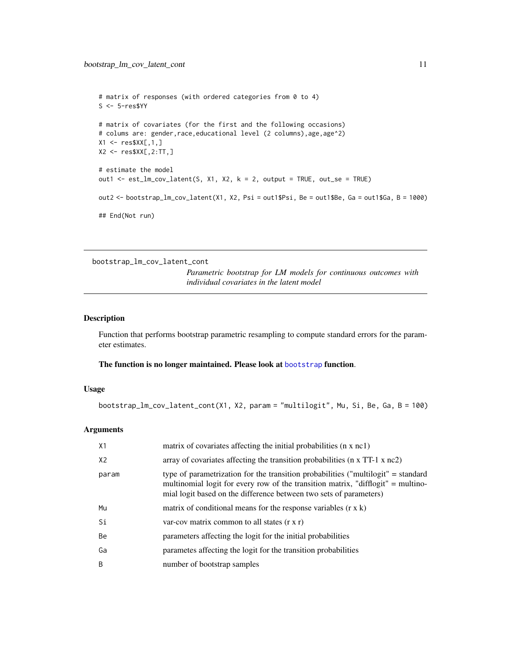```
# matrix of responses (with ordered categories from 0 to 4)
S <- 5-res$YY
# matrix of covariates (for the first and the following occasions)
# colums are: gender,race,educational level (2 columns),age,age^2)
X1 <- res$XX[,1,]\X2 <- res$XX[,2:TT,]
# estimate the model
out1 <- est_lm_cov_latent(S, X1, X2, k = 2, output = TRUE, out_se = TRUE)
out2 <- bootstrap_lm_cov_latent(X1, X2, Psi = out1$Psi, Be = out1$Be, Ga = out1$Ga, B = 1000)
## End(Not run)
```
bootstrap\_lm\_cov\_latent\_cont

*Parametric bootstrap for LM models for continuous outcomes with individual covariates in the latent model*

#### Description

Function that performs bootstrap parametric resampling to compute standard errors for the parameter estimates.

#### The function is no longer maintained. Please look at [bootstrap](#page-4-1) function.

# Usage

bootstrap\_lm\_cov\_latent\_cont(X1, X2, param = "multilogit", Mu, Si, Be, Ga, B = 100)

| X1    | matrix of covariates affecting the initial probabilities (n x nc1)                                                                                                                                                                          |
|-------|---------------------------------------------------------------------------------------------------------------------------------------------------------------------------------------------------------------------------------------------|
| X2    | array of covariates affecting the transition probabilities ( $n \times TT-1 \times nc2$ )                                                                                                                                                   |
| param | type of parametrization for the transition probabilities ("multilogit" = standard<br>multinomial logit for every row of the transition matrix, "difflogit" = multino-<br>mial logit based on the difference between two sets of parameters) |
| Mu    | matrix of conditional means for the response variables $(r \times k)$                                                                                                                                                                       |
| Si    | var-cov matrix common to all states $(r x r)$                                                                                                                                                                                               |
| Be    | parameters affecting the logit for the initial probabilities                                                                                                                                                                                |
| Ga    | parametes affecting the logit for the transition probabilities                                                                                                                                                                              |
| B     | number of bootstrap samples                                                                                                                                                                                                                 |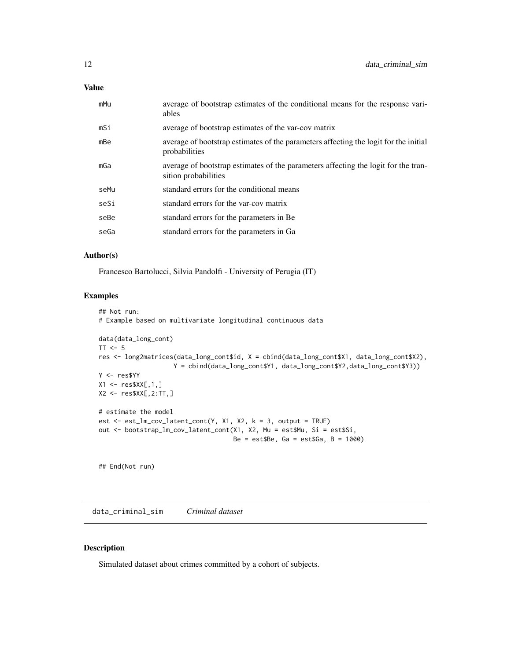<span id="page-11-0"></span>

| mMu  | average of bootstrap estimates of the conditional means for the response vari-<br>ables                    |
|------|------------------------------------------------------------------------------------------------------------|
| mSi  | average of bootstrap estimates of the var-cov matrix                                                       |
| mBe  | average of bootstrap estimates of the parameters affecting the logit for the initial<br>probabilities      |
| mGa  | average of bootstrap estimates of the parameters affecting the logit for the tran-<br>sition probabilities |
| seMu | standard errors for the conditional means                                                                  |
| seSi | standard errors for the var-cov matrix                                                                     |
| seBe | standard errors for the parameters in Be.                                                                  |
| seGa | standard errors for the parameters in Ga                                                                   |
|      |                                                                                                            |

# Author(s)

Francesco Bartolucci, Silvia Pandolfi - University of Perugia (IT)

# Examples

```
## Not run:
# Example based on multivariate longitudinal continuous data
data(data_long_cont)
TT < -5res <- long2matrices(data_long_cont$id, X = cbind(data_long_cont$X1, data_long_cont$X2),
                    Y = cbind(data_long_cont$Y1, data_long_cont$Y2,data_long_cont$Y3))
Y <- res$YY
X1 \leftarrow \text{res}$XX[,1,]
X2 <- res$XX[,2:TT,]
# estimate the model
est \le est_lm_cov_latent_cont(Y, X1, X2, k = 3, output = TRUE)
out <- bootstrap_lm_cov_latent_cont(X1, X2, Mu = est$Mu, Si = est$Si,
                                     Be = est$Be, Ga = est$Ga, B = 1000)
## End(Not run)
```
data\_criminal\_sim *Criminal dataset*

# Description

Simulated dataset about crimes committed by a cohort of subjects.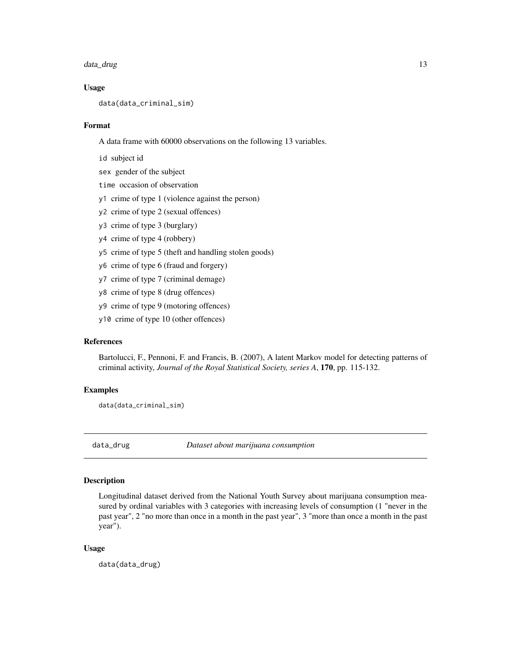#### <span id="page-12-0"></span>data\_drug 13

#### Usage

data(data\_criminal\_sim)

#### Format

A data frame with 60000 observations on the following 13 variables.

- id subject id
- sex gender of the subject
- time occasion of observation
- y1 crime of type 1 (violence against the person)
- y2 crime of type 2 (sexual offences)
- y3 crime of type 3 (burglary)
- y4 crime of type 4 (robbery)
- y5 crime of type 5 (theft and handling stolen goods)
- y6 crime of type 6 (fraud and forgery)
- y7 crime of type 7 (criminal demage)
- y8 crime of type 8 (drug offences)
- y9 crime of type 9 (motoring offences)
- y10 crime of type 10 (other offences)

# References

Bartolucci, F., Pennoni, F. and Francis, B. (2007), A latent Markov model for detecting patterns of criminal activity, *Journal of the Royal Statistical Society, series A*, 170, pp. 115-132.

# Examples

```
data(data_criminal_sim)
```
data\_drug *Dataset about marijuana consumption*

# Description

Longitudinal dataset derived from the National Youth Survey about marijuana consumption measured by ordinal variables with 3 categories with increasing levels of consumption (1 "never in the past year", 2 "no more than once in a month in the past year", 3 "more than once a month in the past year").

#### Usage

data(data\_drug)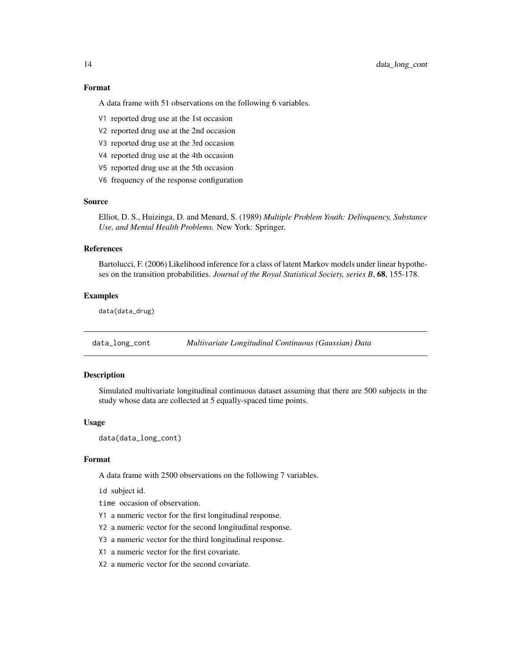#### Format

A data frame with 51 observations on the following 6 variables.

- V1 reported drug use at the 1st occasion
- V2 reported drug use at the 2nd occasion
- V3 reported drug use at the 3rd occasion
- V4 reported drug use at the 4th occasion
- V5 reported drug use at the 5th occasion
- V6 frequency of the response configuration

#### Source

Elliot, D. S., Huizinga, D. and Menard, S. (1989) *Multiple Problem Youth: Delinquency, Substance Use, and Mental Health Problems.* New York: Springer.

#### References

Bartolucci, F. (2006) Likelihood inference for a class of latent Markov models under linear hypotheses on the transition probabilities. *Journal of the Royal Statistical Society, series B*, 68, 155-178.

#### Examples

data(data\_drug)

data\_long\_cont *Multivariate Longitudinal Continuous (Gaussian) Data*

# Description

Simulated multivariate longitudinal continuous dataset assuming that there are 500 subjects in the study whose data are collected at 5 equally-spaced time points.

#### Usage

```
data(data_long_cont)
```
#### Format

A data frame with 2500 observations on the following 7 variables.

id subject id.

time occasion of observation.

- Y1 a numeric vector for the first longitudinal response.
- Y2 a numeric vector for the second longitudinal response.
- Y3 a numeric vector for the third longitudinal response.
- X1 a numeric vector for the first covariate.
- X2 a numeric vector for the second covariate.

<span id="page-13-0"></span>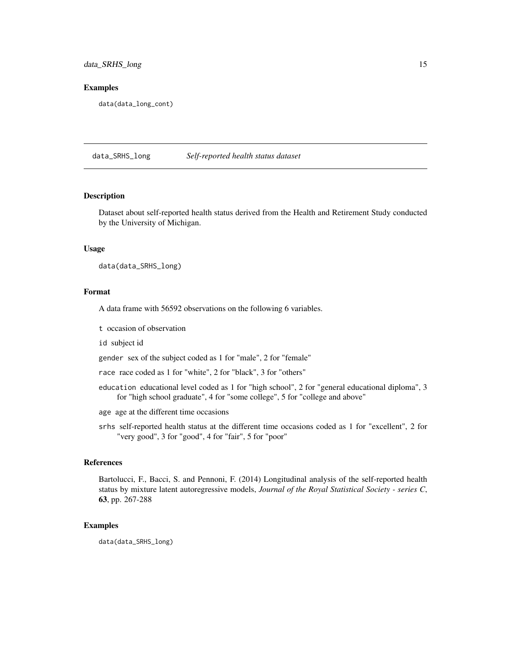# <span id="page-14-0"></span>data\_SRHS\_long 15

#### Examples

data(data\_long\_cont)

data\_SRHS\_long *Self-reported health status dataset*

#### Description

Dataset about self-reported health status derived from the Health and Retirement Study conducted by the University of Michigan.

#### Usage

data(data\_SRHS\_long)

#### Format

A data frame with 56592 observations on the following 6 variables.

t occasion of observation

id subject id

gender sex of the subject coded as 1 for "male", 2 for "female"

race race coded as 1 for "white", 2 for "black", 3 for "others"

- education educational level coded as 1 for "high school", 2 for "general educational diploma", 3 for "high school graduate", 4 for "some college", 5 for "college and above"
- age age at the different time occasions
- srhs self-reported health status at the different time occasions coded as 1 for "excellent", 2 for "very good", 3 for "good", 4 for "fair", 5 for "poor"

#### References

Bartolucci, F., Bacci, S. and Pennoni, F. (2014) Longitudinal analysis of the self-reported health status by mixture latent autoregressive models, *Journal of the Royal Statistical Society - series C*, 63, pp. 267-288

#### Examples

data(data\_SRHS\_long)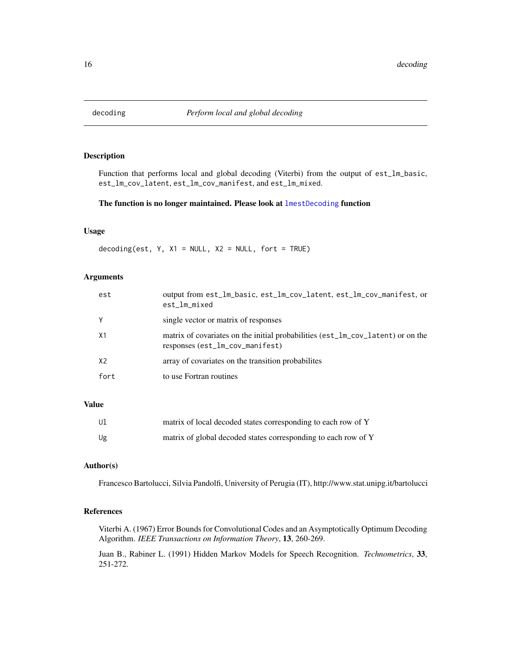<span id="page-15-0"></span>

# Description

Function that performs local and global decoding (Viterbi) from the output of est\_lm\_basic, est\_lm\_cov\_latent, est\_lm\_cov\_manifest, and est\_lm\_mixed.

#### The function is no longer maintained. Please look at [lmestDecoding](#page-60-1) function

#### Usage

decoding(est,  $Y$ ,  $X1 = NULL$ ,  $X2 = NULL$ , fort = TRUE)

#### Arguments

| est  | output from est_lm_basic, est_lm_cov_latent, est_lm_cov_manifest, or<br>est_lm_mixed                               |
|------|--------------------------------------------------------------------------------------------------------------------|
|      | single vector or matrix of responses                                                                               |
| X1   | matrix of covariates on the initial probabilities (est_lm_cov_latent) or on the<br>responses (est_lm_cov_manifest) |
| X2   | array of covariates on the transition probabilities                                                                |
| fort | to use Fortran routines                                                                                            |
|      |                                                                                                                    |

# Value

| Ul. | matrix of local decoded states corresponding to each row of Y  |
|-----|----------------------------------------------------------------|
| Ug  | matrix of global decoded states corresponding to each row of Y |

# Author(s)

Francesco Bartolucci, Silvia Pandolfi, University of Perugia (IT), http://www.stat.unipg.it/bartolucci

# References

Viterbi A. (1967) Error Bounds for Convolutional Codes and an Asymptotically Optimum Decoding Algorithm. *IEEE Transactions on Information Theory*, 13, 260-269.

Juan B., Rabiner L. (1991) Hidden Markov Models for Speech Recognition. *Technometrics*, 33, 251-272.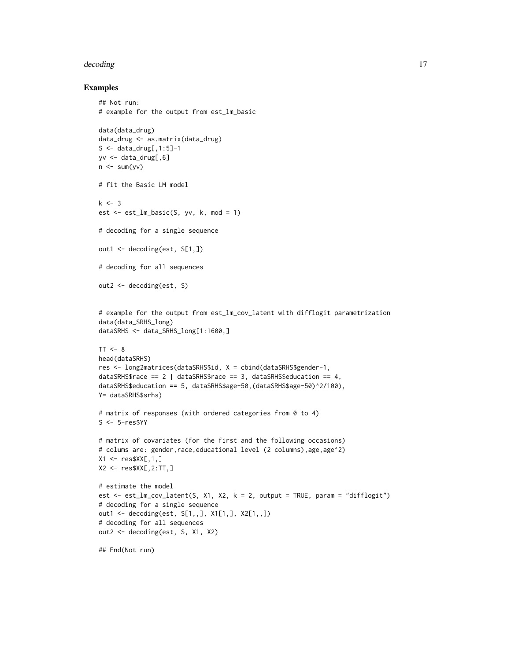#### decoding the control of the control of the control of the control of the control of the control of the control of the control of the control of the control of the control of the control of the control of the control of the

```
## Not run:
# example for the output from est_lm_basic
data(data_drug)
data_drug <- as.matrix(data_drug)
S \leq - data_drug[,1:5]-1
yv <- data_drug[,6]
n \leq -\text{sum}(yv)# fit the Basic LM model
k < -3est \le est_lm_basic(S, yv, k, mod = 1)
# decoding for a single sequence
out1 <- decoding(est, S[1,])
# decoding for all sequences
out2 <- decoding(est, S)
# example for the output from est_lm_cov_latent with difflogit parametrization
data(data_SRHS_long)
dataSRHS <- data_SRHS_long[1:1600,]
TT < - 8head(dataSRHS)
res <- long2matrices(dataSRHS$id, X = cbind(dataSRHS$gender-1,
dataSRHS$race == 2 | dataSRHS$race == 3, dataSRHS$education == 4,
dataSRHS$education == 5, dataSRHS$age-50,(dataSRHS$age-50)^2/100),
Y= dataSRHS$srhs)
# matrix of responses (with ordered categories from 0 to 4)
S <- 5-res$YY
# matrix of covariates (for the first and the following occasions)
# colums are: gender, race, educational level (2 columns), age, age^2)
X1 <- res$XX[,1,]
X2 \leq res$XX[,2:TT,]
# estimate the model
est <- est_lm_cov_latent(S, X1, X2, k = 2, output = TRUE, param = "difflogit")
# decoding for a single sequence
out1 <- decoding(est, S[1,,], X1[1,], X2[1,,])
# decoding for all sequences
out2 <- decoding(est, S, X1, X2)
## End(Not run)
```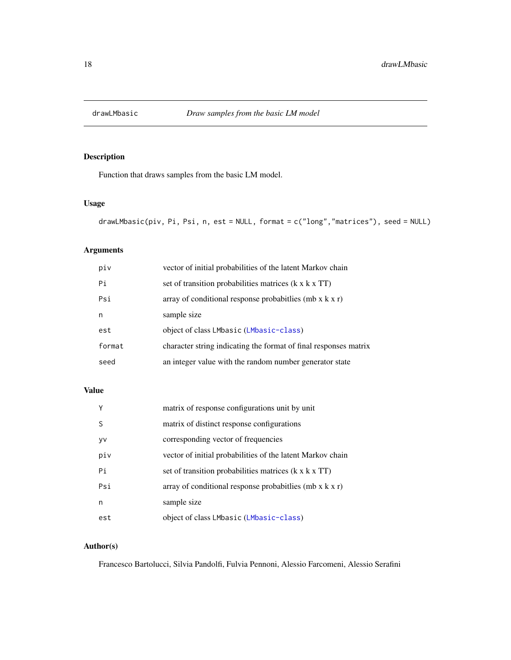<span id="page-17-1"></span><span id="page-17-0"></span>

# Description

Function that draws samples from the basic LM model.

# Usage

```
drawLMbasic(piv, Pi, Psi, n, est = NULL, format = c("long","matrices"), seed = NULL)
```
# Arguments

| piv    | vector of initial probabilities of the latent Markov chain       |
|--------|------------------------------------------------------------------|
| Pi     | set of transition probabilities matrices (k x k x TT)            |
| Psi    | array of conditional response probabitlies (mb $x$ k $x$ r)      |
| n      | sample size                                                      |
| est    | object of class LMbasic (LMbasic-class)                          |
| format | character string indicating the format of final responses matrix |
| seed   | an integer value with the random number generator state          |

# Value

| γ   | matrix of response configurations unit by unit               |
|-----|--------------------------------------------------------------|
| S   | matrix of distinct response configurations                   |
| yv  | corresponding vector of frequencies                          |
| piv | vector of initial probabilities of the latent Markov chain   |
| Pi  | set of transition probabilities matrices (k x k x TT)        |
| Psi | array of conditional response probabit lies (mb $x$ k $x$ r) |
| n   | sample size                                                  |
| est | object of class LMbasic (LMbasic-class)                      |

# Author(s)

Francesco Bartolucci, Silvia Pandolfi, Fulvia Pennoni, Alessio Farcomeni, Alessio Serafini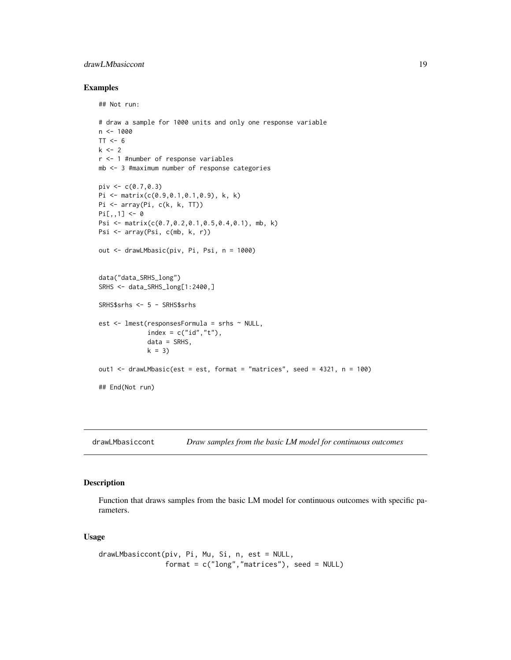# <span id="page-18-0"></span>drawLMbasiccont 19

# Examples

## Not run:

```
# draw a sample for 1000 units and only one response variable
n < -1000TT < - 6k < -2r <- 1 #number of response variables
mb <- 3 #maximum number of response categories
piv <- c(0.7, 0.3)Pi <- matrix(c(0.9,0.1,0.1,0.9), k, k)
Pi <- array(Pi, c(k, k, TT))
Pi[,, 1] <- 0
Psi <- matrix(c(0.7,0.2,0.1,0.5,0.4,0.1), mb, k)
Psi <- array(Psi, c(mb, k, r))
out <- drawLMbasic(piv, Pi, Psi, n = 1000)
data("data_SRHS_long")
SRHS <- data_SRHS_long[1:2400,]
SRHS$srhs <- 5 - SRHS$srhs
est <- lmest(responsesFormula = srhs ~ NULL,
             index = c("id", "t"),data = SRHS,
             k = 3out1 <- drawLMbasic(est = est, format = "matrices", seed = 4321, n = 100)
## End(Not run)
```
<span id="page-18-1"></span>drawLMbasiccont *Draw samples from the basic LM model for continuous outcomes*

# Description

Function that draws samples from the basic LM model for continuous outcomes with specific parameters.

#### Usage

```
drawLMbasiccont(piv, Pi, Mu, Si, n, est = NULL,
                format = c("long","matrices"), seed = NULL)
```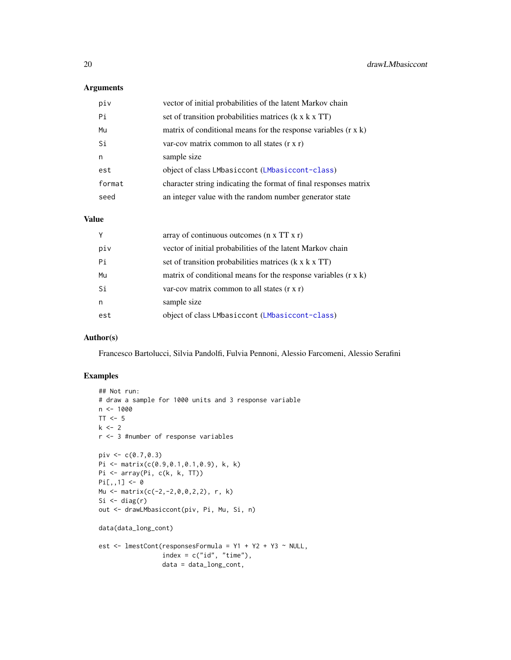# Arguments

| piv    | vector of initial probabilities of the latent Markov chain            |
|--------|-----------------------------------------------------------------------|
| Pi     | set of transition probabilities matrices (k x k x TT)                 |
| Mu     | matrix of conditional means for the response variables $(r \times k)$ |
| Si     | var-cov matrix common to all states $(r x r)$                         |
| n      | sample size                                                           |
| est    | object of class LMbasiccont (LMbasiccont-class)                       |
| format | character string indicating the format of final responses matrix      |
| seed   | an integer value with the random number generator state               |

#### Value

| Y   | array of continuous outcomes $(n \times TT \times r)$                 |
|-----|-----------------------------------------------------------------------|
| piv | vector of initial probabilities of the latent Markov chain            |
| Pi  | set of transition probabilities matrices (k x k x TT)                 |
| Mu  | matrix of conditional means for the response variables $(r \times k)$ |
| Si  | var-cov matrix common to all states $(r \times r)$                    |
| n   | sample size                                                           |
| est | object of class LMbasiccont (LMbasiccont-class)                       |

# Author(s)

Francesco Bartolucci, Silvia Pandolfi, Fulvia Pennoni, Alessio Farcomeni, Alessio Serafini

```
## Not run:
# draw a sample for 1000 units and 3 response variable
n < - 1000TT < -5k \le -2r <- 3 #number of response variables
pi \, v \leftarrow c(0.7, 0.3)Pi <- matrix(c(0.9,0.1,0.1,0.9), k, k)
Pi <- array(Pi, c(k, k, TT))
Pi[,, 1] < -0Mu <- matrix(c(-2,-2,0,0,2,2), r, k)
Si \leftarrow diag(r)
out <- drawLMbasiccont(piv, Pi, Mu, Si, n)
data(data_long_cont)
est \le - lmestCont(responsesFormula = Y1 + Y2 + Y3 \sim NULL,
                  index = c("id", "time"),data = data_long_cont,
```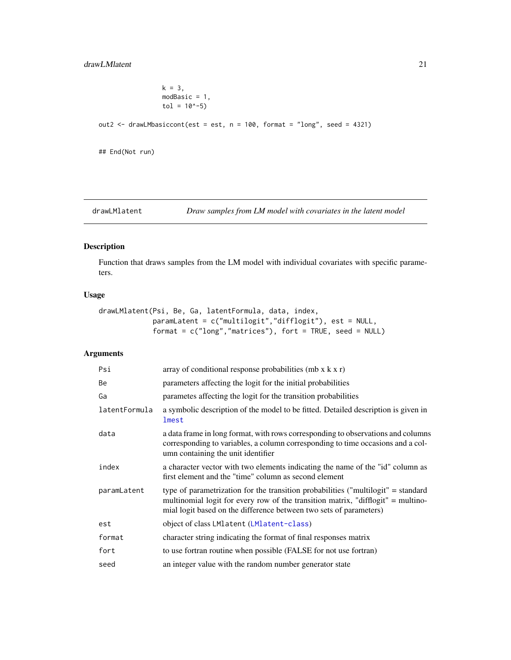```
k = 3,modBasic = 1,
                  tol = 10^{\wedge} -5)out2 <- drawLMbasiccont(est = est, n = 100, format = "long", seed = 4321)
## End(Not run)
```
<span id="page-20-1"></span>drawLMlatent *Draw samples from LM model with covariates in the latent model*

# Description

Function that draws samples from the LM model with individual covariates with specific parameters.

# Usage

```
drawLMlatent(Psi, Be, Ga, latentFormula, data, index,
             paramLatent = c("multilogit","difflogit"), est = NULL,
             format = c("long","matrices"), fort = TRUE, seed = NULL)
```

| Psi           | array of conditional response probabilities (mb $x$ k $x$ r)                                                                                                                                                                                |
|---------------|---------------------------------------------------------------------------------------------------------------------------------------------------------------------------------------------------------------------------------------------|
| Be            | parameters affecting the logit for the initial probabilities                                                                                                                                                                                |
| Ga            | parametes affecting the logit for the transition probabilities                                                                                                                                                                              |
| latentFormula | a symbolic description of the model to be fitted. Detailed description is given in<br>lmest                                                                                                                                                 |
| data          | a data frame in long format, with rows corresponding to observations and columns<br>corresponding to variables, a column corresponding to time occasions and a col-<br>umn containing the unit identifier                                   |
| index         | a character vector with two elements indicating the name of the "id" column as<br>first element and the "time" column as second element                                                                                                     |
| paramLatent   | type of parametrization for the transition probabilities ("multilogit" = standard<br>multinomial logit for every row of the transition matrix, "difflogit" = multino-<br>mial logit based on the difference between two sets of parameters) |
| est           | object of class LMlatent (LMlatent-class)                                                                                                                                                                                                   |
| format        | character string indicating the format of final responses matrix                                                                                                                                                                            |
| fort          | to use fortran routine when possible (FALSE for not use fortran)                                                                                                                                                                            |
| seed          | an integer value with the random number generator state                                                                                                                                                                                     |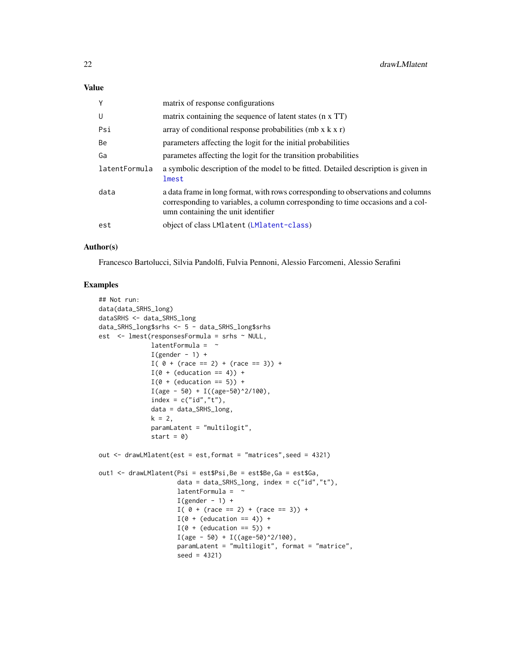| Y             | matrix of response configurations                                                                                                                                                                         |
|---------------|-----------------------------------------------------------------------------------------------------------------------------------------------------------------------------------------------------------|
| U             | matrix containing the sequence of latent states (n x TT)                                                                                                                                                  |
| Psi           | array of conditional response probabilities (mb $x$ k $x$ r)                                                                                                                                              |
| <b>Be</b>     | parameters affecting the logit for the initial probabilities                                                                                                                                              |
| Ga            | parametes affecting the logit for the transition probabilities                                                                                                                                            |
| latentFormula | a symbolic description of the model to be fitted. Detailed description is given in<br>lmest                                                                                                               |
| data          | a data frame in long format, with rows corresponding to observations and columns<br>corresponding to variables, a column corresponding to time occasions and a col-<br>umn containing the unit identifier |
| est           | object of class LMlatent (LMlatent-class)                                                                                                                                                                 |

#### Author(s)

Francesco Bartolucci, Silvia Pandolfi, Fulvia Pennoni, Alessio Farcomeni, Alessio Serafini

```
## Not run:
data(data_SRHS_long)
dataSRHS <- data_SRHS_long
data_SRHS_long$srhs <- 5 - data_SRHS_long$srhs
est <- lmest(responsesFormula = srhs ~ NULL,
              latentFormula = \simI(gender - 1) +I( 0 + (race == 2) + (race == 3)) +I(\emptyset + (education == 4)) +I(\emptyset + (education == 5)) +I(age - 50) + I((age - 50)^2/100),index = c("id", "t"),
              data = data_SRHS_long,
              k = 2,paramLatent = "multilogit",
              start = 0)out \leq drawLMlatent(est = est, format = "matrices", seed = 4321)
out1 <- drawLMlatent(Psi = est$Psi,Be = est$Be,Ga = est$Ga,
                     data = data_SRHS_long, index = c("id","t"),
                     latentFormula = \simI(gender - 1) +I( 0 + (race == 2) + (race == 3)) +I(\emptyset + (education == 4)) +I(\emptyset + (education == 5)) +I(age - 50) + I((age - 50)^2/100),paramLatent = "multilogit", format = "matrice",
                      seed = 4321)
```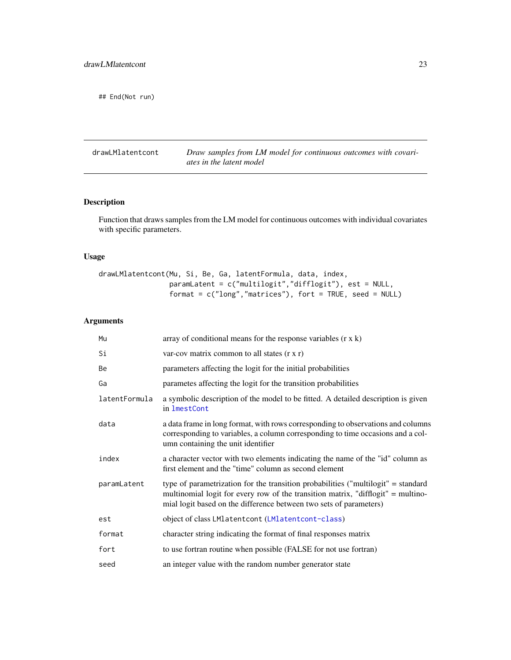<span id="page-22-0"></span>## End(Not run)

<span id="page-22-1"></span>drawLMlatentcont *Draw samples from LM model for continuous outcomes with covariates in the latent model*

# Description

Function that draws samples from the LM model for continuous outcomes with individual covariates with specific parameters.

# Usage

drawLMlatentcont(Mu, Si, Be, Ga, latentFormula, data, index, paramLatent = c("multilogit","difflogit"), est = NULL, format = c("long","matrices"), fort = TRUE, seed = NULL)

| Mu            | array of conditional means for the response variables $(r \times k)$                                                                                                                                                                        |
|---------------|---------------------------------------------------------------------------------------------------------------------------------------------------------------------------------------------------------------------------------------------|
| Si            | var-cov matrix common to all states (r x r)                                                                                                                                                                                                 |
| Be            | parameters affecting the logit for the initial probabilities                                                                                                                                                                                |
| Ga            | parametes affecting the logit for the transition probabilities                                                                                                                                                                              |
| latentFormula | a symbolic description of the model to be fitted. A detailed description is given<br>in 1mestCont                                                                                                                                           |
| data          | a data frame in long format, with rows corresponding to observations and columns<br>corresponding to variables, a column corresponding to time occasions and a col-<br>umn containing the unit identifier                                   |
| index         | a character vector with two elements indicating the name of the "id" column as<br>first element and the "time" column as second element                                                                                                     |
| paramLatent   | type of parametrization for the transition probabilities ("multilogit" = standard<br>multinomial logit for every row of the transition matrix, "difflogit" = multino-<br>mial logit based on the difference between two sets of parameters) |
| est           | object of class LMlatentcont (LMlatentcont-class)                                                                                                                                                                                           |
| format        | character string indicating the format of final responses matrix                                                                                                                                                                            |
| fort          | to use fortran routine when possible (FALSE for not use fortran)                                                                                                                                                                            |
| seed          | an integer value with the random number generator state                                                                                                                                                                                     |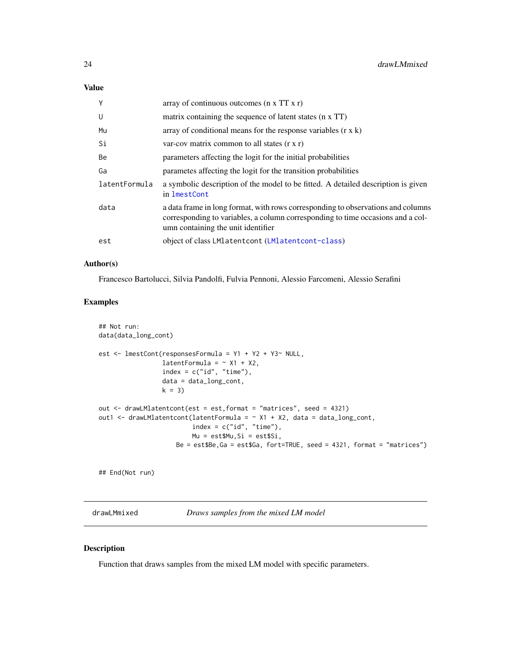| Y             | array of continuous outcomes $(n \times TT \times r)$                                                                                                                                                     |
|---------------|-----------------------------------------------------------------------------------------------------------------------------------------------------------------------------------------------------------|
| U             | matrix containing the sequence of latent states (n x TT)                                                                                                                                                  |
| Mu            | array of conditional means for the response variables $(r \times k)$                                                                                                                                      |
| Si            | var-cov matrix common to all states $(r x r)$                                                                                                                                                             |
| Be            | parameters affecting the logit for the initial probabilities                                                                                                                                              |
| Ga            | parametes affecting the logit for the transition probabilities                                                                                                                                            |
| latentFormula | a symbolic description of the model to be fitted. A detailed description is given<br>in lmestCont                                                                                                         |
| data          | a data frame in long format, with rows corresponding to observations and columns<br>corresponding to variables, a column corresponding to time occasions and a col-<br>umn containing the unit identifier |
| est           | object of class LM1atentcont (LM1atentcont-class)                                                                                                                                                         |

#### Author(s)

Francesco Bartolucci, Silvia Pandolfi, Fulvia Pennoni, Alessio Farcomeni, Alessio Serafini

# Examples

```
## Not run:
data(data_long_cont)
est <- lmestCont(responsesFormula = Y1 + Y2 + Y3~ NULL,
                 latentFormula = ~\sim X1 + X2,
                 index = c("id", "time"),data = data_long_cont,
                 k = 3out <- drawLMlatentcont(est = est,format = "matrices", seed = 4321)
out1 <- drawLMlatentcont(latentFormula = \sim X1 + X2, data = data_long_cont,
                         index = c("id", "time"),Mu = est$Mu,Si = est$Si,
                     Be = est$Be,Ga = est$Ga, fort=TRUE, seed = 4321, format = "matrices")
```
## End(Not run)

<span id="page-23-1"></span>drawLMmixed *Draws samples from the mixed LM model*

# Description

Function that draws samples from the mixed LM model with specific parameters.

<span id="page-23-0"></span>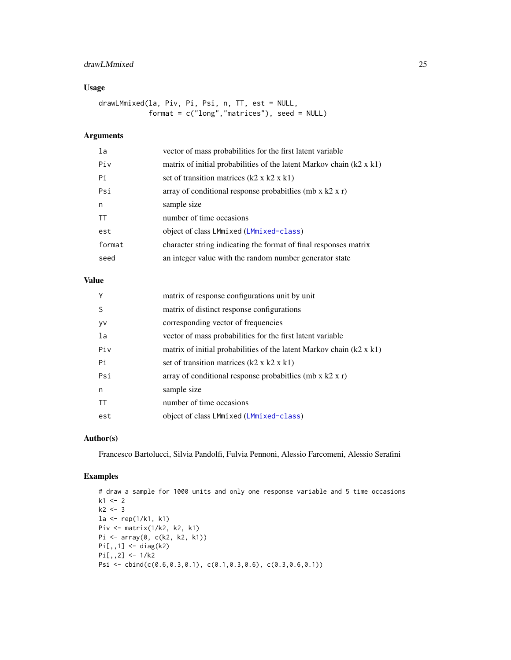# drawLMmixed 25

# Usage

drawLMmixed(la, Piv, Pi, Psi, n, TT, est = NULL, format = c("long","matrices"), seed = NULL)

# Arguments

| la        | vector of mass probabilities for the first latent variable                  |
|-----------|-----------------------------------------------------------------------------|
| Piv       | matrix of initial probabilities of the latent Markov chain $(k2 \times k1)$ |
| Pi        | set of transition matrices $(k2 \times k2 \times k1)$                       |
| Psi       | array of conditional response probabit lies (mb $x$ k2 $x$ r)               |
| n         | sample size                                                                 |
| <b>TT</b> | number of time occasions                                                    |
| est       | object of class LMmixed (LMmixed-class)                                     |
| format    | character string indicating the format of final responses matrix            |
| seed      | an integer value with the random number generator state                     |

# Value

| Y            | matrix of response configurations unit by unit                              |
|--------------|-----------------------------------------------------------------------------|
| <sup>S</sup> | matrix of distinct response configurations                                  |
| <b>VV</b>    | corresponding vector of frequencies                                         |
| la           | vector of mass probabilities for the first latent variable                  |
| Piv          | matrix of initial probabilities of the latent Markov chain $(k2 \times k1)$ |
| Pi           | set of transition matrices $(k2 \times k2 \times k1)$                       |
| Psi          | array of conditional response probabit lies (mb x $k2 x r$ )                |
| n            | sample size                                                                 |
| <b>TT</b>    | number of time occasions                                                    |
| est          | object of class LMmixed (LMmixed-class)                                     |

# Author(s)

Francesco Bartolucci, Silvia Pandolfi, Fulvia Pennoni, Alessio Farcomeni, Alessio Serafini

```
# draw a sample for 1000 units and only one response variable and 5 time occasions
k1 < -2k2 < -3la <- rep(1/k1, k1)
Piv <- matrix(1/k2, k2, k1)
Pi <- array(0, c(k2, k2, k1))
Pi[,,1] <- diag(k2)
Pi[,,2] <- 1/k2Psi <- cbind(c(0.6,0.3,0.1), c(0.1,0.3,0.6), c(0.3,0.6,0.1))
```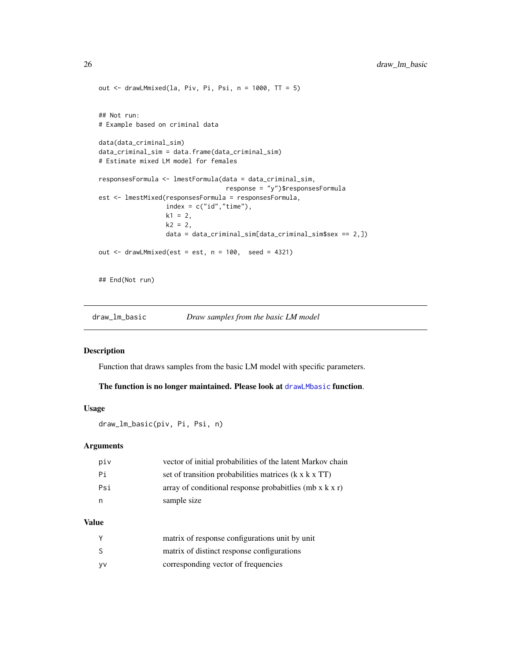```
out \leq drawLMmixed(la, Piv, Pi, Psi, n = 1000, TT = 5)
## Not run:
# Example based on criminal data
data(data_criminal_sim)
data_criminal_sim = data.frame(data_criminal_sim)
# Estimate mixed LM model for females
responsesFormula <- lmestFormula(data = data_criminal_sim,
                                  response = "y")$responsesFormula
est <- lmestMixed(responsesFormula = responsesFormula,
                  index = c("id", "time"),k1 = 2,
                  k2 = 2,
                  data = data_criminal_sim[data_criminal_sim$sex == 2,])
out \le drawLMmixed(est = est, n = 100, seed = 4321)
## End(Not run)
```
draw\_lm\_basic *Draw samples from the basic LM model*

#### Description

Function that draws samples from the basic LM model with specific parameters.

#### The function is no longer maintained. Please look at [drawLMbasic](#page-17-1) function.

# Usage

draw\_lm\_basic(piv, Pi, Psi, n)

#### Arguments

| piv | vector of initial probabilities of the latent Markov chain        |
|-----|-------------------------------------------------------------------|
| Pi  | set of transition probabilities matrices $(k \times k \times TT)$ |
| Psi | array of conditional response probabilies (mb $x k x r$ )         |
|     | sample size                                                       |

#### Value

| Υ  | matrix of response configurations unit by unit |
|----|------------------------------------------------|
| S  | matrix of distinct response configurations     |
| yv | corresponding vector of frequencies            |

<span id="page-25-0"></span>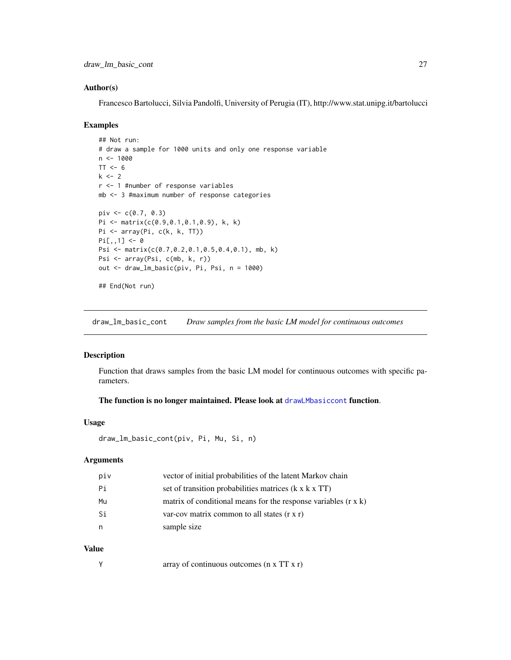#### <span id="page-26-0"></span>Author(s)

Francesco Bartolucci, Silvia Pandolfi, University of Perugia (IT), http://www.stat.unipg.it/bartolucci

#### Examples

```
## Not run:
# draw a sample for 1000 units and only one response variable
n < -1000TT < -6k < -2r <- 1 #number of response variables
mb <- 3 #maximum number of response categories
piv \leq -c(0.7, 0.3)Pi <- matrix(c(0.9,0.1,0.1,0.9), k, k)
Pi <- array(Pi, c(k, k, TT))
Pi[,,1] <- 0
Psi <- matrix(c(0.7,0.2,0.1,0.5,0.4,0.1), mb, k)
Psi <- array(Psi, c(mb, k, r))
out <- draw_lm_basic(piv, Pi, Psi, n = 1000)
## End(Not run)
```
draw\_lm\_basic\_cont *Draw samples from the basic LM model for continuous outcomes*

# Description

Function that draws samples from the basic LM model for continuous outcomes with specific parameters.

#### The function is no longer maintained. Please look at [drawLMbasiccont](#page-18-1) function.

#### Usage

```
draw_lm_basic_cont(piv, Pi, Mu, Si, n)
```
#### Arguments

| piv | vector of initial probabilities of the latent Markov chain            |
|-----|-----------------------------------------------------------------------|
| Pi  | set of transition probabilities matrices (k x k x TT)                 |
| Mu  | matrix of conditional means for the response variables $(r \times k)$ |
| Si  | var-cov matrix common to all states $(r \times r)$                    |
|     | sample size                                                           |

#### Value

Y array of continuous outcomes (n x TT x r)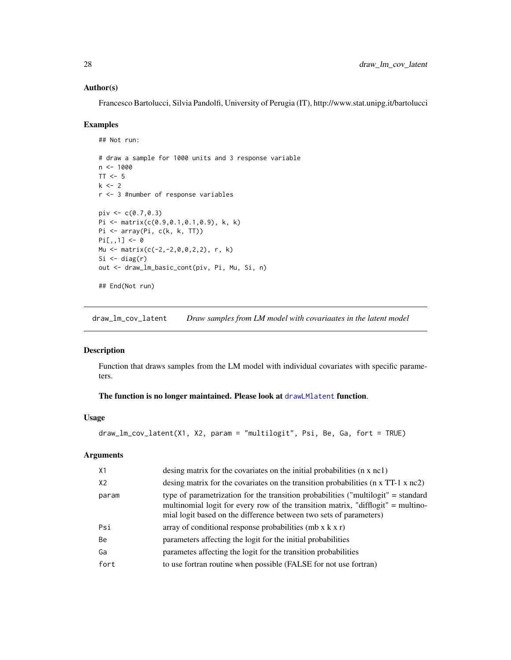#### <span id="page-27-0"></span>Author(s)

Francesco Bartolucci, Silvia Pandolfi, University of Perugia (IT), http://www.stat.unipg.it/bartolucci

#### Examples

```
## Not run:
# draw a sample for 1000 units and 3 response variable
n < -1000TT < -5k < -2r <- 3 #number of response variables
piv <-c(0.7, 0.3)Pi <- matrix(c(0.9,0.1,0.1,0.9), k, k)
Pi <- array(Pi, c(k, k, TT))
Pi[,, 1] < -0Mu <- matrix(c(-2,-2,0,0,2,2), r, k)
Si \le diag(r)
out <- draw_lm_basic_cont(piv, Pi, Mu, Si, n)
## End(Not run)
```
draw\_lm\_cov\_latent *Draw samples from LM model with covariaates in the latent model*

#### Description

Function that draws samples from the LM model with individual covariates with specific parameters.

#### The function is no longer maintained. Please look at [drawLMlatent](#page-20-1) function.

#### Usage

```
draw_lm_cov_latent(X1, X2, param = "multilogit", Psi, Be, Ga, fort = TRUE)
```

| X1             | desing matrix for the covariates on the initial probabilities $(n \times n c)$                                                                                                                                                              |
|----------------|---------------------------------------------------------------------------------------------------------------------------------------------------------------------------------------------------------------------------------------------|
| X <sub>2</sub> | desing matrix for the covariates on the transition probabilities $(n \times TT-1 \times nc2)$                                                                                                                                               |
| param          | type of parametrization for the transition probabilities ("multilogit" = standard<br>multinomial logit for every row of the transition matrix, "difflogit" = multino-<br>mial logit based on the difference between two sets of parameters) |
| Psi            | array of conditional response probabilities (mb $x k x r$ )                                                                                                                                                                                 |
| Be             | parameters affecting the logit for the initial probabilities                                                                                                                                                                                |
| Ga             | parametes affecting the logit for the transition probabilities                                                                                                                                                                              |
| fort           | to use fortran routine when possible (FALSE for not use fortran)                                                                                                                                                                            |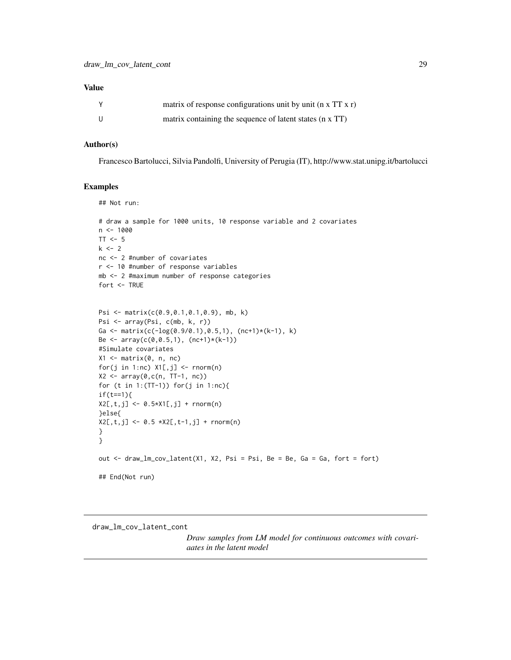<span id="page-28-0"></span>

|     | matrix of response configurations unit by unit ( $n \times TT \times r$ ) |
|-----|---------------------------------------------------------------------------|
| -11 | matrix containing the sequence of latent states (n x TT)                  |

#### Author(s)

Francesco Bartolucci, Silvia Pandolfi, University of Perugia (IT), http://www.stat.unipg.it/bartolucci

#### Examples

## Not run:

```
# draw a sample for 1000 units, 10 response variable and 2 covariates
n < -1000TT < -5k \le -2nc <- 2 #number of covariates
r <- 10 #number of response variables
mb <- 2 #maximum number of response categories
fort <- TRUE
```

```
Psi <- matrix(c(0.9,0.1,0.1,0.9), mb, k)
Psi <- array(Psi, c(mb, k, r))
Ga <- matrix(c(-log(0.9/0.1),0.5,1), (nc+1)*(k-1), k)
Be \leq array(c(0,0.5,1), (nc+1)*(k-1))
#Simulate covariates
X1 \leftarrow matrix(0, n, nc)for(j in 1:nc) X1[, j] <- rnorm(n)
X2 <- array(0,c(n, TT-1, nc))
for (t in 1:(TT-1)) for(j in 1:nc){
if(t==1){
X2[, t, j] <- 0.5*X1[, j] + rnorm(n)
}else{
X2[, t, j] <- 0.5 *X2[,t-1,j] + rnorm(n)
}
}
out <- draw_lm_cov_latent(X1, X2, Psi = Psi, Be = Be, Ga = Ga, fort = fort)
## End(Not run)
```
draw\_lm\_cov\_latent\_cont

*Draw samples from LM model for continuous outcomes with covariaates in the latent model*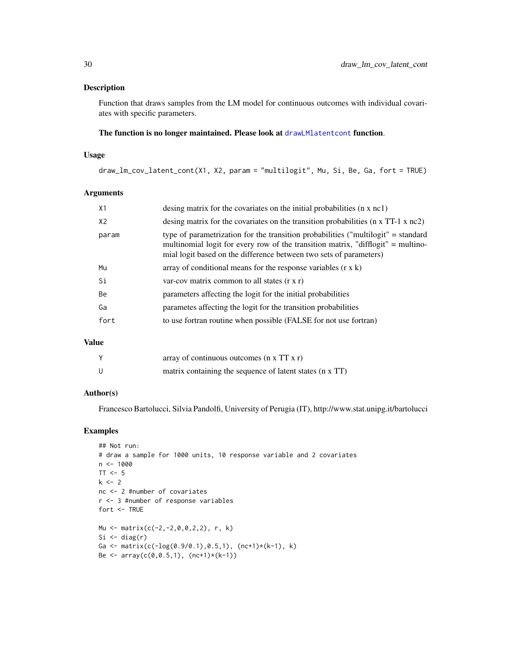# Description

Function that draws samples from the LM model for continuous outcomes with individual covariates with specific parameters.

# The function is no longer maintained. Please look at [drawLMlatentcont](#page-22-1) function.

# Usage

draw\_lm\_cov\_latent\_cont(X1, X2, param = "multilogit", Mu, Si, Be, Ga, fort = TRUE)

#### Arguments

| X1             | desing matrix for the covariates on the initial probabilities $(n \times n c)$                                                                                                                                                              |
|----------------|---------------------------------------------------------------------------------------------------------------------------------------------------------------------------------------------------------------------------------------------|
| X <sub>2</sub> | desing matrix for the covariates on the transition probabilities $(n \times TT-1 \times nc2)$                                                                                                                                               |
| param          | type of parametrization for the transition probabilities ("multilogit" = standard<br>multinomial logit for every row of the transition matrix, "difflogit" = multino-<br>mial logit based on the difference between two sets of parameters) |
| Mu             | array of conditional means for the response variables $(r \times k)$                                                                                                                                                                        |
| Si             | var-cov matrix common to all states $(r \times r)$                                                                                                                                                                                          |
| Be             | parameters affecting the logit for the initial probabilities                                                                                                                                                                                |
| Ga             | parametes affecting the logit for the transition probabilities                                                                                                                                                                              |
| fort           | to use fortran routine when possible (FALSE for not use fortran)                                                                                                                                                                            |
|                |                                                                                                                                                                                                                                             |

# Value

| array of continuous outcomes $(n \times TT \times r)$    |
|----------------------------------------------------------|
| matrix containing the sequence of latent states (n x TT) |

# Author(s)

Francesco Bartolucci, Silvia Pandolfi, University of Perugia (IT), http://www.stat.unipg.it/bartolucci

```
## Not run:
# draw a sample for 1000 units, 10 response variable and 2 covariates
n <- 1000
TT <-5k \leq -2nc <- 2 #number of covariates
r <- 3 #number of response variables
fort <- TRUE
Mu <- matrix(c(-2,-2,0,0,2,2), r, k)
Si \leftarrow diag(r)
Ga <- matrix(c(-\log(0.9/0.1),0.5,1), (nc+1)*(k-1), k)
Be \leq array(c(0,0.5,1), (nc+1)*(k-1))
```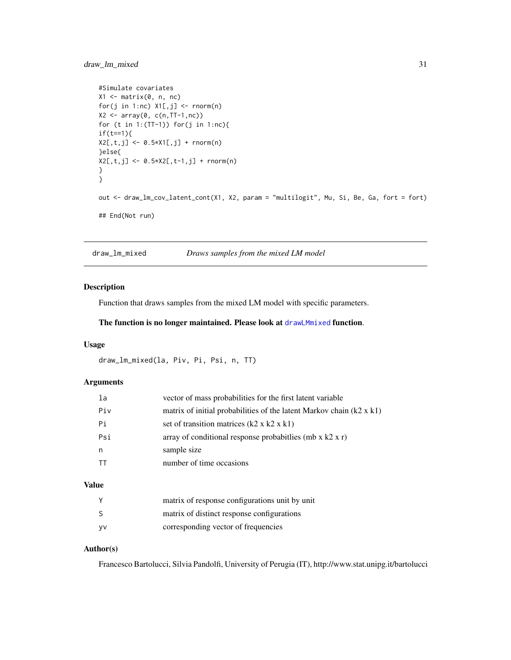# <span id="page-30-0"></span>draw\_lm\_mixed 31

```
#Simulate covariates
X1 \leftarrow matrix(0, n, nc)for(j in 1:nc) X1[, j] <- rnorm(n)
X2 \leq -\arctan(\emptyset, c(n, TT-1, nc))for (t in 1: (TT-1)) for(j in 1:nc){
if(t==1){
X2[, t, j] <- 0.5*X1[,j] + rnorm(n)
}else{
X2[, t, j] <- 0.5*X2[, t-1, j] + rnorm(n)
}
}
out <- draw_lm_cov_latent_cont(X1, X2, param = "multilogit", Mu, Si, Be, Ga, fort = fort)
## End(Not run)
```
draw\_lm\_mixed *Draws samples from the mixed LM model*

# Description

Function that draws samples from the mixed LM model with specific parameters.

The function is no longer maintained. Please look at [drawLMmixed](#page-23-1) function.

#### Usage

```
draw_lm_mixed(la, Piv, Pi, Psi, n, TT)
```
#### Arguments

| la  | vector of mass probabilities for the first latent variable                  |
|-----|-----------------------------------------------------------------------------|
| Piv | matrix of initial probabilities of the latent Markov chain $(k2 \times k1)$ |
| Pi  | set of transition matrices $(k2 \times k2 \times k1)$                       |
| Psi | array of conditional response probabit lies (mb $x$ k2 $x$ r)               |
| n   | sample size                                                                 |
|     | number of time occasions                                                    |
|     |                                                                             |

# Value

|      | matrix of response configurations unit by unit |
|------|------------------------------------------------|
|      | matrix of distinct response configurations     |
| - VV | corresponding vector of frequencies            |

#### Author(s)

Francesco Bartolucci, Silvia Pandolfi, University of Perugia (IT), http://www.stat.unipg.it/bartolucci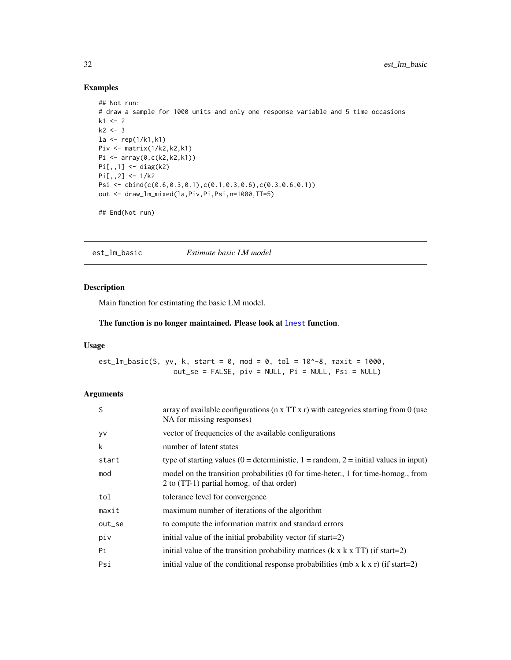# Examples

```
## Not run:
# draw a sample for 1000 units and only one response variable and 5 time occasions
k1 < -2k2 < -3la <- rep(1/k1,k1)
Piv <- matrix(1/k2,k2,k1)
Pi <- array(0,c(k2,k2,k1))
Pi[,,1] <- diag(k2)
Pi[,,2] <- 1/k2Psi <- cbind(c(0.6,0.3,0.1),c(0.1,0.3,0.6),c(0.3,0.6,0.1))
out <- draw_lm_mixed(la,Piv,Pi,Psi,n=1000,TT=5)
```
## End(Not run)

est\_lm\_basic *Estimate basic LM model*

# Description

Main function for estimating the basic LM model.

#### The function is no longer maintained. Please look at [lmest](#page-49-1) function.

#### Usage

est\_lm\_basic(S, yv, k, start = 0, mod = 0, tol =  $10^{\circ}$ -8, maxit = 1000,  $out\_se = FALSE, piv = NULL, Pi = NULL, Psi = NULL)$ 

| S         | array of available configurations ( $n \times TT \times r$ ) with categories starting from 0 (use<br>NA for missing responses) |
|-----------|--------------------------------------------------------------------------------------------------------------------------------|
| <b>VV</b> | vector of frequencies of the available configurations                                                                          |
| k         | number of latent states                                                                                                        |
| start     | type of starting values (0 = deterministic, 1 = random, 2 = initial values in input)                                           |
| mod       | model on the transition probabilities (0 for time-heter., 1 for time-homog., from<br>2 to (TT-1) partial homog. of that order) |
| tol       | tolerance level for convergence                                                                                                |
| maxit     | maximum number of iterations of the algorithm                                                                                  |
| out_se    | to compute the information matrix and standard errors                                                                          |
| piv       | initial value of the initial probability vector (if start=2)                                                                   |
| Pi        | initial value of the transition probability matrices $(k \times k \times TT)$ (if start=2)                                     |
| Psi       | initial value of the conditional response probabilities (mb x $k \times r$ ) (if start=2)                                      |

<span id="page-31-0"></span>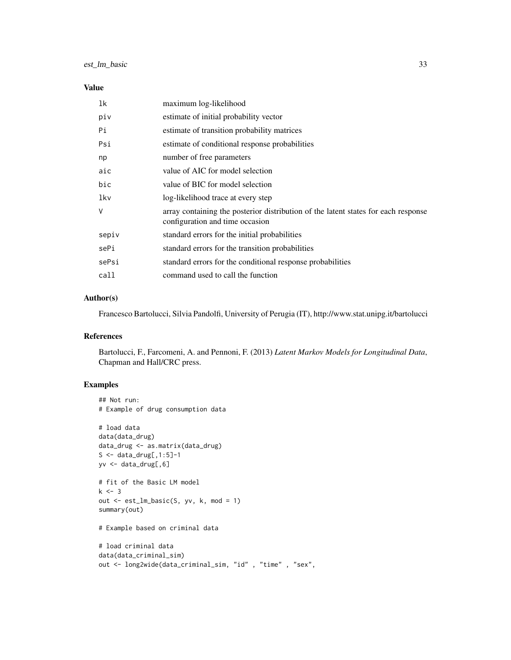| 1k    | maximum log-likelihood                                                                                                |
|-------|-----------------------------------------------------------------------------------------------------------------------|
| piv   | estimate of initial probability vector                                                                                |
| Pi    | estimate of transition probability matrices                                                                           |
| Psi   | estimate of conditional response probabilities                                                                        |
| np    | number of free parameters                                                                                             |
| aic   | value of AIC for model selection                                                                                      |
| bic   | value of BIC for model selection                                                                                      |
| lkv   | log-likelihood trace at every step                                                                                    |
| V     | array containing the posterior distribution of the latent states for each response<br>configuration and time occasion |
| sepiv | standard errors for the initial probabilities                                                                         |
| sePi  | standard errors for the transition probabilities                                                                      |
| sePsi | standard errors for the conditional response probabilities                                                            |
| call  | command used to call the function                                                                                     |
|       |                                                                                                                       |

# Author(s)

Francesco Bartolucci, Silvia Pandolfi, University of Perugia (IT), http://www.stat.unipg.it/bartolucci

#### References

Bartolucci, F., Farcomeni, A. and Pennoni, F. (2013) *Latent Markov Models for Longitudinal Data*, Chapman and Hall/CRC press.

```
## Not run:
# Example of drug consumption data
# load data
data(data_drug)
data_drug <- as.matrix(data_drug)
S \leq - data_drug[, 1:5]-1
yv <- data_drug[,6]
# fit of the Basic LM model
k \le -3out <- est_lm_basic(S, yv, k, mod = 1)
summary(out)
# Example based on criminal data
# load criminal data
data(data_criminal_sim)
out <- long2wide(data_criminal_sim, "id" , "time" , "sex",
```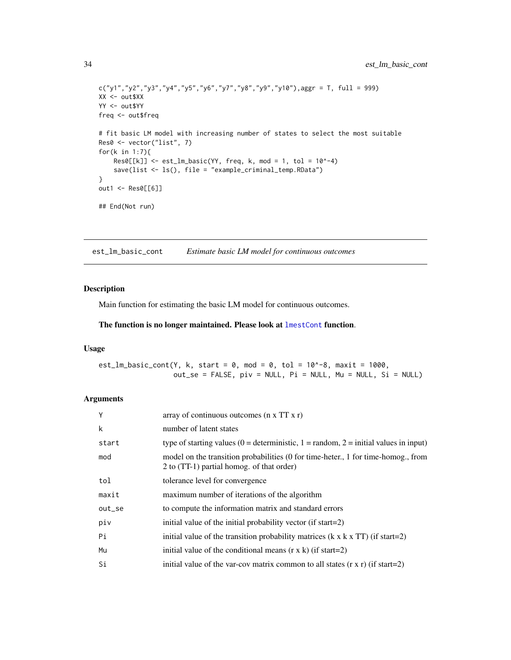```
c("y1", "y2", "y3", "y4", "y5", "y6", "y7", "y8", "y9", "y10"),<br/>aggr = T, full = 999)XX <- out$XX
YY <- out$YY
freq <- out$freq
# fit basic LM model with increasing number of states to select the most suitable
Res0 <- vector("list", 7)
for(k in 1:7){
    Res0[[k]] \leftarrow est_lm_basic(YY, freq, k, mod = 1, tol = 10^{\wedge}-4)save(list <- ls(), file = "example_criminal_temp.RData")
}
out1 <- Res0[[6]]
## End(Not run)
```
est\_lm\_basic\_cont *Estimate basic LM model for continuous outcomes*

# Description

Main function for estimating the basic LM model for continuous outcomes.

# The function is no longer maintained. Please look at [lmestCont](#page-54-1) function.

# Usage

est\_lm\_basic\_cont(Y, k, start =  $0$ , mod =  $0$ , tol =  $10^{\circ}$ -8, maxit = 1000, out\_se = FALSE, piv = NULL, Pi = NULL, Mu = NULL, Si = NULL)

| Y      | array of continuous outcomes (n x TT x r)                                                                                      |
|--------|--------------------------------------------------------------------------------------------------------------------------------|
| k      | number of latent states                                                                                                        |
| start  | type of starting values (0 = deterministic, 1 = random, 2 = initial values in input)                                           |
| mod    | model on the transition probabilities (0 for time-heter., 1 for time-homog., from<br>2 to (TT-1) partial homog. of that order) |
| tol    | tolerance level for convergence                                                                                                |
| maxit  | maximum number of iterations of the algorithm                                                                                  |
| out_se | to compute the information matrix and standard errors                                                                          |
| piv    | initial value of the initial probability vector (if start=2)                                                                   |
| Pi     | initial value of the transition probability matrices $(k \times k \times TT)$ (if start=2)                                     |
| Mu     | initial value of the conditional means $(r \times k)$ (if start=2)                                                             |
| Si     | initial value of the var-cov matrix common to all states $(r \times r)$ (if start=2)                                           |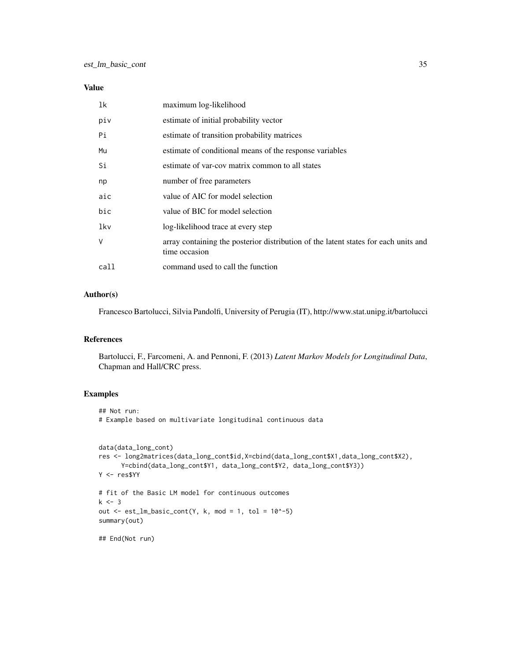| 1k   | maximum log-likelihood                                                                               |
|------|------------------------------------------------------------------------------------------------------|
| piv  | estimate of initial probability vector                                                               |
| Pi   | estimate of transition probability matrices                                                          |
| Mu   | estimate of conditional means of the response variables                                              |
| Si   | estimate of var-cov matrix common to all states                                                      |
| np   | number of free parameters                                                                            |
| aic  | value of AIC for model selection                                                                     |
| bic  | value of BIC for model selection                                                                     |
| lkv  | log-likelihood trace at every step                                                                   |
| V    | array containing the posterior distribution of the latent states for each units and<br>time occasion |
| call | command used to call the function                                                                    |

# Author(s)

Francesco Bartolucci, Silvia Pandolfi, University of Perugia (IT), http://www.stat.unipg.it/bartolucci

# References

Bartolucci, F., Farcomeni, A. and Pennoni, F. (2013) *Latent Markov Models for Longitudinal Data*, Chapman and Hall/CRC press.

```
## Not run:
# Example based on multivariate longitudinal continuous data
data(data_long_cont)
res <- long2matrices(data_long_cont$id,X=cbind(data_long_cont$X1,data_long_cont$X2),
      Y=cbind(data_long_cont$Y1, data_long_cont$Y2, data_long_cont$Y3))
Y <- res$YY
# fit of the Basic LM model for continuous outcomes
k < -3out \le est_lm_basic_cont(Y, k, mod = 1, tol = 10^-5)
summary(out)
## End(Not run)
```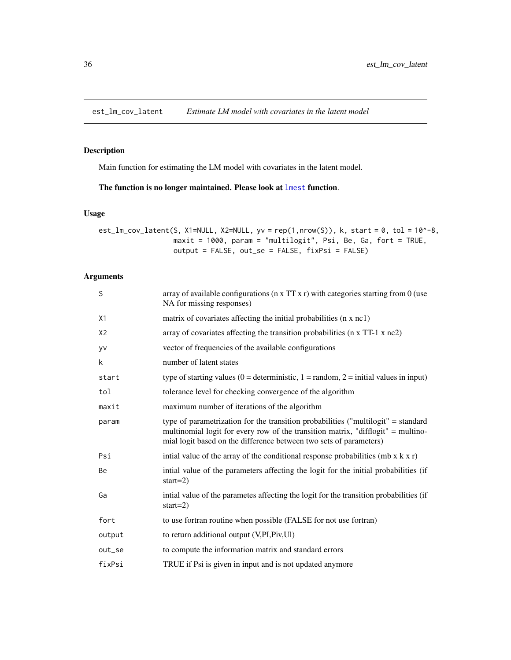<span id="page-35-0"></span>est\_lm\_cov\_latent *Estimate LM model with covariates in the latent model*

# Description

Main function for estimating the LM model with covariates in the latent model.

# The function is no longer maintained. Please look at [lmest](#page-49-1) function.

#### Usage

```
est_lm_cov_latent(S, X1=NULL, X2=NULL, yv = rep(1,nrow(S)), k, start = 0, tol = 10^-8,
                  maxit = 1000, param = "multilogit", Psi, Be, Ga, fort = TRUE,
                  output = FALSE, out_se = FALSE, fixPsi = FALSE)
```

| S              | array of available configurations ( $n \times TT \times r$ ) with categories starting from 0 (use<br>NA for missing responses)                                                                                                              |
|----------------|---------------------------------------------------------------------------------------------------------------------------------------------------------------------------------------------------------------------------------------------|
| X1             | matrix of covariates affecting the initial probabilities (n x nc1)                                                                                                                                                                          |
| X <sub>2</sub> | array of covariates affecting the transition probabilities (n x TT-1 x nc2)                                                                                                                                                                 |
| <b>yv</b>      | vector of frequencies of the available configurations                                                                                                                                                                                       |
| k              | number of latent states                                                                                                                                                                                                                     |
| start          | type of starting values ( $0 =$ deterministic, $1 =$ random, $2 =$ initial values in input)                                                                                                                                                 |
| tol            | tolerance level for checking convergence of the algorithm                                                                                                                                                                                   |
| maxit          | maximum number of iterations of the algorithm                                                                                                                                                                                               |
| param          | type of parametrization for the transition probabilities ("multilogit" = standard<br>multinomial logit for every row of the transition matrix, "difflogit" = multino-<br>mial logit based on the difference between two sets of parameters) |
| Psi            | intial value of the array of the conditional response probabilities (mb $x k x r$ )                                                                                                                                                         |
| Be             | intial value of the parameters affecting the logit for the initial probabilities (if<br>start= $2)$                                                                                                                                         |
| Ga             | intial value of the parametes affecting the logit for the transition probabilities (if<br>start= $2)$                                                                                                                                       |
| fort           | to use fortran routine when possible (FALSE for not use fortran)                                                                                                                                                                            |
| output         | to return additional output (V,PI,Piv,Ul)                                                                                                                                                                                                   |
| out_se         | to compute the information matrix and standard errors                                                                                                                                                                                       |
| fixPsi         | TRUE if Psi is given in input and is not updated anymore                                                                                                                                                                                    |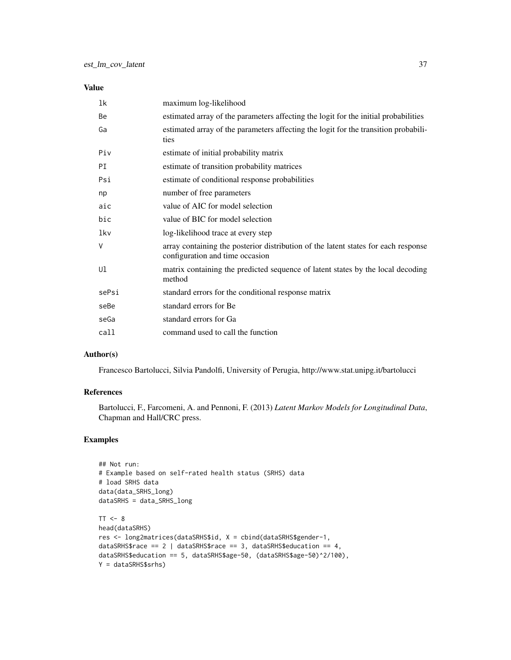### Value

| 1k    | maximum log-likelihood                                                                                                |
|-------|-----------------------------------------------------------------------------------------------------------------------|
| Be    | estimated array of the parameters affecting the logit for the initial probabilities                                   |
| Ga    | estimated array of the parameters affecting the logit for the transition probabili-<br>ties                           |
| Piv   | estimate of initial probability matrix                                                                                |
| PI    | estimate of transition probability matrices                                                                           |
| Psi   | estimate of conditional response probabilities                                                                        |
| np    | number of free parameters                                                                                             |
| aic   | value of AIC for model selection                                                                                      |
| bic   | value of BIC for model selection                                                                                      |
| lkv   | log-likelihood trace at every step                                                                                    |
| V     | array containing the posterior distribution of the latent states for each response<br>configuration and time occasion |
| Ul    | matrix containing the predicted sequence of latent states by the local decoding<br>method                             |
| sePsi | standard errors for the conditional response matrix                                                                   |
| seBe  | standard errors for Be                                                                                                |
| seGa  | standard errors for Ga                                                                                                |
| call  | command used to call the function                                                                                     |

## Author(s)

Francesco Bartolucci, Silvia Pandolfi, University of Perugia, http://www.stat.unipg.it/bartolucci

## References

Bartolucci, F., Farcomeni, A. and Pennoni, F. (2013) *Latent Markov Models for Longitudinal Data*, Chapman and Hall/CRC press.

```
## Not run:
# Example based on self-rated health status (SRHS) data
# load SRHS data
data(data_SRHS_long)
dataSRHS = data_SRHS_long
TT < - 8head(dataSRHS)
res <- long2matrices(dataSRHS$id, X = cbind(dataSRHS$gender-1,
dataSRHS$race == 2 | dataSRHS$race == 3, dataSRHS$education == 4,
dataSRHS$education == 5, dataSRHS$age-50, (dataSRHS$age-50)^2/100),
Y = dataSRHS$srhs)
```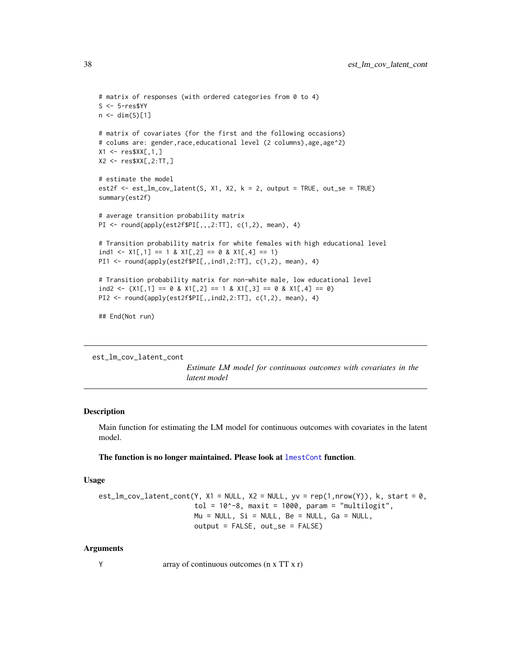```
# matrix of responses (with ordered categories from 0 to 4)
S <- 5-res$YY
n \leftarrow \text{dim}(S)[1]# matrix of covariates (for the first and the following occasions)
# colums are: gender,race,educational level (2 columns),age,age^2)
X1 <- res$XX[,1,]\X2 <- res$XX[,2:TT,]
# estimate the model
est2f \leq -est\_lm\_cov\_latent(S, X1, X2, k = 2, output = TRUE, out\_se = TRUE)summary(est2f)
# average transition probability matrix
PI <- round(apply(est2f$PI[,,,2:TT], c(1,2), mean), 4)
# Transition probability matrix for white females with high educational level
ind1 <- X1[,1] == 1 & X1[,2] == 0 & X1[,4] == 1)
PI1 <- round(apply(est2f$PI[,,ind1,2:TT], c(1,2), mean), 4)
# Transition probability matrix for non-white male, low educational level
ind2 <- (X1[,1] == 0 & X1[,2] == 1 & X1[,3] == 0 & X1[,4] == 0PI2 <- round(apply(est2f$PI[,,ind2,2:TT], c(1,2), mean), 4)
```
## End(Not run)

```
est_lm_cov_latent_cont
```
*Estimate LM model for continuous outcomes with covariates in the latent model*

### Description

Main function for estimating the LM model for continuous outcomes with covariates in the latent model.

The function is no longer maintained. Please look at [lmestCont](#page-54-0) function.

#### Usage

```
est_lm_cov_latent_cont(Y, X1 = NULL, X2 = NULL, yv = rep(1,nrow(Y)), k, start = 0,
                        tol = 10^{\circ}-8, maxit = 1000, param = "multilogit",
                        Mu = NULL, Si = NULL, Be = NULL, Ga = NULL,
                        output = FALSE, out_se = FALSE)
```
#### Arguments

Y array of continuous outcomes (n x TT x r)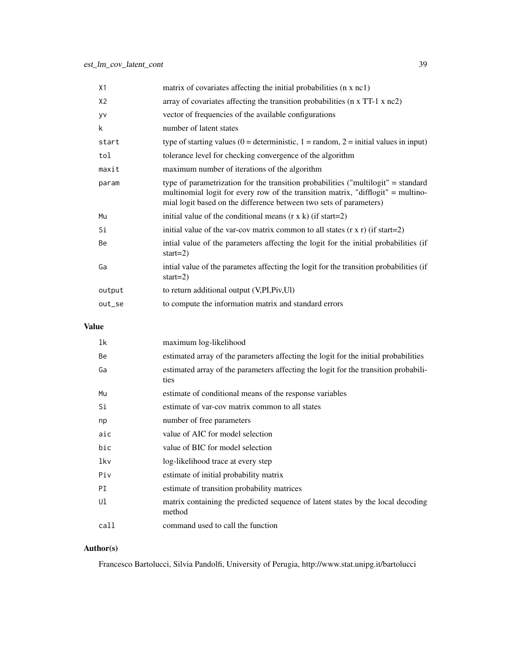| X1     | matrix of covariates affecting the initial probabilities (n x nc1)                                                                                                                                                                          |
|--------|---------------------------------------------------------------------------------------------------------------------------------------------------------------------------------------------------------------------------------------------|
| X2     | array of covariates affecting the transition probabilities (n x TT-1 x nc2)                                                                                                                                                                 |
| yv     | vector of frequencies of the available configurations                                                                                                                                                                                       |
| k      | number of latent states                                                                                                                                                                                                                     |
| start  | type of starting values (0 = deterministic, 1 = random, 2 = initial values in input)                                                                                                                                                        |
| tol    | tolerance level for checking convergence of the algorithm                                                                                                                                                                                   |
| maxit  | maximum number of iterations of the algorithm                                                                                                                                                                                               |
| param  | type of parametrization for the transition probabilities ("multilogit" = standard<br>multinomial logit for every row of the transition matrix, "difflogit" = multino-<br>mial logit based on the difference between two sets of parameters) |
| Mu     | initial value of the conditional means $(r \times k)$ (if start=2)                                                                                                                                                                          |
| Si     | initial value of the var-cov matrix common to all states $(r \times r)$ (if start=2)                                                                                                                                                        |
| Be     | intial value of the parameters affecting the logit for the initial probabilities (if<br>start= $2)$                                                                                                                                         |
| Ga     | intial value of the parametes affecting the logit for the transition probabilities (if<br>start= $2)$                                                                                                                                       |
| output | to return additional output (V, PI, Piv, UI)                                                                                                                                                                                                |
| out_se | to compute the information matrix and standard errors                                                                                                                                                                                       |

# Value

| 1k   | maximum log-likelihood                                                                      |
|------|---------------------------------------------------------------------------------------------|
| Be   | estimated array of the parameters affecting the logit for the initial probabilities         |
| Ga   | estimated array of the parameters affecting the logit for the transition probabili-<br>ties |
| Mu   | estimate of conditional means of the response variables                                     |
| Si   | estimate of var-cov matrix common to all states                                             |
| np   | number of free parameters                                                                   |
| aic  | value of AIC for model selection                                                            |
| bic  | value of BIC for model selection                                                            |
| lkv  | log-likelihood trace at every step                                                          |
| Piv  | estimate of initial probability matrix                                                      |
| PI   | estimate of transition probability matrices                                                 |
| Ul   | matrix containing the predicted sequence of latent states by the local decoding<br>method   |
| call | command used to call the function                                                           |

# Author(s)

Francesco Bartolucci, Silvia Pandolfi, University of Perugia, http://www.stat.unipg.it/bartolucci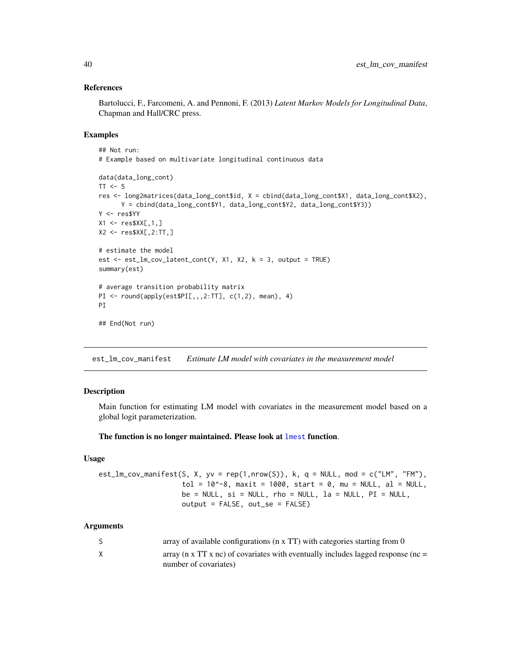### References

Bartolucci, F., Farcomeni, A. and Pennoni, F. (2013) *Latent Markov Models for Longitudinal Data*, Chapman and Hall/CRC press.

#### Examples

```
## Not run:
# Example based on multivariate longitudinal continuous data
data(data_long_cont)
TT < -5res <- long2matrices(data_long_cont$id, X = cbind(data_long_cont$X1, data_long_cont$X2),
      Y = cbind(data_long_cont$Y1, data_long_cont$Y2, data_long_cont$Y3))
Y <- res$YY
X1 \leftarrow \text{res}$XX[, 1, ]X2 \leq -\text{res}$XX[, 2:TT, ]
# estimate the model
est \le est_lm_cov_latent_cont(Y, X1, X2, k = 3, output = TRUE)
summary(est)
# average transition probability matrix
PI \le round(apply(est$PI[,,,2:TT], c(1,2), mean), 4)
PI
## End(Not run)
```
est\_lm\_cov\_manifest *Estimate LM model with covariates in the measurement model*

### **Description**

Main function for estimating LM model with covariates in the measurement model based on a global logit parameterization.

#### The function is no longer maintained. Please look at [lmest](#page-49-0) function.

### Usage

 $est_l_m_{cov_m}$ anifest(S, X, yv = rep(1,nrow(S)), k, q = NULL, mod = c("LM", "FM"),  $tol = 10^{\circ}-8$ , maxit = 1000, start = 0, mu = NULL, al = NULL,  $be = NULL, si = NULL, rho = NULL, la = NULL, PI = NULL,$ output = FALSE, out\_se = FALSE)

#### Arguments

|   | array of available configurations ( $n \times TT$ ) with categories starting from 0           |
|---|-----------------------------------------------------------------------------------------------|
| X | array ( $\pi$ x TT x $\pi$ ) of covariates with eventually includes lagged response ( $\pi$ = |
|   | number of covariates)                                                                         |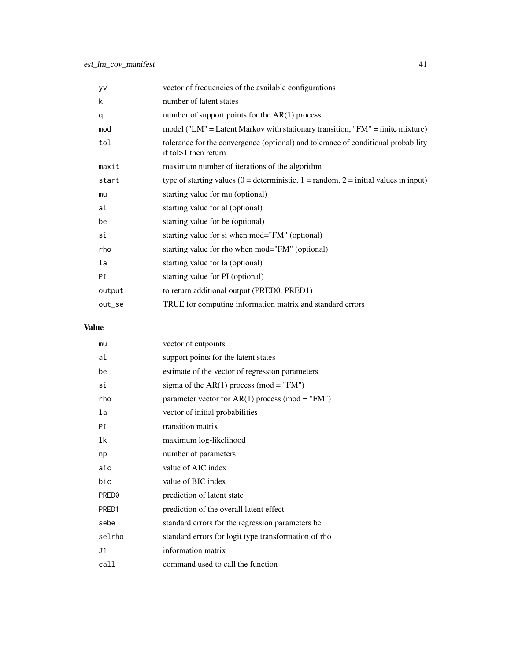| yv     | vector of frequencies of the available configurations                                                       |
|--------|-------------------------------------------------------------------------------------------------------------|
| k      | number of latent states                                                                                     |
| q      | number of support points for the $AR(1)$ process                                                            |
| mod    | model ("LM" = Latent Markov with stationary transition, "FM" = finite mixture)                              |
| tol    | tolerance for the convergence (optional) and tolerance of conditional probability<br>if to $>1$ then return |
| maxit  | maximum number of iterations of the algorithm                                                               |
| start  | type of starting values (0 = deterministic, 1 = random, 2 = initial values in input)                        |
| mu     | starting value for mu (optional)                                                                            |
| al     | starting value for al (optional)                                                                            |
| be     | starting value for be (optional)                                                                            |
| si     | starting value for si when mod="FM" (optional)                                                              |
| rho    | starting value for rho when mod="FM" (optional)                                                             |
| la     | starting value for la (optional)                                                                            |
| PI     | starting value for PI (optional)                                                                            |
| output | to return additional output (PRED0, PRED1)                                                                  |
| out_se | TRUE for computing information matrix and standard errors                                                   |
|        |                                                                                                             |

# Value

| mu     | vector of cutpoints                                  |
|--------|------------------------------------------------------|
| al     | support points for the latent states                 |
| be     | estimate of the vector of regression parameters      |
| si     | sigma of the $AR(1)$ process (mod = "FM")            |
| rho    | parameter vector for AR(1) process (mod = "FM")      |
| la     | vector of initial probabilities                      |
| РI     | transition matrix                                    |
| 1k     | maximum log-likelihood                               |
| np     | number of parameters                                 |
| aic    | value of AIC index                                   |
| bic    | value of BIC index                                   |
| PRED0  | prediction of latent state                           |
| PRED1  | prediction of the overall latent effect              |
| sebe   | standard errors for the regression parameters be     |
| selrho | standard errors for logit type transformation of rho |
| J1     | information matrix                                   |
| call   | command used to call the function                    |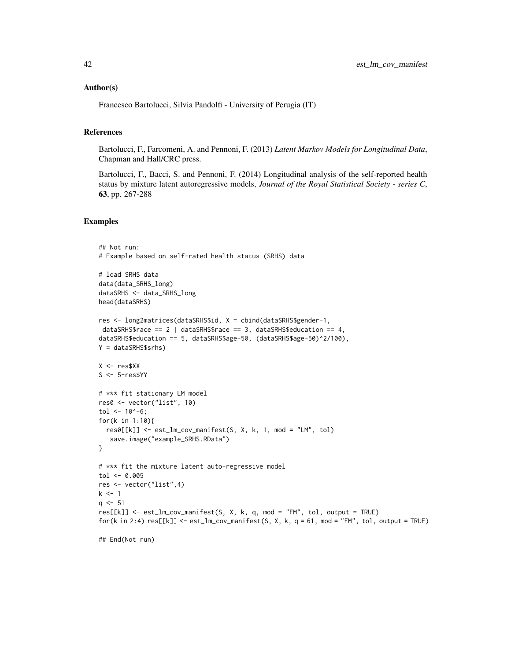### Author(s)

Francesco Bartolucci, Silvia Pandolfi - University of Perugia (IT)

#### References

Bartolucci, F., Farcomeni, A. and Pennoni, F. (2013) *Latent Markov Models for Longitudinal Data*, Chapman and Hall/CRC press.

Bartolucci, F., Bacci, S. and Pennoni, F. (2014) Longitudinal analysis of the self-reported health status by mixture latent autoregressive models, *Journal of the Royal Statistical Society - series C*, 63, pp. 267-288

```
## Not run:
# Example based on self-rated health status (SRHS) data
# load SRHS data
data(data_SRHS_long)
dataSRHS <- data_SRHS_long
head(dataSRHS)
res <- long2matrices(dataSRHS$id, X = cbind(dataSRHS$gender-1,
dataSRHS$race == 2 \mid dataSRHS$race == 3, dataSRHS$education == 4,
dataSRHS$education == 5, dataSRHS$age-50, (dataSRHS$age-50)^2/100),
Y = dataSRHS$srhs)
X < - res$XX
S <- 5-res$YY
# *** fit stationary LM model
res0 <- vector("list", 10)
tol <- 10^{\circ}-6;
for(k in 1:10){
  res0[[k]] <- est_lm_cov_manifest(S, X, k, 1, mod = "LM", tol)
   save.image("example_SRHS.RData")
}
# *** fit the mixture latent auto-regressive model
tol < -0.005res <- vector("list",4)
k \leq -1q \le -51res[[k]] <- est_lm_cov_manifest(S, X, k, q, mod = "FM", tol, output = TRUE)
for(k in 2:4) res[[k]] \le - est_lm_cov_manifest(S, X, k, q = 61, mod = "FM", tol, output = TRUE)## End(Not run)
```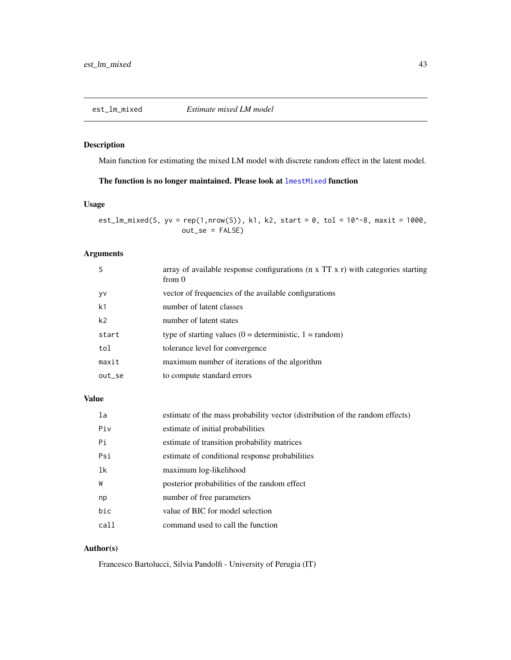## Description

Main function for estimating the mixed LM model with discrete random effect in the latent model.

## The function is no longer maintained. Please look at [lmestMixed](#page-68-0) function

### Usage

est\_lm\_mixed(S, yv = rep(1,nrow(S)), k1, k2, start = 0, tol =  $10^{\circ}$ -8, maxit = 1000, out\_se = FALSE)

## Arguments

|           | array of available response configurations ( $n \times TT \times r$ ) with categories starting<br>from 0 |
|-----------|----------------------------------------------------------------------------------------------------------|
| yv        | vector of frequencies of the available configurations                                                    |
| k1        | number of latent classes                                                                                 |
| k2        | number of latent states                                                                                  |
| start     | type of starting values $(0 =$ deterministic, $1 =$ random)                                              |
| tol       | tolerance level for convergence                                                                          |
| maxit     | maximum number of iterations of the algorithm                                                            |
| $out\_se$ | to compute standard errors                                                                               |
|           |                                                                                                          |

# Value

| la   | estimate of the mass probability vector (distribution of the random effects) |
|------|------------------------------------------------------------------------------|
| Piv  | estimate of initial probabilities                                            |
| Рi   | estimate of transition probability matrices                                  |
| Psi  | estimate of conditional response probabilities                               |
| 1k   | maximum log-likelihood                                                       |
| W    | posterior probabilities of the random effect                                 |
| np   | number of free parameters                                                    |
| bic  | value of BIC for model selection                                             |
| call | command used to call the function                                            |

## Author(s)

Francesco Bartolucci, Silvia Pandolfi - University of Perugia (IT)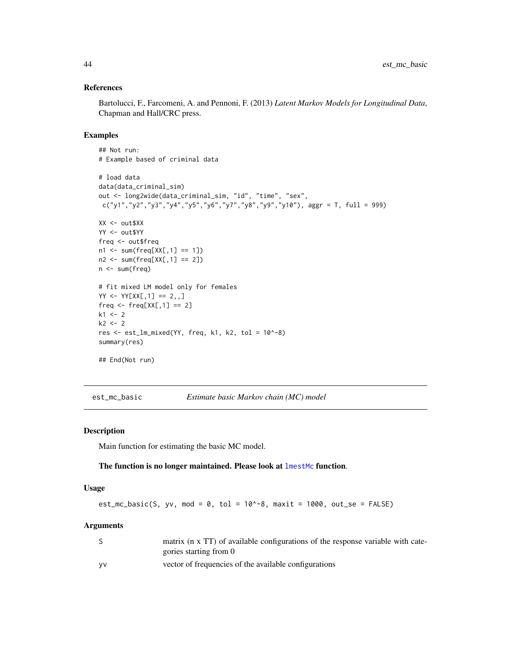### References

Bartolucci, F., Farcomeni, A. and Pennoni, F. (2013) *Latent Markov Models for Longitudinal Data*, Chapman and Hall/CRC press.

#### Examples

```
## Not run:
# Example based of criminal data
# load data
data(data_criminal_sim)
out <- long2wide(data_criminal_sim, "id", "time", "sex",
c("y1", "y2", "y3", "y4", "y5", "y6", "y7", "y8", "y9", "y10"), aggr = T, full = 999)XX <- out$XX
YY <- out$YY
freq <- out$freq
n1 \leq -sum(freq[XX[, 1] == 1])n2 \leq -sum(freq[XX[, 1] == 2])n <- sum(freq)
# fit mixed LM model only for females
YY < -YY[XX[, 1] == 2, ,]freq \leq freq[XX[,1] == 2]
k1 < -2k2 < -2res <- est_lm_mixed(YY, freq, k1, k2, tol = 10^-8)
summary(res)
## End(Not run)
```
est\_mc\_basic *Estimate basic Markov chain (MC) model*

### Description

Main function for estimating the basic MC model.

#### The function is no longer maintained. Please look at [lmestMc](#page-65-0) function.

#### Usage

```
est_mc_basic(S, yv, mod = 0, tol = 10^3-8, maxit = 1000, out_se = FALSE)
```
#### **Arguments**

|           | matrix (n x TT) of available configurations of the response variable with cate- |
|-----------|---------------------------------------------------------------------------------|
|           | gories starting from 0                                                          |
| <b>VV</b> | vector of frequencies of the available configurations                           |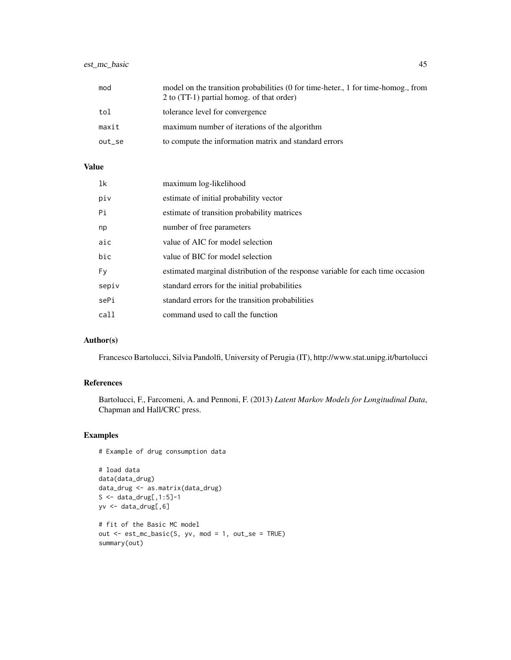## est\_mc\_basic 45

| mod    | model on the transition probabilities (0 for time-heter., 1 for time-homog., from<br>2 to (TT-1) partial homog, of that order) |
|--------|--------------------------------------------------------------------------------------------------------------------------------|
| tol    | tolerance level for convergence                                                                                                |
| maxit  | maximum number of iterations of the algorithm                                                                                  |
| out_se | to compute the information matrix and standard errors                                                                          |

# Value

| 1k    | maximum log-likelihood                                                          |
|-------|---------------------------------------------------------------------------------|
| piv   | estimate of initial probability vector                                          |
| Pi    | estimate of transition probability matrices                                     |
| np    | number of free parameters                                                       |
| aic   | value of AIC for model selection                                                |
| bic   | value of BIC for model selection                                                |
| Fy    | estimated marginal distribution of the response variable for each time occasion |
| sepiv | standard errors for the initial probabilities                                   |
| sePi  | standard errors for the transition probabilities                                |
| call  | command used to call the function                                               |

# Author(s)

Francesco Bartolucci, Silvia Pandolfi, University of Perugia (IT), http://www.stat.unipg.it/bartolucci

## References

Bartolucci, F., Farcomeni, A. and Pennoni, F. (2013) *Latent Markov Models for Longitudinal Data*, Chapman and Hall/CRC press.

```
# Example of drug consumption data
```

```
# load data
data(data_drug)
data_drug <- as.matrix(data_drug)
S \leq data_drug[, 1:5]-1
yv <- data_drug[,6]
# fit of the Basic MC model
out \leq est_mc_basic(S, yv, mod = 1, out_se = TRUE)
summary(out)
```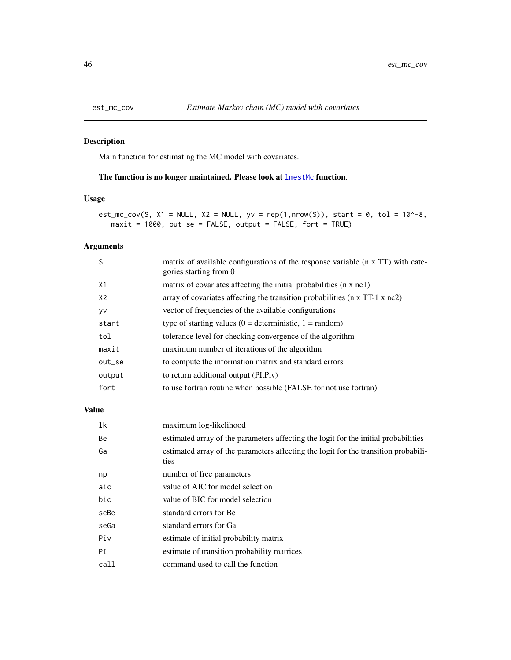## Description

Main function for estimating the MC model with covariates.

## The function is no longer maintained. Please look at [lmestMc](#page-65-0) function.

## Usage

est\_mc\_cov(S,  $X1 = NULL$ ,  $X2 = NULL$ ,  $yv = rep(1,nrow(S))$ , start = 0, tol = 10^-8, maxit = 1000, out\_se = FALSE, output = FALSE, fort = TRUE)

## Arguments

| S              | matrix of available configurations of the response variable (n x TT) with cate-<br>gories starting from 0 |
|----------------|-----------------------------------------------------------------------------------------------------------|
| X1             | matrix of covariates affecting the initial probabilities (n x nc1)                                        |
| X <sub>2</sub> | array of covariates affecting the transition probabilities ( $n \times TT-1 \times nc2$ )                 |
| yv             | vector of frequencies of the available configurations                                                     |
| start          | type of starting values $(0 =$ deterministic, $1 =$ random)                                               |
| tol            | tolerance level for checking convergence of the algorithm                                                 |
| maxit          | maximum number of iterations of the algorithm                                                             |
| out_se         | to compute the information matrix and standard errors                                                     |
| output         | to return additional output (PI, Piv)                                                                     |
| fort           | to use fortran routine when possible (FALSE for not use fortran)                                          |
|                |                                                                                                           |

## Value

| 1k   | maximum log-likelihood                                                                      |
|------|---------------------------------------------------------------------------------------------|
| Be   | estimated array of the parameters affecting the logit for the initial probabilities         |
| Ga   | estimated array of the parameters affecting the logit for the transition probabili-<br>ties |
| np   | number of free parameters                                                                   |
| aic  | value of AIC for model selection                                                            |
| bic  | value of BIC for model selection                                                            |
| seBe | standard errors for Be                                                                      |
| seGa | standard errors for Ga                                                                      |
| Piv  | estimate of initial probability matrix                                                      |
| PI   | estimate of transition probability matrices                                                 |
| call | command used to call the function                                                           |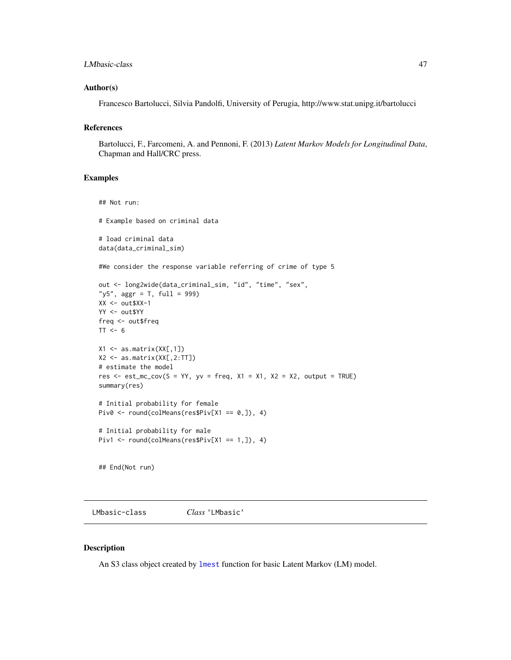### LMbasic-class 47

### Author(s)

Francesco Bartolucci, Silvia Pandolfi, University of Perugia, http://www.stat.unipg.it/bartolucci

## References

Bartolucci, F., Farcomeni, A. and Pennoni, F. (2013) *Latent Markov Models for Longitudinal Data*, Chapman and Hall/CRC press.

#### Examples

```
## Not run:
# Example based on criminal data
# load criminal data
data(data_criminal_sim)
#We consider the response variable referring of crime of type 5
out <- long2wide(data_criminal_sim, "id", "time", "sex",
"y5", aggr = T, full = 999)
XX < - out$XX-1
YY <- out$YY
freq <- out$freq
TT < -6X1 \leftarrow as.matrix(XX[,1])X2 <- as.matrix(XX[,2:TT])
# estimate the model
res \le est_mc_cov(S = YY, yv = freq, X1 = X1, X2 = X2, output = TRUE)
summary(res)
# Initial probability for female
Piv0 <- round(colMeans(res$Piv[X1 == 0,]), 4)
# Initial probability for male
Piv1 <- round(colMeans(res$Piv[X1 == 1,]), 4)
```
<span id="page-46-0"></span>LMbasic-class *Class* 'LMbasic'

#### Description

## End(Not run)

An S3 class object created by [lmest](#page-49-0) function for basic Latent Markov (LM) model.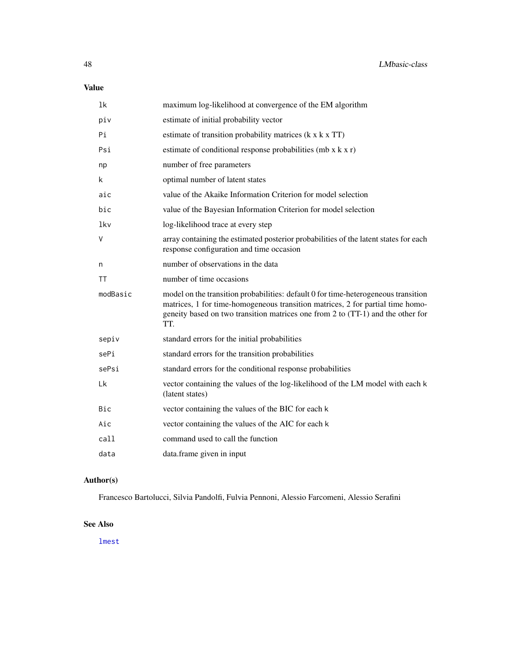# Value

| 1k       | maximum log-likelihood at convergence of the EM algorithm                                                                                                                                                                                                      |
|----------|----------------------------------------------------------------------------------------------------------------------------------------------------------------------------------------------------------------------------------------------------------------|
| piv      | estimate of initial probability vector                                                                                                                                                                                                                         |
| Pi       | estimate of transition probability matrices (k x k x TT)                                                                                                                                                                                                       |
| Psi      | estimate of conditional response probabilities (mb $x k x r$ )                                                                                                                                                                                                 |
| np       | number of free parameters                                                                                                                                                                                                                                      |
| k.       | optimal number of latent states                                                                                                                                                                                                                                |
| aic      | value of the Akaike Information Criterion for model selection                                                                                                                                                                                                  |
| bic      | value of the Bayesian Information Criterion for model selection                                                                                                                                                                                                |
| lkv      | log-likelihood trace at every step                                                                                                                                                                                                                             |
| V        | array containing the estimated posterior probabilities of the latent states for each<br>response configuration and time occasion                                                                                                                               |
| n        | number of observations in the data                                                                                                                                                                                                                             |
| TT       | number of time occasions                                                                                                                                                                                                                                       |
| modBasic | model on the transition probabilities: default 0 for time-heterogeneous transition<br>matrices, 1 for time-homogeneous transition matrices, 2 for partial time homo-<br>geneity based on two transition matrices one from 2 to (TT-1) and the other for<br>TT. |
| sepiv    | standard errors for the initial probabilities                                                                                                                                                                                                                  |
| sePi     | standard errors for the transition probabilities                                                                                                                                                                                                               |
| sePsi    | standard errors for the conditional response probabilities                                                                                                                                                                                                     |
| Lk       | vector containing the values of the log-likelihood of the LM model with each k<br>(latent states)                                                                                                                                                              |
| Bic      | vector containing the values of the BIC for each k                                                                                                                                                                                                             |
| Aic      | vector containing the values of the AIC for each k                                                                                                                                                                                                             |
| call     | command used to call the function                                                                                                                                                                                                                              |
| data     | data.frame given in input                                                                                                                                                                                                                                      |

# Author(s)

Francesco Bartolucci, Silvia Pandolfi, Fulvia Pennoni, Alessio Farcomeni, Alessio Serafini

## See Also

[lmest](#page-49-0)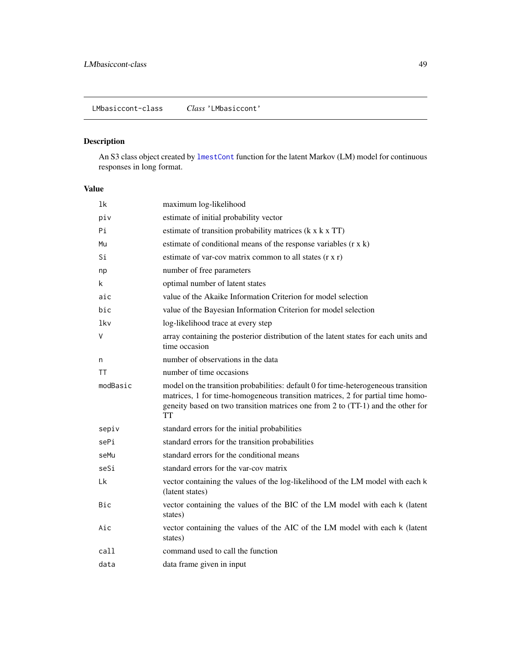# <span id="page-48-0"></span>Description

An S3 class object created by [lmestCont](#page-54-0) function for the latent Markov (LM) model for continuous responses in long format.

## Value

| 1 <sup>k</sup> | maximum log-likelihood                                                                                                                                                                                                                                        |
|----------------|---------------------------------------------------------------------------------------------------------------------------------------------------------------------------------------------------------------------------------------------------------------|
| piv            | estimate of initial probability vector                                                                                                                                                                                                                        |
| Рi             | estimate of transition probability matrices (k x k x TT)                                                                                                                                                                                                      |
| Mu             | estimate of conditional means of the response variables $(r \times k)$                                                                                                                                                                                        |
| Si             | estimate of var-cov matrix common to all states $(r x r)$                                                                                                                                                                                                     |
| np             | number of free parameters                                                                                                                                                                                                                                     |
| k.             | optimal number of latent states                                                                                                                                                                                                                               |
| aic            | value of the Akaike Information Criterion for model selection                                                                                                                                                                                                 |
| bic            | value of the Bayesian Information Criterion for model selection                                                                                                                                                                                               |
| lkv            | log-likelihood trace at every step                                                                                                                                                                                                                            |
| ٧              | array containing the posterior distribution of the latent states for each units and<br>time occasion                                                                                                                                                          |
| n              | number of observations in the data                                                                                                                                                                                                                            |
| ΤT             | number of time occasions                                                                                                                                                                                                                                      |
| modBasic       | model on the transition probabilities: default 0 for time-heterogeneous transition<br>matrices, 1 for time-homogeneous transition matrices, 2 for partial time homo-<br>geneity based on two transition matrices one from 2 to (TT-1) and the other for<br>TT |
| sepiv          | standard errors for the initial probabilities                                                                                                                                                                                                                 |
| sePi           | standard errors for the transition probabilities                                                                                                                                                                                                              |
| seMu           | standard errors for the conditional means                                                                                                                                                                                                                     |
| seSi           | standard errors for the var-cov matrix                                                                                                                                                                                                                        |
| Lk             | vector containing the values of the log-likelihood of the LM model with each k<br>(latent states)                                                                                                                                                             |
| Bic            | vector containing the values of the BIC of the LM model with each k (latent<br>states)                                                                                                                                                                        |
| Aic            | vector containing the values of the AIC of the LM model with each k (latent<br>states)                                                                                                                                                                        |
| call           | command used to call the function                                                                                                                                                                                                                             |
| data           | data frame given in input                                                                                                                                                                                                                                     |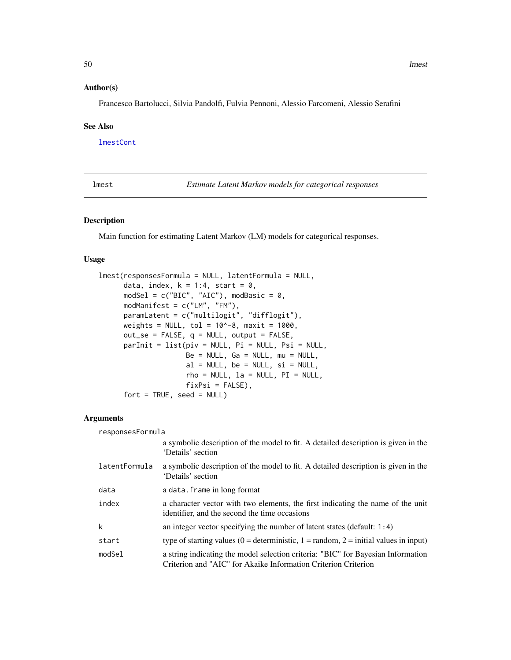### Author(s)

Francesco Bartolucci, Silvia Pandolfi, Fulvia Pennoni, Alessio Farcomeni, Alessio Serafini

#### See Also

[lmestCont](#page-54-0)

<span id="page-49-0"></span>lmest *Estimate Latent Markov models for categorical responses*

# Description

Main function for estimating Latent Markov (LM) models for categorical responses.

### Usage

```
lmest(responsesFormula = NULL, latentFormula = NULL,
     data, index, k = 1:4, start = 0,
     modSel = c("BIC", "AIC"), modBasic = 0,modManifest = c("LM", "FM"),
     paramLatent = c("multilogit", "difflogit"),
     weights = NULL, tol = 10^{\circ}-8, maxit = 1000,
     out_se = FALSE, q = NULL, output = FALSE,
     parInit = list(piv = NULL, Pi = NULL, Psi = NULL,Be = NULL, Ga = NULL, mu = NULL,al = NULL, be = NULL, si = NULL,rho = NULL, la = NULL, PI = NULL,fixPsi = FALSE),
     fort = TRUE, seed = NULL)
```
### Arguments

| responsesFormula |                                                                                                                                                    |
|------------------|----------------------------------------------------------------------------------------------------------------------------------------------------|
|                  | a symbolic description of the model to fit. A detailed description is given in the<br>'Details' section                                            |
| latentFormula    | a symbolic description of the model to fit. A detailed description is given in the<br>'Details' section                                            |
| data             | a data. frame in long format                                                                                                                       |
| index            | a character vector with two elements, the first indicating the name of the unit<br>identifier, and the second the time occasions                   |
| k                | an integer vector specifying the number of latent states (default: $1:4$ )                                                                         |
| start            | type of starting values (0 = deterministic, 1 = random, 2 = initial values in input)                                                               |
| modSel           | a string indicating the model selection criteria: "BIC" for Bayesian Information<br>Criterion and "AIC" for Akaike Information Criterion Criterion |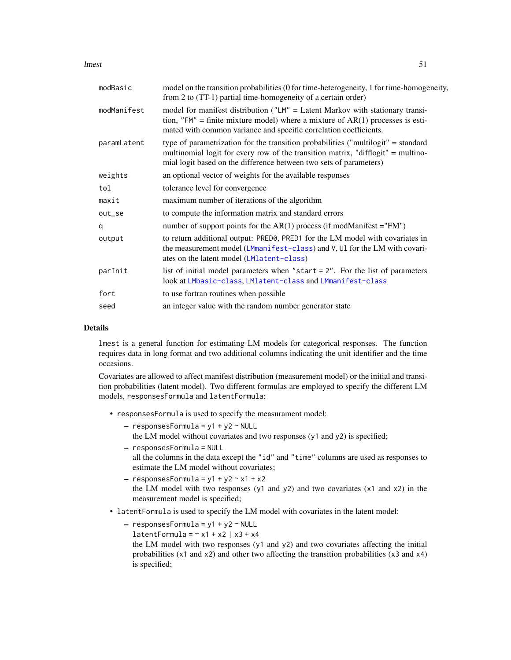lmest 51

| modBasic    | model on the transition probabilities (0 for time-heterogeneity, 1 for time-homogeneity,<br>from 2 to (TT-1) partial time-homogeneity of a certain order)                                                                                   |
|-------------|---------------------------------------------------------------------------------------------------------------------------------------------------------------------------------------------------------------------------------------------|
| modManifest | model for manifest distribution ("LM" = Latent Markov with stationary transi-<br>tion, "FM" = finite mixture model) where a mixture of $AR(1)$ processes is esti-<br>mated with common variance and specific correlation coefficients.      |
| paramLatent | type of parametrization for the transition probabilities ("multilogit" = standard<br>multinomial logit for every row of the transition matrix, "difflogit" = multino-<br>mial logit based on the difference between two sets of parameters) |
| weights     | an optional vector of weights for the available responses                                                                                                                                                                                   |
| tol         | tolerance level for convergence                                                                                                                                                                                                             |
| maxit       | maximum number of iterations of the algorithm                                                                                                                                                                                               |
| out_se      | to compute the information matrix and standard errors                                                                                                                                                                                       |
| q           | number of support points for the $AR(1)$ process (if modManifest = "FM")                                                                                                                                                                    |
| output      | to return additional output: PRED0, PRED1 for the LM model with covariates in<br>the measurement model (LMmanifest-class) and V, Ul for the LM with covari-<br>ates on the latent model (LMlatent-class)                                    |
| parInit     | list of initial model parameters when "start $= 2$ ". For the list of parameters<br>look at LMbasic-class, LMlatent-class and LMmanifest-class                                                                                              |
| fort        | to use fortran routines when possible                                                                                                                                                                                                       |
| seed        | an integer value with the random number generator state                                                                                                                                                                                     |

#### Details

lmest is a general function for estimating LM models for categorical responses. The function requires data in long format and two additional columns indicating the unit identifier and the time occasions.

Covariates are allowed to affect manifest distribution (measurement model) or the initial and transition probabilities (latent model). Two different formulas are employed to specify the different LM models, responsesFormula and latentFormula:

- responsesFormula is used to specify the measurament model:
	- $-$  responsesFormula = y1 + y2  $\sim$  NULL the LM model without covariates and two responses (y1 and y2) is specified;
	- responsesFormula = NULL all the columns in the data except the "id" and "time" columns are used as responses to estimate the LM model without covariates;
	- $-$  responsesFormula =  $y1 + y2 x1 + x2$ the LM model with two responses (y1 and y2) and two covariates  $(x1$  and  $x2)$  in the measurement model is specified;
- latentFormula is used to specify the LM model with covariates in the latent model:
	- $-$  responsesFormula = y1 + y2  $\sim$  NULL latentFormula =  $~x1 + x2$  |  $x3 + x4$ the LM model with two responses (y1 and y2) and two covariates affecting the initial probabilities (x1 and x2) and other two affecting the transition probabilities (x3 and x4) is specified;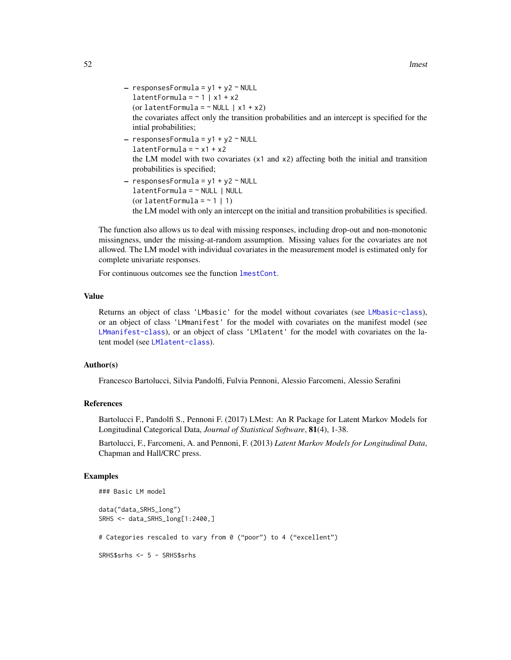- $-$  responsesFormula = y1 + y2  $\sim$  NULL latentFormula =  $~1$  | x1 + x2 (or latentFormula =  $~\sim$  NULL | x1 + x2) the covariates affect only the transition probabilities and an intercept is specified for the intial probabilities;
- $-$  responsesFormula = y1 + y2  $\sim$  NULL  $latentFormula = ~ x1 + x2$ the LM model with two covariates (x1 and x2) affecting both the initial and transition probabilities is specified;
- $-$  responsesFormula = y1 + y2  $\sim$  NULL latentFormula = ~ NULL | NULL (or latentFormula =  $\sim$  1 | 1) the LM model with only an intercept on the initial and transition probabilities is specified.

The function also allows us to deal with missing responses, including drop-out and non-monotonic missingness, under the missing-at-random assumption. Missing values for the covariates are not allowed. The LM model with individual covariates in the measurement model is estimated only for complete univariate responses.

For continuous outcomes see the function [lmestCont](#page-54-0).

#### Value

Returns an object of class 'LMbasic' for the model without covariates (see [LMbasic-class](#page-46-0)), or an object of class 'LMmanifest' for the model with covariates on the manifest model (see [LMmanifest-class](#page-75-0)), or an object of class 'LMlatent' for the model with covariates on the latent model (see [LMlatent-class](#page-73-0)).

#### Author(s)

Francesco Bartolucci, Silvia Pandolfi, Fulvia Pennoni, Alessio Farcomeni, Alessio Serafini

## References

Bartolucci F., Pandolfi S., Pennoni F. (2017) LMest: An R Package for Latent Markov Models for Longitudinal Categorical Data, *Journal of Statistical Software*, 81(4), 1-38.

Bartolucci, F., Farcomeni, A. and Pennoni, F. (2013) *Latent Markov Models for Longitudinal Data*, Chapman and Hall/CRC press.

#### Examples

```
### Basic LM model
```
data("data\_SRHS\_long") SRHS <- data\_SRHS\_long[1:2400,]

# Categories rescaled to vary from 0 ("poor") to 4 ("excellent")

SRHS\$srhs <- 5 - SRHS\$srhs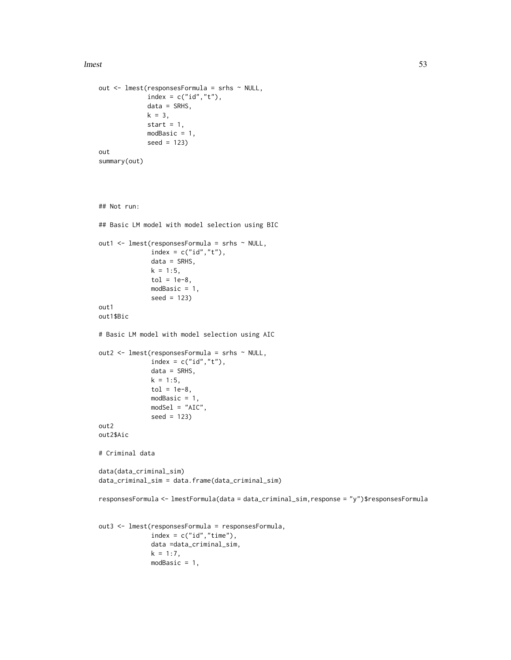lmest 53

```
out <- lmest(responsesFormula = srhs ~ NULL,
             index = c("id", "t"),
             data = SRHS,
             k = 3,start = 1,modBasic = 1,
             seed = 123)
out
summary(out)
## Not run:
## Basic LM model with model selection using BIC
out1 <- lmest(responsesFormula = srhs ~ NULL,
              index = c("id", "t"),
              data = SRHS,
              k = 1:5,
              tol = 1e-8.
              modBasic = 1,
              seed = 123)
out1
out1$Bic
# Basic LM model with model selection using AIC
out2 <- lmest(responsesFormula = srhs ~ NULL,
              index = c("id", "t"),
              data = SRHS,
              k = 1:5,
              tol = 1e-8,modBasic = 1,
              modSel = "AIC",
              seed = 123)
out2
out2$Aic
# Criminal data
data(data_criminal_sim)
data_criminal_sim = data.frame(data_criminal_sim)
responsesFormula <- lmestFormula(data = data_criminal_sim,response = "y")$responsesFormula
out3 <- lmest(responsesFormula = responsesFormula,
              index = c("id", "time"),data =data_criminal_sim,
```
 $k = 1:7$ , modBasic = 1,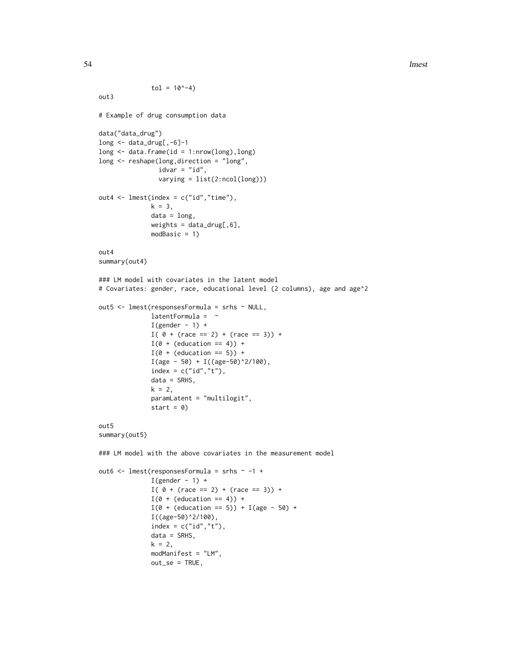```
tol = 10^{\wedge} - 4out3
# Example of drug consumption data
data("data_drug")
long <- data_drug[,-6]-1
long <- data.frame(id = 1:nrow(long),long)
long <- reshape(long,direction = "long",
                idvar = "id",
                varying = list(2:ncol(long)))
out4 \leq lmest(index = c("id","time"),
              k = 3,
              data = long,
              weights = data_drug[, 6],modBasic = 1)
out4
summary(out4)
### LM model with covariates in the latent model
# Covariates: gender, race, educational level (2 columns), age and age^2
out5 <- lmest(responsesFormula = srhs ~ NULL,
              latentFormula = \simI(gender - 1) +I( 0 + (race == 2) + (race == 3)) +I(\emptyset + (education == 4)) +I(\emptyset + (education == 5)) +I(age - 50) + I((age - 50)^2/100),index = c("id", "t"),data = SRHS,
              k = 2,
              paramLatent = "multilogit",
              start = 0)
out5
summary(out5)
### LM model with the above covariates in the measurement model
out6 <- lmest(responsesFormula = srhs ~ -1 +
              I(gender - 1) +I( 0 + (race == 2) + (race == 3)) +I(\emptyset + (education == 4)) +I(\emptyset + (education == 5)) + I(age - 50) +I((age-50)^2/100),
              index = c("id", "t"),data = SRHS,
              k = 2,
              modManifest = "LM",
              out_se = TRUE,
```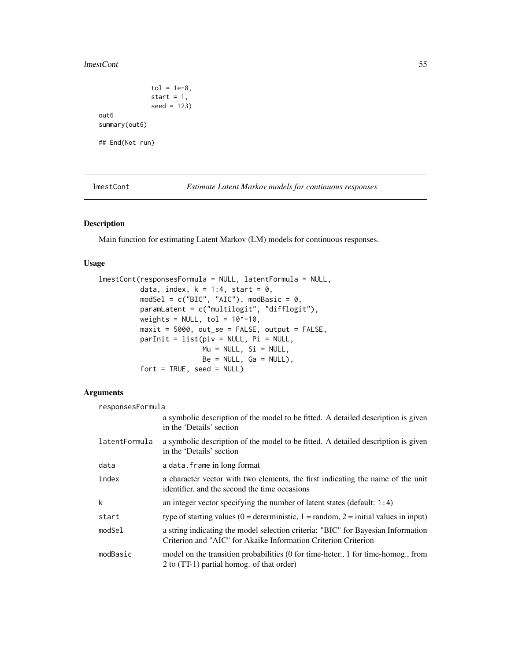#### lmestCont 55

```
tol = 1e-8,start = 1,seed = 123)
out6
summary(out6)
## End(Not run)
```
<span id="page-54-0"></span>lmestCont *Estimate Latent Markov models for continuous responses*

## Description

Main function for estimating Latent Markov (LM) models for continuous responses.

## Usage

```
lmestCont(responsesFormula = NULL, latentFormula = NULL,
          data, index, k = 1:4, start = 0,
         models1 = c("BIC", "AIC"), modBasic = 0,
          paramLatent = c("multilogit", "difflogit"),
          weights = NULL, tol = 10^{\circ}-10,
          maxit = 5000, out\_se = FALSE, output = FALSE,
          parInit = list(piv = NULL, Pi = NULL,
                         Mu = NULL, Si = NULL,Be = NULL, Ga = NULL),
          fort = TRUE, seed = NULL)
```
### Arguments

| responsesFormula |                                                                                                                                                    |  |
|------------------|----------------------------------------------------------------------------------------------------------------------------------------------------|--|
|                  | a symbolic description of the model to be fitted. A detailed description is given<br>in the 'Details' section                                      |  |
| latentFormula    | a symbolic description of the model to be fitted. A detailed description is given<br>in the 'Details' section                                      |  |
| data             | a data. frame in long format                                                                                                                       |  |
| index            | a character vector with two elements, the first indicating the name of the unit<br>identifier, and the second the time occasions                   |  |
| k                | an integer vector specifying the number of latent states (default: $1:4$ )                                                                         |  |
| start            | type of starting values (0 = deterministic, 1 = random, 2 = initial values in input)                                                               |  |
| modSel           | a string indicating the model selection criteria: "BIC" for Bayesian Information<br>Criterion and "AIC" for Akaike Information Criterion Criterion |  |
| modBasic         | model on the transition probabilities (0 for time-heter., 1 for time-homog., from<br>2 to (TT-1) partial homog. of that order)                     |  |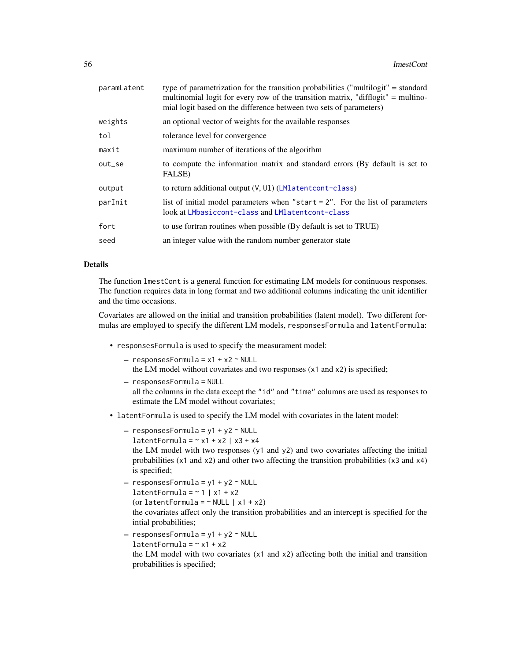| paramLatent | type of parametrization for the transition probabilities ("multilogit" = standard<br>multinomial logit for every row of the transition matrix, "difflogit" = multino-<br>mial logit based on the difference between two sets of parameters) |
|-------------|---------------------------------------------------------------------------------------------------------------------------------------------------------------------------------------------------------------------------------------------|
| weights     | an optional vector of weights for the available responses                                                                                                                                                                                   |
| tol         | tolerance level for convergence                                                                                                                                                                                                             |
| maxit       | maximum number of iterations of the algorithm                                                                                                                                                                                               |
| out_se      | to compute the information matrix and standard errors (By default is set to<br>FALSE)                                                                                                                                                       |
| output      | to return additional output $(V, UI)$ (LMlatentcont-class)                                                                                                                                                                                  |
| parInit     | list of initial model parameters when "start $= 2$ ". For the list of parameters<br>look at LMbasiccont-class and LMlatentcont-class                                                                                                        |
| fort        | to use fortran routines when possible (By default is set to TRUE)                                                                                                                                                                           |
| seed        | an integer value with the random number generator state                                                                                                                                                                                     |
|             |                                                                                                                                                                                                                                             |

### Details

The function lmestCont is a general function for estimating LM models for continuous responses. The function requires data in long format and two additional columns indicating the unit identifier and the time occasions.

Covariates are allowed on the initial and transition probabilities (latent model). Two different formulas are employed to specify the different LM models, responsesFormula and latentFormula:

- responsesFormula is used to specify the measurament model:
	- $-$  responsesFormula =  $x1 + x2$  ~ NULL
	- the LM model without covariates and two responses (x1 and x2) is specified;
	- responsesFormula = NULL all the columns in the data except the "id" and "time" columns are used as responses to estimate the LM model without covariates;
- latentFormula is used to specify the LM model with covariates in the latent model:
	- $-$  responsesFormula = y1 + y2  $\sim$  NULL
	- latentFormula =  $~x1 + x2$  |  $x3 + x4$

the LM model with two responses  $(y1$  and  $y2)$  and two covariates affecting the initial probabilities (x1 and x2) and other two affecting the transition probabilities (x3 and x4) is specified;

```
- responsesFormula = y1 + y2 \sim \text{NULL}latentFormula = ~1 | x1 + x2
  (or latentFormula = \sim NULL | x1 + x2)
  the covariates affect only the transition probabilities and an intercept is specified for the
  intial probabilities;
```
 $-$  responsesFormula =  $y1 + y2 \sim$  NULL  $latentFormula = ~ x1 + x2$ the LM model with two covariates (x1 and x2) affecting both the initial and transition probabilities is specified;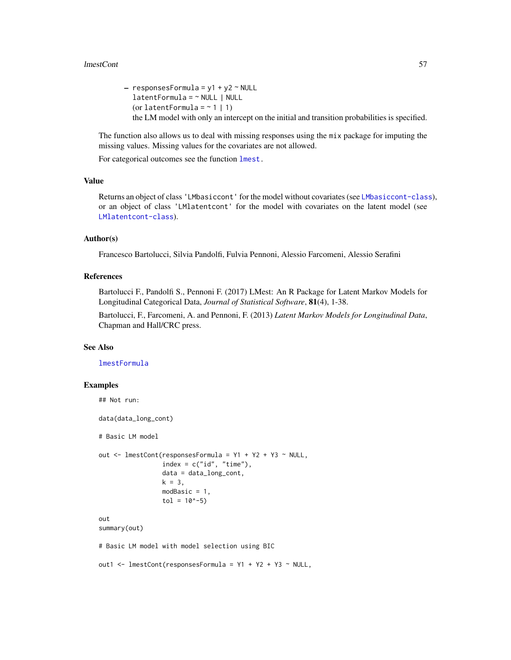#### lmestCont 57

 $-$  responsesFormula = y1 + y2  $\sim$  NULL latentFormula = ~ NULL | NULL (or latentFormula =  $\sim$  1 | 1) the LM model with only an intercept on the initial and transition probabilities is specified.

The function also allows us to deal with missing responses using the mix package for imputing the missing values. Missing values for the covariates are not allowed.

For categorical outcomes see the function [lmest.](#page-49-0)

## Value

Returns an object of class 'LMbasiccont' for the model without covariates (see [LMbasiccont-class](#page-48-0)), or an object of class 'LMlatentcont' for the model with covariates on the latent model (see [LMlatentcont-class](#page-74-0)).

# Author(s)

Francesco Bartolucci, Silvia Pandolfi, Fulvia Pennoni, Alessio Farcomeni, Alessio Serafini

#### References

Bartolucci F., Pandolfi S., Pennoni F. (2017) LMest: An R Package for Latent Markov Models for Longitudinal Categorical Data, *Journal of Statistical Software*, 81(4), 1-38.

Bartolucci, F., Farcomeni, A. and Pennoni, F. (2013) *Latent Markov Models for Longitudinal Data*, Chapman and Hall/CRC press.

#### See Also

[lmestFormula](#page-62-0)

```
## Not run:
data(data_long_cont)
# Basic LM model
out \le - lmestCont(responsesFormula = Y1 + Y2 + Y3 \sim NULL,
                  index = c("id", "time"),
                  data = data_long_cont,
                  k = 3,modBasic = 1,
                  tol = 10^{\circ} - 5)out
summary(out)
# Basic LM model with model selection using BIC
out1 <- lmestCont(responsesFormula = Y1 + Y2 + Y3 ~ NULL,
```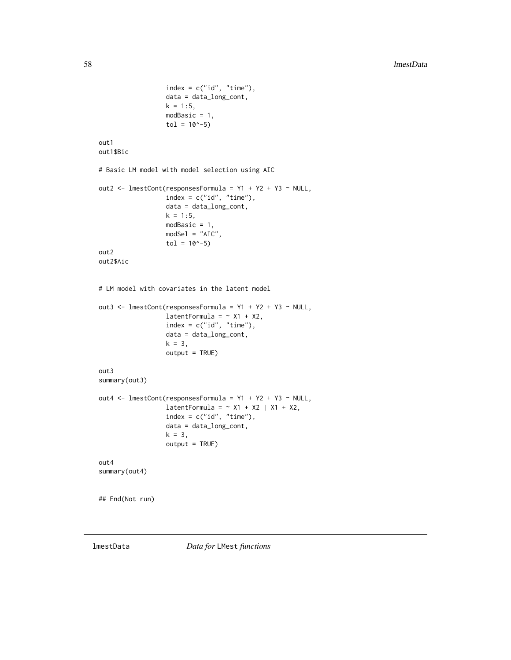```
index = c("id", "time"),data = data_long_cont,
                  k = 1:5,
                  modBasic = 1,
                  tol = 10^{\circ} - 5)out1
out1$Bic
# Basic LM model with model selection using AIC
out2 <- lmestCont(responsesFormula = Y1 + Y2 + Y3 ~ NULL,
                  index = c("id", "time"),data = data_long_cont,
                  k = 1:5,
                  modBasic = 1,
                  modSel = "AIC",
                  tol = 10^{\wedge} -5)out2
out2$Aic
# LM model with covariates in the latent model
out3 <- lmestCont(responsesFormula = Y1 + Y2 + Y3 ~ NULL,
                  latentFormula = ~\sim X1 + X2,
                  index = c("id", "time"),
                  data = data_long_cont,
                  k = 3,
                  output = TRUE)
out3
summary(out3)
out4 <- lmestCont(responsesFormula = Y1 + Y2 + Y3 ~ NULL,
                  latentFormula = \sim X1 + X2 | X1 + X2,
                  index = c("id", "time"),data = data_long_cont,
                  k = 3,output = TRUE)
out4
summary(out4)
## End(Not run)
```
lmestData *Data for* LMest *functions*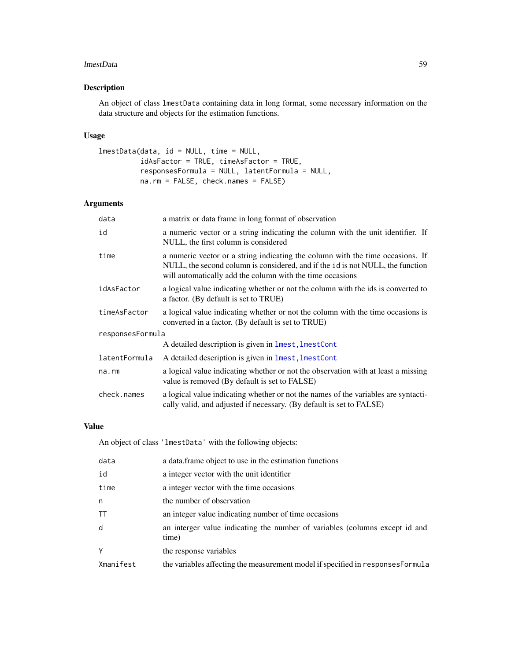#### lmestData 59

# Description

An object of class lmestData containing data in long format, some necessary information on the data structure and objects for the estimation functions.

## Usage

```
lmestData(data, id = NULL, time = NULL,
         idAsFactor = TRUE, timeAsFactor = TRUE,
         responsesFormula = NULL, latentFormula = NULL,
         na.rm = FALSE, check.names = FALSE)
```
## Arguments

| a matrix or data frame in long format of observation                                                                                                                                                                          |  |  |
|-------------------------------------------------------------------------------------------------------------------------------------------------------------------------------------------------------------------------------|--|--|
| a numeric vector or a string indicating the column with the unit identifier. If<br>NULL, the first column is considered                                                                                                       |  |  |
| a numeric vector or a string indicating the column with the time occasions. If<br>NULL, the second column is considered, and if the id is not NULL, the function<br>will automatically add the column with the time occasions |  |  |
| a logical value indicating whether or not the column with the ids is converted to<br>a factor. (By default is set to TRUE)                                                                                                    |  |  |
| a logical value indicating whether or not the column with the time occasions is<br>converted in a factor. (By default is set to TRUE)                                                                                         |  |  |
| responsesFormula                                                                                                                                                                                                              |  |  |
| A detailed description is given in lmest, lmestCont                                                                                                                                                                           |  |  |
| A detailed description is given in lmest, lmestCont                                                                                                                                                                           |  |  |
| a logical value indicating whether or not the observation with at least a missing<br>value is removed (By default is set to FALSE)                                                                                            |  |  |
| a logical value indicating whether or not the names of the variables are syntacti-<br>cally valid, and adjusted if necessary. (By default is set to FALSE)                                                                    |  |  |
|                                                                                                                                                                                                                               |  |  |

## Value

An object of class 'lmestData' with the following objects:

| data      | a data.frame object to use in the estimation functions                               |
|-----------|--------------------------------------------------------------------------------------|
| id        | a integer vector with the unit identifier                                            |
| time      | a integer vector with the time occasions                                             |
| n         | the number of observation                                                            |
| <b>TT</b> | an integer value indicating number of time occasions                                 |
| d         | an interger value indicating the number of variables (columns except id and<br>time) |
| Υ         | the response variables                                                               |
| Xmanifest | the variables affecting the measurement model if specified in responses Formula      |
|           |                                                                                      |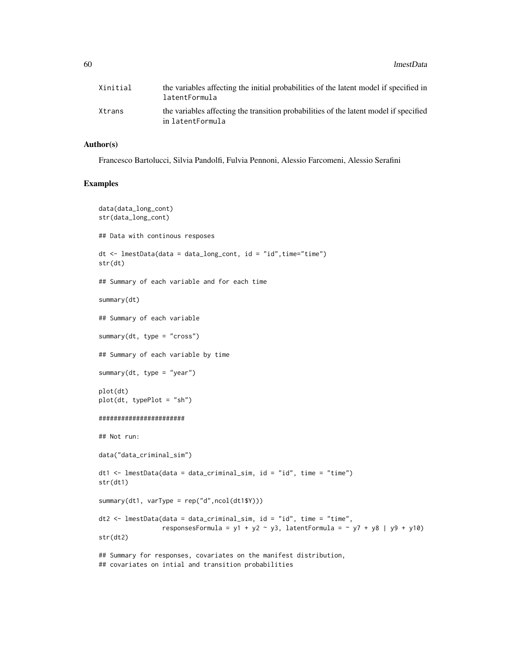60 lmestData and the contract of the contract of the contract of the contract of the contract of the contract of the contract of the contract of the contract of the contract of the contract of the contract of the contract

| Xinitial | the variables affecting the initial probabilities of the latent model if specified in<br>latentFormula    |
|----------|-----------------------------------------------------------------------------------------------------------|
| Xtrans   | the variables affecting the transition probabilities of the latent model if specified<br>in latentFormula |

#### Author(s)

Francesco Bartolucci, Silvia Pandolfi, Fulvia Pennoni, Alessio Farcomeni, Alessio Serafini

```
data(data_long_cont)
str(data_long_cont)
## Data with continous resposes
dt \leq lmestData(data = data_long_cont, id = "id", time="time")
str(dt)
## Summary of each variable and for each time
summary(dt)
## Summary of each variable
summary(dt, type = "cross")## Summary of each variable by time
summary(dt, type = "year")
plot(dt)
plot(dt, typePlot = "sh")
#######################
## Not run:
data("data_criminal_sim")
dt1 \le lmestData(data = data_criminal_sim, id = "id", time = "time")
str(dt1)
summary(dt1, varType = rep("d",ncol(dt1$Y)))
dt2 <- lmestData(data = data_criminal_sim, id = "id", time = "time",
                 responsesFormula = y1 + y2 ~ y3, latentFormula = ~ y7 + y8 | y9 + y10)
str(dt2)
## Summary for responses, covariates on the manifest distribution,
## covariates on intial and transition probabilities
```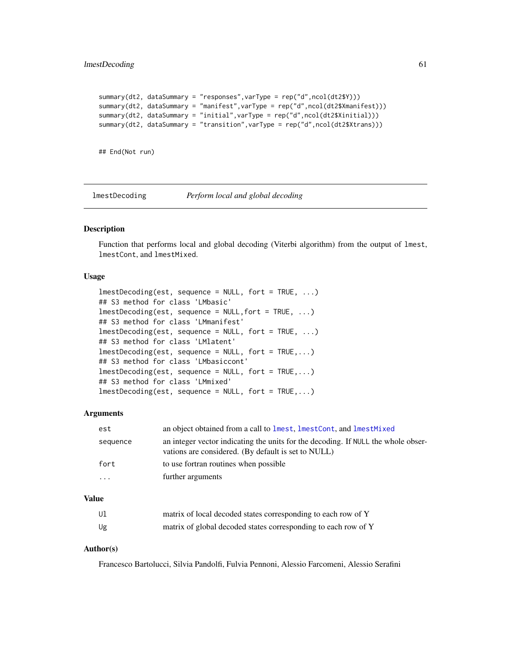```
summary(dt2, dataSummary = "responses",varType = rep("d",ncol(dt2$Y)))
summary(dt2, dataSummary = "manifest",varType = rep("d",ncol(dt2$Xmanifest)))
summary(dt2, dataSummary = "initial",varType = rep("d",ncol(dt2$Xinitial)))
summary(dt2, dataSummary = "transition", varType = rep("d", ncol(dt2$Xtrans)))
```

```
## End(Not run)
```
lmestDecoding *Perform local and global decoding*

### Description

Function that performs local and global decoding (Viterbi algorithm) from the output of lmest, lmestCont, and lmestMixed.

### Usage

```
lmestDecoding(est, sequence = NULL, fort = TRUE, ...)
## S3 method for class 'LMbasic'
lmestDecoding(est, sequence = NULL,fort = TRUE, ...)
## S3 method for class 'LMmanifest'
lmestDecoding(est, sequence = NULL, fort = TRUE, ...)
## S3 method for class 'LMlatent'
lmestDecoding(est, sequence = NULL, fort = TRUE,...)
## S3 method for class 'LMbasiccont'
lmestDecoding(est, sequence = NULL, fort = TRUE,...)
## S3 method for class 'LMmixed'
lmestDecoding(est, sequence = NULL, fort = TRUE,...)
```
#### Arguments

| est      | an object obtained from a call to lmest, lmestCont, and lmestMixed                                                                       |
|----------|------------------------------------------------------------------------------------------------------------------------------------------|
| sequence | an integer vector indicating the units for the decoding. If NULL the whole obser-<br>vations are considered. (By default is set to NULL) |
| fort     | to use fortran routines when possible                                                                                                    |
| $\cdots$ | further arguments                                                                                                                        |
|          |                                                                                                                                          |

### Value

| Ul | matrix of local decoded states corresponding to each row of Y  |
|----|----------------------------------------------------------------|
| Ug | matrix of global decoded states corresponding to each row of Y |

### Author(s)

Francesco Bartolucci, Silvia Pandolfi, Fulvia Pennoni, Alessio Farcomeni, Alessio Serafini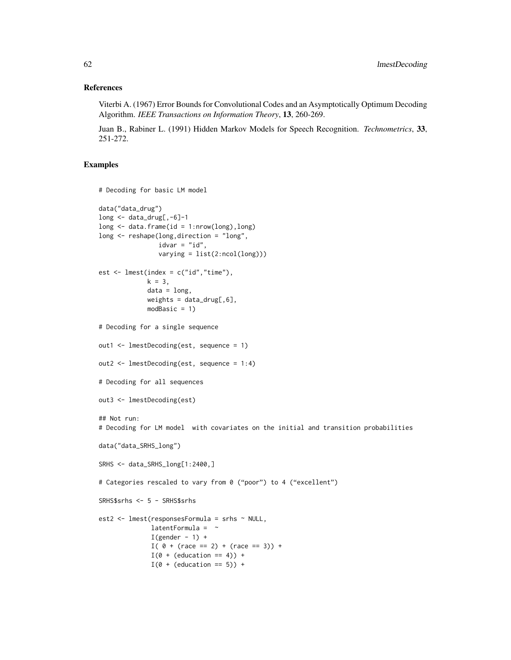#### References

Viterbi A. (1967) Error Bounds for Convolutional Codes and an Asymptotically Optimum Decoding Algorithm. *IEEE Transactions on Information Theory*, 13, 260-269.

Juan B., Rabiner L. (1991) Hidden Markov Models for Speech Recognition. *Technometrics*, 33, 251-272.

```
# Decoding for basic LM model
data("data_drug")
long \leftarrow data_drug[, -6]-1long \leq data.frame(id = 1:nrow(long), long)
long <- reshape(long,direction = "long",
                idvar = "id",varying = list(2:ncol(long)))est \leq lmest(index = c("id","time"),
             k = 3,
             data = long,
             weights = data_drug[,6],
             modBasic = 1)
# Decoding for a single sequence
out1 <- lmestDecoding(est, sequence = 1)
out2 <- lmestDecoding(est, sequence = 1:4)
# Decoding for all sequences
out3 <- lmestDecoding(est)
## Not run:
# Decoding for LM model with covariates on the initial and transition probabilities
data("data_SRHS_long")
SRHS <- data_SRHS_long[1:2400,]
# Categories rescaled to vary from 0 ("poor") to 4 ("excellent")
SRHS$srhs <- 5 - SRHS$srhs
est2 <- lmest(responsesFormula = srhs ~ NULL,
              latentFormula = \simI(gender - 1) +I( 0 + (race == 2) + (race == 3)) +I(\emptyset + (education == 4)) +I(\emptyset + (education == 5)) +
```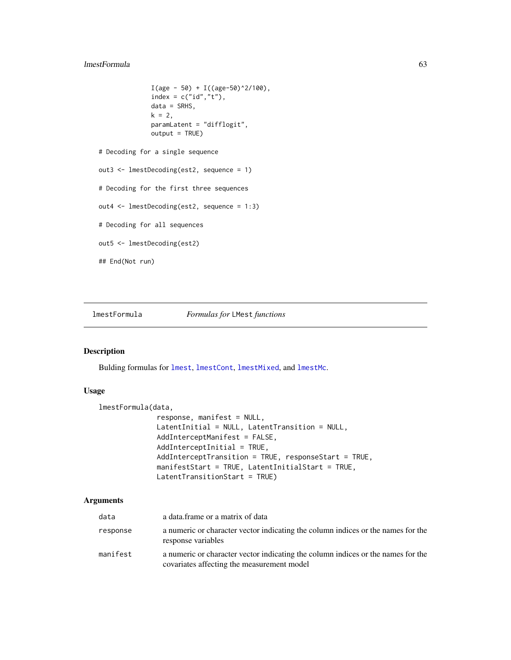## lmestFormula 63

```
I(age - 50) + I((age - 50)^2/100),index = c("id", "t"),data = SRHS,
              k = 2,paramLatent = "difflogit",
              output = TRUE)
# Decoding for a single sequence
out3 <- lmestDecoding(est2, sequence = 1)
# Decoding for the first three sequences
out4 <- lmestDecoding(est2, sequence = 1:3)
# Decoding for all sequences
out5 <- lmestDecoding(est2)
## End(Not run)
```
<span id="page-62-0"></span>lmestFormula *Formulas for* LMest *functions*

#### Description

Bulding formulas for [lmest](#page-49-0), [lmestCont](#page-54-0), [lmestMixed](#page-68-0), and [lmestMc](#page-65-0).

#### Usage

```
lmestFormula(data,
              response, manifest = NULL,
```

```
LatentInitial = NULL, LatentTransition = NULL,
AddInterceptManifest = FALSE,
AddInterceptInitial = TRUE,
AddInterceptTransition = TRUE, responseStart = TRUE,
manifestStart = TRUE, LatentInitialStart = TRUE,
LatentTransitionStart = TRUE)
```
### Arguments

| data     | a data frame or a matrix of data                                                                                               |
|----------|--------------------------------------------------------------------------------------------------------------------------------|
| response | a numeric or character vector indicating the column indices or the names for the<br>response variables                         |
| manifest | a numeric or character vector indicating the column indices or the names for the<br>covariates affecting the measurement model |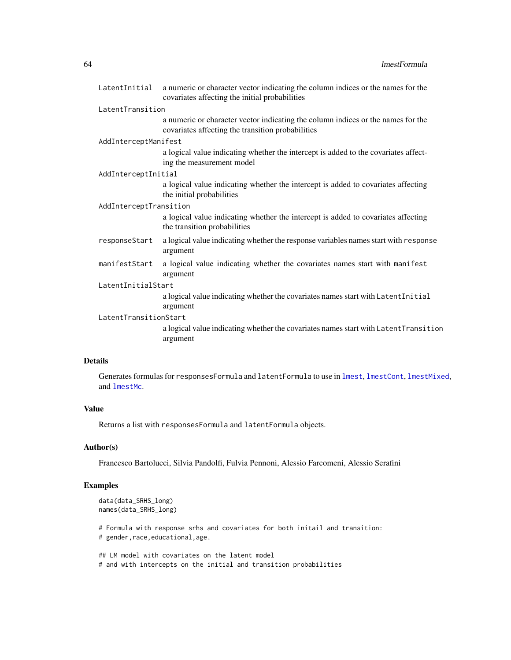|                        | LatentInitial a numeric or character vector indicating the column indices or the names for the<br>covariates affecting the initial probabilities |  |
|------------------------|--------------------------------------------------------------------------------------------------------------------------------------------------|--|
| LatentTransition       |                                                                                                                                                  |  |
|                        | a numeric or character vector indicating the column indices or the names for the<br>covariates affecting the transition probabilities            |  |
| AddInterceptManifest   |                                                                                                                                                  |  |
|                        | a logical value indicating whether the intercept is added to the covariates affect-<br>ing the measurement model                                 |  |
| AddInterceptInitial    |                                                                                                                                                  |  |
|                        | a logical value indicating whether the intercept is added to covariates affecting<br>the initial probabilities                                   |  |
| AddInterceptTransition |                                                                                                                                                  |  |
|                        | a logical value indicating whether the intercept is added to covariates affecting<br>the transition probabilities                                |  |
| responseStart          | a logical value indicating whether the response variables names start with response<br>argument                                                  |  |
| manifestStart          | a logical value indicating whether the covariates names start with manifest<br>argument                                                          |  |
| LatentInitialStart     |                                                                                                                                                  |  |
|                        | a logical value indicating whether the covariates names start with LatentInitial<br>argument                                                     |  |
| LatentTransitionStart  |                                                                                                                                                  |  |
|                        | a logical value indicating whether the covariates names start with LatentTransition<br>argument                                                  |  |

## Details

Generates formulas for responsesFormula and latentFormula to use in [lmest](#page-49-0), [lmestCont](#page-54-0), [lmestMixed](#page-68-0), and [lmestMc](#page-65-0).

### Value

Returns a list with responsesFormula and latentFormula objects.

### Author(s)

Francesco Bartolucci, Silvia Pandolfi, Fulvia Pennoni, Alessio Farcomeni, Alessio Serafini

## Examples

```
data(data_SRHS_long)
names(data_SRHS_long)
```
# Formula with response srhs and covariates for both initail and transition: # gender,race,educational,age.

```
## LM model with covariates on the latent model
# and with intercepts on the initial and transition probabilities
```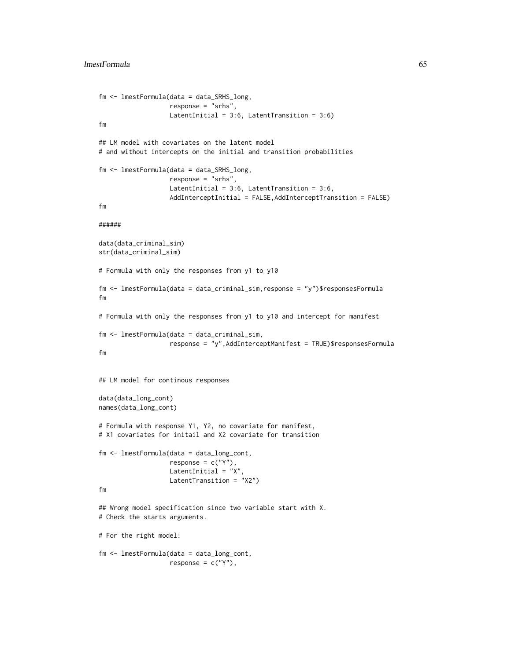```
fm <- lmestFormula(data = data_SRHS_long,
                   response = "srhs",
                   LatentInitial = 3:6, LatentTransition = 3:6)
fm
## LM model with covariates on the latent model
# and without intercepts on the initial and transition probabilities
fm <- lmestFormula(data = data_SRHS_long,
                   response = "srhs",
                   LatentInitial = 3:6, LatentTransition = 3:6,
                   AddInterceptInitial = FALSE,AddInterceptTransition = FALSE)
fm
######
data(data_criminal_sim)
str(data_criminal_sim)
# Formula with only the responses from y1 to y10
fm <- lmestFormula(data = data_criminal_sim,response = "y")$responsesFormula
fm
# Formula with only the responses from y1 to y10 and intercept for manifest
fm <- lmestFormula(data = data_criminal_sim,
                   response = "y",AddInterceptManifest = TRUE)$responsesFormula
fm
## LM model for continous responses
data(data_long_cont)
names(data_long_cont)
# Formula with response Y1, Y2, no covariate for manifest,
# X1 covariates for initail and X2 covariate for transition
fm <- lmestFormula(data = data_long_cont,
                   response = c("Y"),
                   LatentInitial = "X"LatentTransition = "X2")
fm
## Wrong model specification since two variable start with X.
# Check the starts arguments.
# For the right model:
fm <- lmestFormula(data = data_long_cont,
                   response = c("Y"),
```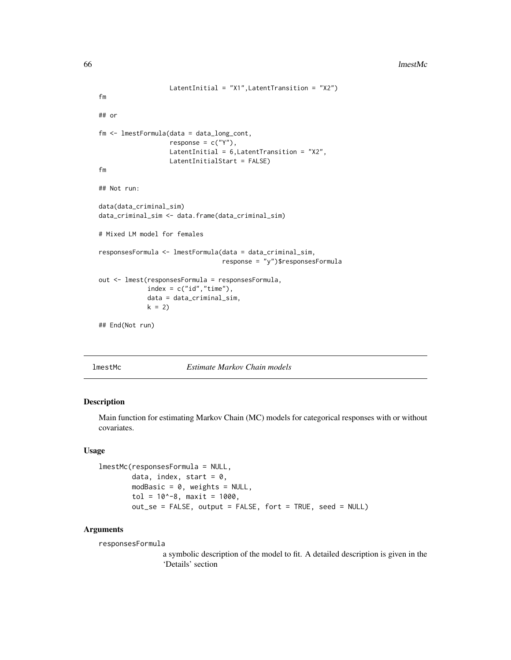```
LatentInitial = "X1",LatentTransition = "X2")
fm
## or
fm <- lmestFormula(data = data_long_cont,
                   response = c("Y"),
                   LatentInitial = 6, LatentTransition = "X2",
                   LatentInitialStart = FALSE)
fm
## Not run:
data(data_criminal_sim)
data_criminal_sim <- data.frame(data_criminal_sim)
# Mixed LM model for females
responsesFormula <- lmestFormula(data = data_criminal_sim,
                                 response = "y")$responsesFormula
out <- lmest(responsesFormula = responsesFormula,
             index = c("id", "time"),data = data_criminal_sim,
             k = 2## End(Not run)
```
<span id="page-65-0"></span>

lmestMc *Estimate Markov Chain models*

### Description

Main function for estimating Markov Chain (MC) models for categorical responses with or without covariates.

#### Usage

```
lmestMc(responsesFormula = NULL,
        data, index, start = 0,
        modBasic = 0, weights = NULL,
        tol = 10^{\circ}-8, maxit = 1000,
        out_se = FALSE, output = FALSE, fort = TRUE, seed = NULL)
```
### Arguments

responsesFormula

a symbolic description of the model to fit. A detailed description is given in the 'Details' section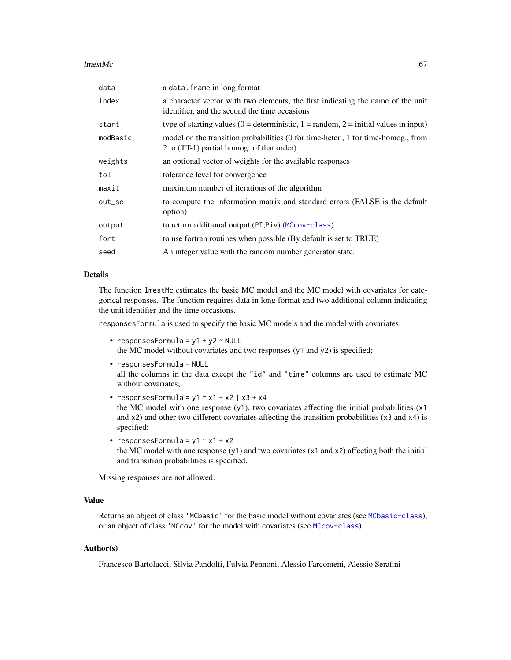#### $l$ mestMc 67

| data     | a data. frame in long format                                                                                                     |
|----------|----------------------------------------------------------------------------------------------------------------------------------|
| index    | a character vector with two elements, the first indicating the name of the unit<br>identifier, and the second the time occasions |
| start    | type of starting values (0 = deterministic, 1 = random, 2 = initial values in input)                                             |
| modBasic | model on the transition probabilities (0 for time-heter., 1 for time-homog., from<br>2 to (TT-1) partial homog. of that order)   |
| weights  | an optional vector of weights for the available responses                                                                        |
| tol      | tolerance level for convergence                                                                                                  |
| maxit    | maximum number of iterations of the algorithm                                                                                    |
| out_se   | to compute the information matrix and standard errors (FALSE is the default<br>option)                                           |
| output   | to return additional output (PI, Piv) (MCcov-class)                                                                              |
| fort     | to use fortran routines when possible (By default is set to TRUE)                                                                |
| seed     | An integer value with the random number generator state.                                                                         |
|          |                                                                                                                                  |

### Details

The function lmestMc estimates the basic MC model and the MC model with covariates for categorical responses. The function requires data in long format and two additional column indicating the unit identifier and the time occasions.

responsesFormula is used to specify the basic MC models and the model with covariates:

• responsesFormula =  $y1 + y2 \sim \text{NULL}$ the MC model without covariates and two responses (y1 and y2) is specified;

• responsesFormula = NULL all the columns in the data except the "id" and "time" columns are used to estimate MC

- responsesFormula =  $y1 \sim x1 + x2$  |  $x3 + x4$ the MC model with one response (y1), two covariates affecting the initial probabilities (x1 and  $x2$ ) and other two different covariates affecting the transition probabilities ( $x3$  and  $x4$ ) is specified;
- responsesFormula =  $y1 \sim x1 + x2$ the MC model with one response (y1) and two covariates (x1 and x2) affecting both the initial and transition probabilities is specified.

Missing responses are not allowed.

without covariates;

# Value

Returns an object of class 'MCbasic' for the basic model without covariates (see [MCbasic-class](#page-80-0)), or an object of class 'MCcov' for the model with covariates (see [MCcov-class](#page-81-0)).

### Author(s)

Francesco Bartolucci, Silvia Pandolfi, Fulvia Pennoni, Alessio Farcomeni, Alessio Serafini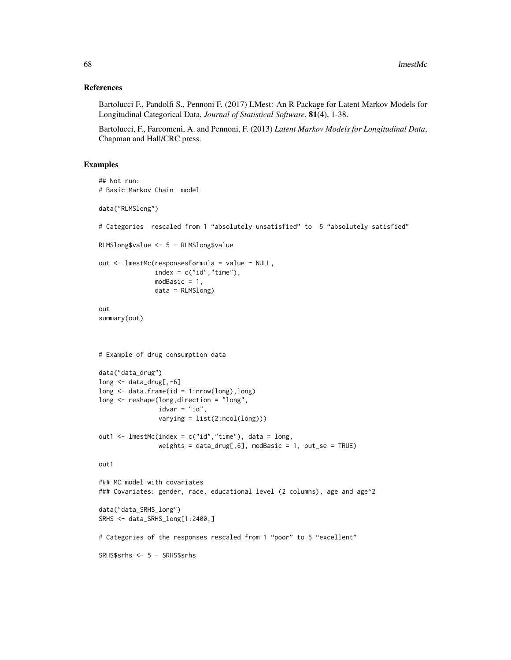### References

Bartolucci F., Pandolfi S., Pennoni F. (2017) LMest: An R Package for Latent Markov Models for Longitudinal Categorical Data, *Journal of Statistical Software*, 81(4), 1-38.

Bartolucci, F., Farcomeni, A. and Pennoni, F. (2013) *Latent Markov Models for Longitudinal Data*, Chapman and Hall/CRC press.

```
## Not run:
# Basic Markov Chain model
data("RLMSlong")
# Categories rescaled from 1 "absolutely unsatisfied" to 5 "absolutely satisfied"
RLMSlong$value <- 5 - RLMSlong$value
out <- lmestMc(responsesFormula = value ~ NULL,
              index = c("id", "time"),
              modBasic = 1,
              data = RLMSlong)
out
summary(out)
# Example of drug consumption data
data("data_drug")
long <- data_drug[,-6]
long \leq data.frame(id = 1:nrow(long), long)
long <- reshape(long,direction = "long",
                idvar = "id",varying = list(2:ncol(long)))out1 <- lmestMc(index = c("id","time"), data = long,
               weights = data_drug[,6], modBasic = 1, out_se = TRUE)
out1
### MC model with covariates
### Covariates: gender, race, educational level (2 columns), age and age^2
data("data_SRHS_long")
SRHS <- data_SRHS_long[1:2400,]
# Categories of the responses rescaled from 1 "poor" to 5 "excellent"
SRHS$srhs <- 5 - SRHS$srhs
```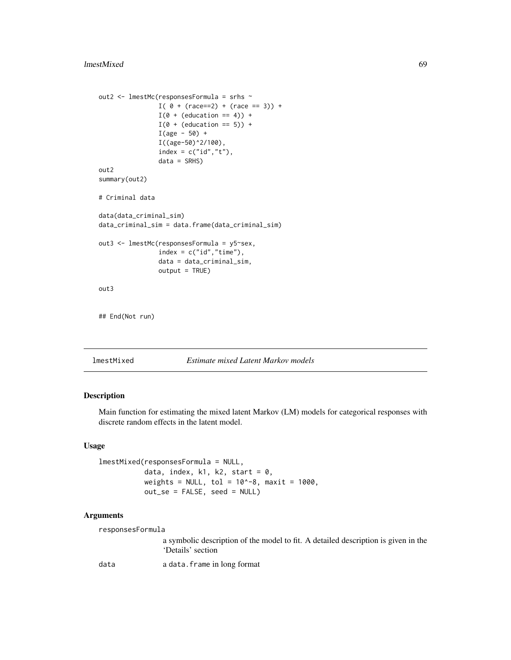```
out2 <- lmestMc(responsesFormula = srhs ~
                I( 0 + (race==2) + (race == 3)) +I(\emptyset + (education == 4)) +I(\emptyset + (education == 5)) +I(age - 50) +I((age-50)^2/100),
                index = c("id", "t"),
                data = SRHS)
out2
summary(out2)
# Criminal data
data(data_criminal_sim)
data_criminal_sim = data.frame(data_criminal_sim)
out3 <- lmestMc(responsesFormula = y5~sex,
                index = c("id", "time"),
                data = data_criminal_sim,
                output = TRUE)
out3
## End(Not run)
```
<span id="page-68-0"></span>lmestMixed *Estimate mixed Latent Markov models*

## Description

Main function for estimating the mixed latent Markov (LM) models for categorical responses with discrete random effects in the latent model.

### Usage

```
lmestMixed(responsesFormula = NULL,
           data, index, k1, k2, start = 0,
           weights = NULL, tol = 10^{\circ}-8, maxit = 1000,
           out_se = FALSE, seed = NULL)
```
### Arguments

responsesFormula

a symbolic description of the model to fit. A detailed description is given in the 'Details' section

data a data.frame in long format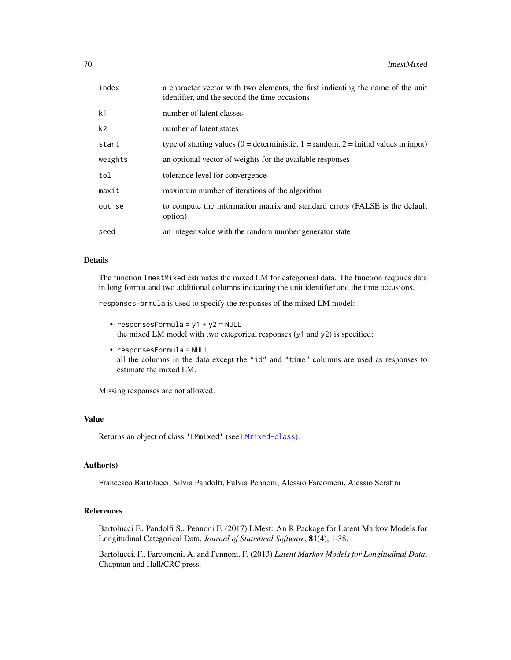| index          | a character vector with two elements, the first indicating the name of the unit<br>identifier, and the second the time occasions |
|----------------|----------------------------------------------------------------------------------------------------------------------------------|
| k1             | number of latent classes                                                                                                         |
| k <sub>2</sub> | number of latent states                                                                                                          |
| start          | type of starting values (0 = deterministic, 1 = random, 2 = initial values in input)                                             |
| weights        | an optional vector of weights for the available responses                                                                        |
| tol            | tolerance level for convergence                                                                                                  |
| maxit          | maximum number of iterations of the algorithm                                                                                    |
| out_se         | to compute the information matrix and standard errors (FALSE is the default<br>option)                                           |
| seed           | an integer value with the random number generator state                                                                          |

#### Details

The function lmestMixed estimates the mixed LM for categorical data. The function requires data in long format and two additional columns indicating the unit identifier and the time occasions.

responsesFormula is used to specify the responses of the mixed LM model:

- responsesFormula =  $y1 + y2 \sim \text{NULL}$ the mixed LM model with two categorical responses (y1 and y2) is specified;
- responsesFormula = NULL all the columns in the data except the "id" and "time" columns are used as responses to estimate the mixed LM.

Missing responses are not allowed.

### Value

Returns an object of class 'LMmixed' (see [LMmixed-class](#page-76-0)).

## Author(s)

Francesco Bartolucci, Silvia Pandolfi, Fulvia Pennoni, Alessio Farcomeni, Alessio Serafini

## References

Bartolucci F., Pandolfi S., Pennoni F. (2017) LMest: An R Package for Latent Markov Models for Longitudinal Categorical Data, *Journal of Statistical Software*, 81(4), 1-38.

Bartolucci, F., Farcomeni, A. and Pennoni, F. (2013) *Latent Markov Models for Longitudinal Data*, Chapman and Hall/CRC press.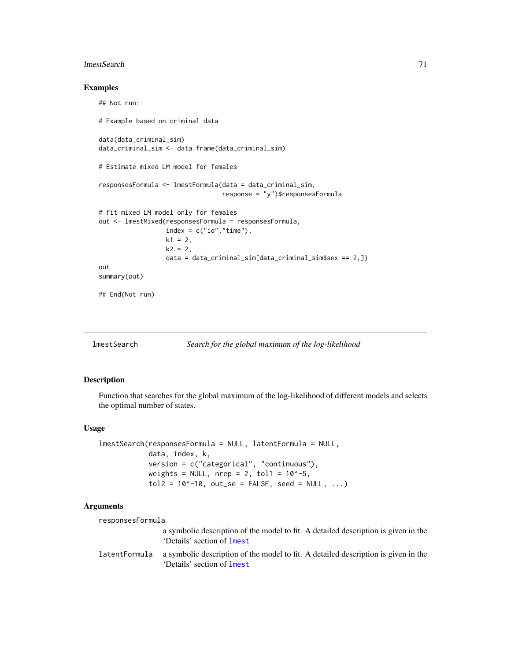#### lmestSearch 71

## Examples

```
## Not run:
# Example based on criminal data
data(data_criminal_sim)
data_criminal_sim <- data.frame(data_criminal_sim)
# Estimate mixed LM model for females
responsesFormula <- lmestFormula(data = data_criminal_sim,
                                 response = "y")$responsesFormula
# fit mixed LM model only for females
out <- lmestMixed(responsesFormula = responsesFormula,
                  index = c("id", "time"),
                  k1 = 2,
                  k2 = 2,
                  data = data_criminal_sim[data_criminal_sim$sex == 2,])
out
summary(out)
## End(Not run)
```
lmestSearch *Search for the global maximum of the log-likelihood*

### Description

Function that searches for the global maximum of the log-likelihood of different models and selects the optimal number of states.

#### Usage

```
lmestSearch(responsesFormula = NULL, latentFormula = NULL,
             data, index, k,
             version = c("categorical", "continuous"),
             weights = NULL, nrep = 2, tol1 = 10^{\circ}-5,
             tol2 = 10^{\circ} - 10, out_se = FALSE, seed = NULL, ...)
```
#### Arguments

| responsesFormula |                                                                                                                         |
|------------------|-------------------------------------------------------------------------------------------------------------------------|
|                  | a symbolic description of the model to fit. A detailed description is given in the<br>'Details' section of lmest        |
| latentFormula    | a symbolic description of the model to fit. A detailed description is given in the<br>'Details' section of <b>lmest</b> |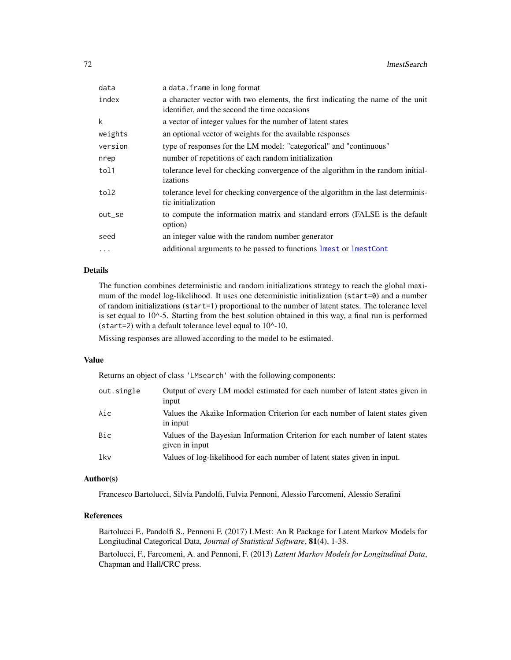| data      | a data. frame in long format                                                                                                     |
|-----------|----------------------------------------------------------------------------------------------------------------------------------|
| index     | a character vector with two elements, the first indicating the name of the unit<br>identifier, and the second the time occasions |
| k         | a vector of integer values for the number of latent states                                                                       |
| weights   | an optional vector of weights for the available responses                                                                        |
| version   | type of responses for the LM model: "categorical" and "continuous"                                                               |
| nrep      | number of repetitions of each random initialization                                                                              |
| tol1      | tolerance level for checking convergence of the algorithm in the random initial-<br>izations                                     |
| tol2      | tolerance level for checking convergence of the algorithm in the last determinis-<br>tic initialization                          |
| out_se    | to compute the information matrix and standard errors (FALSE is the default<br>option)                                           |
| seed      | an integer value with the random number generator                                                                                |
| $\ddotsc$ | additional arguments to be passed to functions linest or linest Cont                                                             |
|           |                                                                                                                                  |

## Details

The function combines deterministic and random initializations strategy to reach the global maximum of the model log-likelihood. It uses one deterministic initialization (start=0) and a number of random initializations (start=1) proportional to the number of latent states. The tolerance level is set equal to 10^-5. Starting from the best solution obtained in this way, a final run is performed (start=2) with a default tolerance level equal to  $10^{\text{A}}-10$ .

Missing responses are allowed according to the model to be estimated.

### Value

Returns an object of class 'LMsearch' with the following components:

| out.single | Output of every LM model estimated for each number of latent states given in<br>input           |
|------------|-------------------------------------------------------------------------------------------------|
| Aic        | Values the Akaike Information Criterion for each number of latent states given<br>in input      |
| Bic        | Values of the Bayesian Information Criterion for each number of latent states<br>given in input |
| lkv        | Values of log-likelihood for each number of latent states given in input.                       |

### Author(s)

Francesco Bartolucci, Silvia Pandolfi, Fulvia Pennoni, Alessio Farcomeni, Alessio Serafini

## References

Bartolucci F., Pandolfi S., Pennoni F. (2017) LMest: An R Package for Latent Markov Models for Longitudinal Categorical Data, *Journal of Statistical Software*, 81(4), 1-38.

Bartolucci, F., Farcomeni, A. and Pennoni, F. (2013) *Latent Markov Models for Longitudinal Data*, Chapman and Hall/CRC press.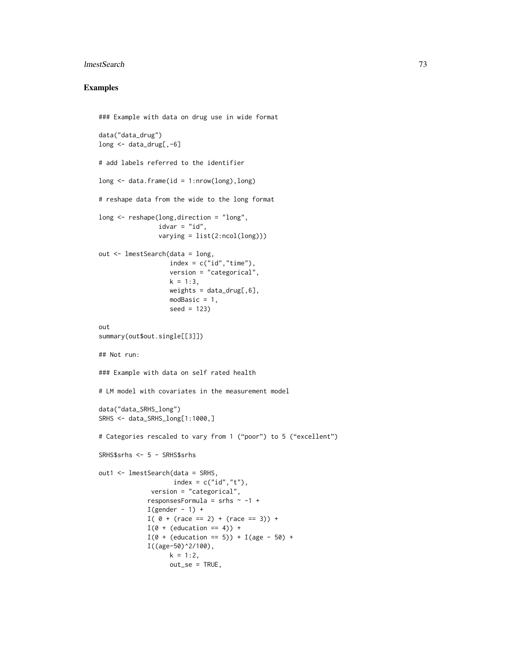#### lmestSearch 73

# Examples

```
### Example with data on drug use in wide format
data("data_drug")
long <- data_drug[,-6]
# add labels referred to the identifier
long \leq data.frame(id = 1:nrow(long), long)
# reshape data from the wide to the long format
long <- reshape(long,direction = "long",
                idvar = "id",
                varying = list(2:ncol(long)))
out <- lmestSearch(data = long,
                   index = c("id", "time"),
                   version = "categorical",
                   k = 1:3,
                   weights = data_drug[, 6],modBasic = 1,
                   seed = 123)
out
summary(out$out.single[[3]])
## Not run:
### Example with data on self rated health
# LM model with covariates in the measurement model
data("data_SRHS_long")
SRHS <- data_SRHS_long[1:1000,]
# Categories rescaled to vary from 1 ("poor") to 5 ("excellent")
SRHS$srhs <- 5 - SRHS$srhs
out1 <- lmestSearch(data = SRHS,
                    index = c("id", "t"),
              version = "categorical",
             responsesFormula = srhs ~ -1 +
             I(gender - 1) +I( 0 + (race == 2) + (race == 3)) +I(\emptyset + (education == 4)) +I(\emptyset + (education == 5)) + I(age - 50) +I((age-50)^2/100),
                   k = 1:2,
                   out_se = TRUE,
```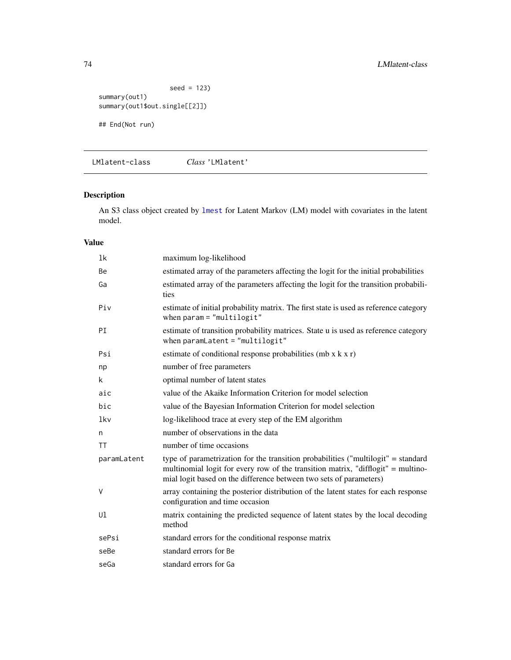```
seed = 123)
summary(out1)
summary(out1$out.single[[2]])
## End(Not run)
```
LMlatent-class *Class* 'LMlatent'

# Description

An S3 class object created by [lmest](#page-49-0) for Latent Markov (LM) model with covariates in the latent model.

| 1 <sup>k</sup> | maximum log-likelihood                                                                                                                                                                                                                      |
|----------------|---------------------------------------------------------------------------------------------------------------------------------------------------------------------------------------------------------------------------------------------|
| Be             | estimated array of the parameters affecting the logit for the initial probabilities                                                                                                                                                         |
| Ga             | estimated array of the parameters affecting the logit for the transition probabili-<br>ties                                                                                                                                                 |
| Piv            | estimate of initial probability matrix. The first state is used as reference category<br>when $param = "multilogit"$                                                                                                                        |
| PI             | estimate of transition probability matrices. State u is used as reference category<br>when $paramLatent = "multilogit"$                                                                                                                     |
| Psi            | estimate of conditional response probabilities (mb $x$ k $x$ r)                                                                                                                                                                             |
| np             | number of free parameters                                                                                                                                                                                                                   |
| k              | optimal number of latent states                                                                                                                                                                                                             |
| aic            | value of the Akaike Information Criterion for model selection                                                                                                                                                                               |
| bic            | value of the Bayesian Information Criterion for model selection                                                                                                                                                                             |
| lkv            | log-likelihood trace at every step of the EM algorithm                                                                                                                                                                                      |
| n              | number of observations in the data                                                                                                                                                                                                          |
| TT             | number of time occasions                                                                                                                                                                                                                    |
| paramLatent    | type of parametrization for the transition probabilities ("multilogit" = standard<br>multinomial logit for every row of the transition matrix, "difflogit" = multino-<br>mial logit based on the difference between two sets of parameters) |
| V              | array containing the posterior distribution of the latent states for each response<br>configuration and time occasion                                                                                                                       |
| Ul             | matrix containing the predicted sequence of latent states by the local decoding<br>method                                                                                                                                                   |
| sePsi          | standard errors for the conditional response matrix                                                                                                                                                                                         |
| seBe           | standard errors for Be                                                                                                                                                                                                                      |
| seGa           | standard errors for Ga                                                                                                                                                                                                                      |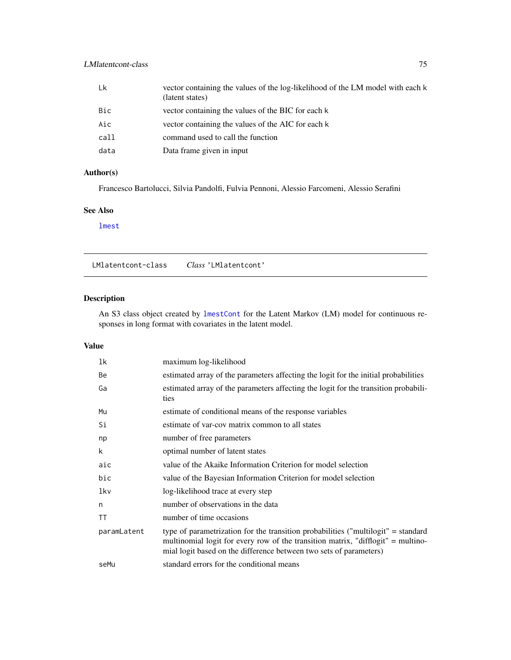# <span id="page-74-0"></span>LMlatentcont-class 75

| Lk         | vector containing the values of the log-likelihood of the LM model with each k<br>(latent states) |
|------------|---------------------------------------------------------------------------------------------------|
| <b>Bic</b> | vector containing the values of the BIC for each k                                                |
| Aic        | vector containing the values of the AIC for each k                                                |
| call       | command used to call the function                                                                 |
| data       | Data frame given in input                                                                         |

# Author(s)

Francesco Bartolucci, Silvia Pandolfi, Fulvia Pennoni, Alessio Farcomeni, Alessio Serafini

#### See Also

[lmest](#page-49-0)

LMlatentcont-class *Class* 'LMlatentcont'

# Description

An S3 class object created by [lmestCont](#page-54-0) for the Latent Markov (LM) model for continuous responses in long format with covariates in the latent model.

| 1k          | maximum log-likelihood                                                                                                                                                                                                                      |  |
|-------------|---------------------------------------------------------------------------------------------------------------------------------------------------------------------------------------------------------------------------------------------|--|
| Be          | estimated array of the parameters affecting the logit for the initial probabilities                                                                                                                                                         |  |
| Ga          | estimated array of the parameters affecting the logit for the transition probabili-<br>ties                                                                                                                                                 |  |
| Mu          | estimate of conditional means of the response variables                                                                                                                                                                                     |  |
| Si          | estimate of var-cov matrix common to all states                                                                                                                                                                                             |  |
| np          | number of free parameters                                                                                                                                                                                                                   |  |
| k           | optimal number of latent states                                                                                                                                                                                                             |  |
| aic         | value of the Akaike Information Criterion for model selection                                                                                                                                                                               |  |
| bic         | value of the Bayesian Information Criterion for model selection                                                                                                                                                                             |  |
| lkv         | log-likelihood trace at every step                                                                                                                                                                                                          |  |
| n           | number of observations in the data                                                                                                                                                                                                          |  |
| TT          | number of time occasions                                                                                                                                                                                                                    |  |
| paramLatent | type of parametrization for the transition probabilities ("multilogit" = standard<br>multinomial logit for every row of the transition matrix, "difflogit" = multino-<br>mial logit based on the difference between two sets of parameters) |  |
| seMu        | standard errors for the conditional means                                                                                                                                                                                                   |  |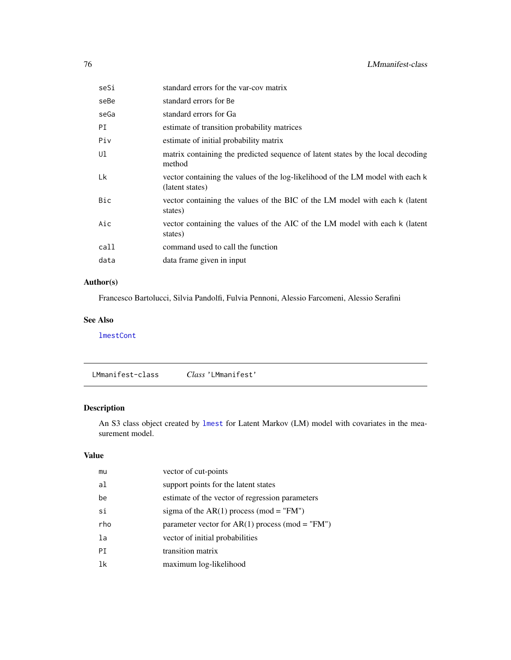<span id="page-75-0"></span>

| standard errors for Be<br>seBe<br>standard errors for Ga<br>seGa<br>PI<br>estimate of transition probability matrices<br>Piv<br>estimate of initial probability matrix<br>Ul<br>matrix containing the predicted sequence of latent states by the local decoding<br>method<br>Lk<br>vector containing the values of the log-likelihood of the LM model with each k |  |
|-------------------------------------------------------------------------------------------------------------------------------------------------------------------------------------------------------------------------------------------------------------------------------------------------------------------------------------------------------------------|--|
|                                                                                                                                                                                                                                                                                                                                                                   |  |
|                                                                                                                                                                                                                                                                                                                                                                   |  |
|                                                                                                                                                                                                                                                                                                                                                                   |  |
|                                                                                                                                                                                                                                                                                                                                                                   |  |
|                                                                                                                                                                                                                                                                                                                                                                   |  |
| (latent states)                                                                                                                                                                                                                                                                                                                                                   |  |
| Bic<br>vector containing the values of the BIC of the LM model with each k (latent<br>states)                                                                                                                                                                                                                                                                     |  |
| Aic<br>vector containing the values of the AIC of the LM model with each k (latent<br>states)                                                                                                                                                                                                                                                                     |  |
| command used to call the function<br>call                                                                                                                                                                                                                                                                                                                         |  |
| data frame given in input<br>data                                                                                                                                                                                                                                                                                                                                 |  |

# Author(s)

Francesco Bartolucci, Silvia Pandolfi, Fulvia Pennoni, Alessio Farcomeni, Alessio Serafini

#### See Also

[lmestCont](#page-54-0)

LMmanifest-class *Class* 'LMmanifest'

# Description

An S3 class object created by [lmest](#page-49-0) for Latent Markov (LM) model with covariates in the measurement model.

| mu  | vector of cut-points                              |
|-----|---------------------------------------------------|
| al  | support points for the latent states              |
| be  | estimate of the vector of regression parameters   |
| si  | sigma of the AR(1) process (mod = "FM")           |
|     |                                                   |
| rho | parameter vector for $AR(1)$ process (mod = "FM") |
| la  | vector of initial probabilities                   |
| PT. | transition matrix                                 |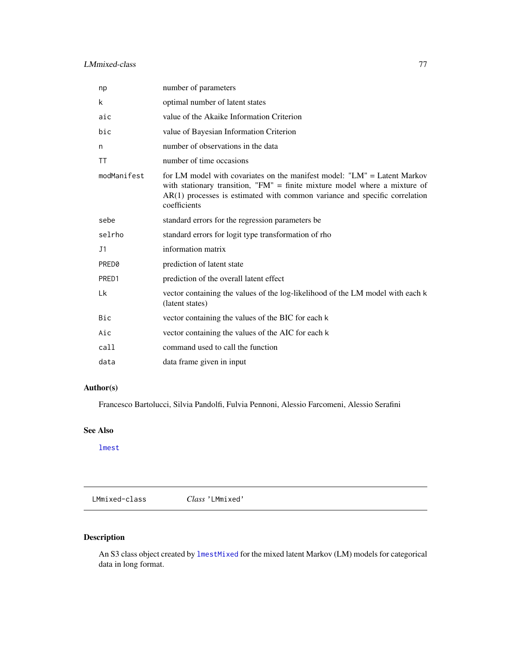# <span id="page-76-0"></span>LMmixed-class 77

| np          | number of parameters                                                                                                                                                                                                                                   |  |
|-------------|--------------------------------------------------------------------------------------------------------------------------------------------------------------------------------------------------------------------------------------------------------|--|
| k           | optimal number of latent states                                                                                                                                                                                                                        |  |
| aic         | value of the Akaike Information Criterion                                                                                                                                                                                                              |  |
| bic         | value of Bayesian Information Criterion                                                                                                                                                                                                                |  |
| n           | number of observations in the data                                                                                                                                                                                                                     |  |
| <b>TT</b>   | number of time occasions                                                                                                                                                                                                                               |  |
| modManifest | for LM model with covariates on the manifest model: "LM" = Latent Markov<br>with stationary transition, "FM" = finite mixture model where a mixture of<br>$AR(1)$ processes is estimated with common variance and specific correlation<br>coefficients |  |
| sebe        | standard errors for the regression parameters be                                                                                                                                                                                                       |  |
| selrho      | standard errors for logit type transformation of rho                                                                                                                                                                                                   |  |
| J1          | information matrix                                                                                                                                                                                                                                     |  |
| PRED0       | prediction of latent state                                                                                                                                                                                                                             |  |
| PRED1       | prediction of the overall latent effect                                                                                                                                                                                                                |  |
| Lk          | vector containing the values of the log-likelihood of the LM model with each k<br>(latent states)                                                                                                                                                      |  |
| Bic         | vector containing the values of the BIC for each k                                                                                                                                                                                                     |  |
| Aic         | vector containing the values of the AIC for each k                                                                                                                                                                                                     |  |
| call        | command used to call the function                                                                                                                                                                                                                      |  |
| data        | data frame given in input                                                                                                                                                                                                                              |  |

# Author(s)

Francesco Bartolucci, Silvia Pandolfi, Fulvia Pennoni, Alessio Farcomeni, Alessio Serafini

# See Also

[lmest](#page-49-0)

LMmixed-class *Class* 'LMmixed'

# Description

An S3 class object created by [lmestMixed](#page-68-0) for the mixed latent Markov (LM) models for categorical data in long format.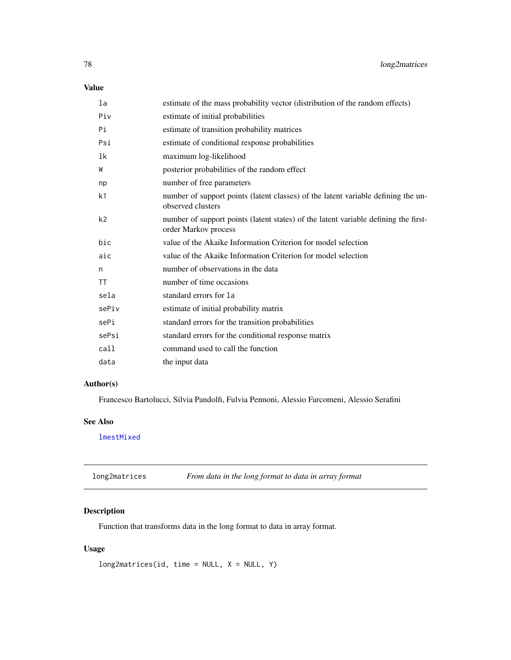# <span id="page-77-0"></span>Value

| estimate of the mass probability vector (distribution of the random effects)                                |
|-------------------------------------------------------------------------------------------------------------|
| estimate of initial probabilities                                                                           |
| estimate of transition probability matrices                                                                 |
| estimate of conditional response probabilities                                                              |
| maximum log-likelihood                                                                                      |
| posterior probabilities of the random effect                                                                |
| number of free parameters                                                                                   |
| number of support points (latent classes) of the latent variable defining the un-<br>observed clusters      |
| number of support points (latent states) of the latent variable defining the first-<br>order Markov process |
| value of the Akaike Information Criterion for model selection                                               |
| value of the Akaike Information Criterion for model selection                                               |
| number of observations in the data                                                                          |
| number of time occasions                                                                                    |
| standard errors for la                                                                                      |
| estimate of initial probability matrix                                                                      |
| standard errors for the transition probabilities                                                            |
| standard errors for the conditional response matrix                                                         |
| command used to call the function                                                                           |
| the input data                                                                                              |
|                                                                                                             |

# Author(s)

Francesco Bartolucci, Silvia Pandolfi, Fulvia Pennoni, Alessio Farcomeni, Alessio Serafini

# See Also

[lmestMixed](#page-68-0)

long2matrices *From data in the long format to data in array format*

# Description

Function that transforms data in the long format to data in array format.

# Usage

```
long2matrices(id, time = NULL, X = NULL, Y)
```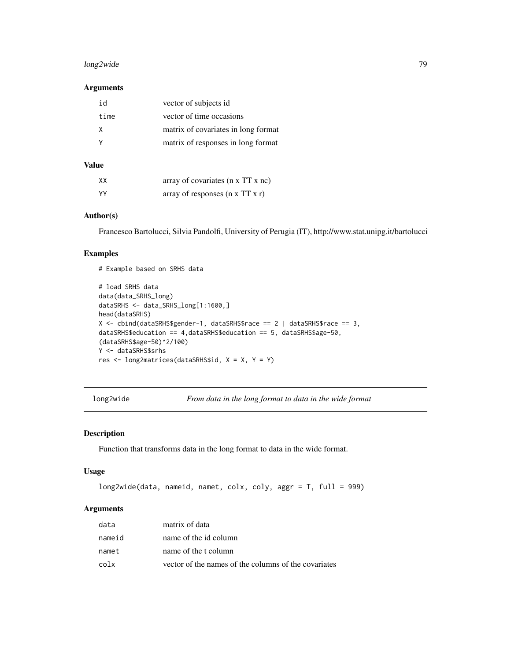# <span id="page-78-0"></span>long2wide 79

# Arguments

| id   | vector of subjects id               |
|------|-------------------------------------|
| time | vector of time occasions            |
| X    | matrix of covariates in long format |
|      | matrix of responses in long format  |
|      |                                     |

# Value

| XX   | array of covariates (n x TT x nc)           |
|------|---------------------------------------------|
| - YY | array of responses $(n \times TT \times r)$ |

# Example based on SRHS data

# Author(s)

Francesco Bartolucci, Silvia Pandolfi, University of Perugia (IT), http://www.stat.unipg.it/bartolucci

# Examples

```
# load SRHS data
data(data_SRHS_long)
dataSRHS <- data_SRHS_long[1:1600,]
head(dataSRHS)
X <- cbind(dataSRHS$gender-1, dataSRHS$race == 2 | dataSRHS$race == 3,
dataSRHS$education == 4,dataSRHS$education == 5, dataSRHS$age-50,
(dataSRHS$age-50)^2/100)
Y <- dataSRHS$srhs
res <- long2matrices(dataSRHS$id, X = X, Y = Y)
```
long2wide *From data in the long format to data in the wide format*

#### Description

Function that transforms data in the long format to data in the wide format.

#### Usage

```
long2wide(data, nameid, namet, colx, coly, aggr = T, full = 999)
```
# Arguments

| data   | matrix of data                                       |
|--------|------------------------------------------------------|
| nameid | name of the id column                                |
| namet  | name of the t column                                 |
| colx   | vector of the names of the columns of the covariates |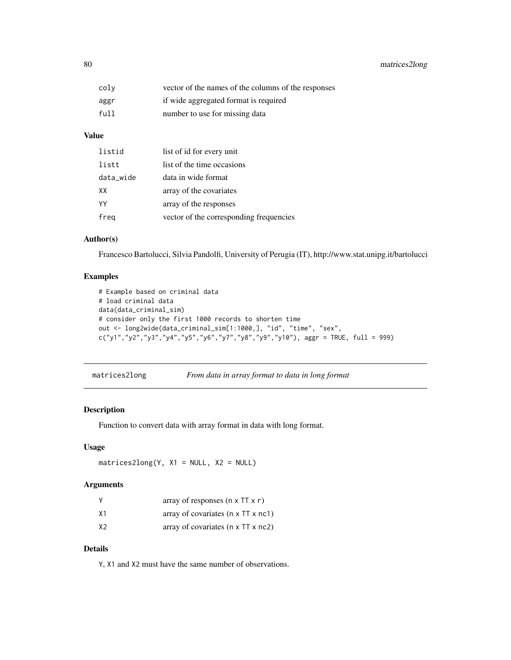<span id="page-79-0"></span>

| colv | vector of the names of the columns of the responses |
|------|-----------------------------------------------------|
| aggr | if wide aggregated format is required               |
| full | number to use for missing data                      |

# Value

| listid    | list of id for every unit               |
|-----------|-----------------------------------------|
| listt     | list of the time occasions              |
| data_wide | data in wide format                     |
| XX        | array of the covariates                 |
| YY        | array of the responses                  |
| freg      | vector of the corresponding frequencies |

# Author(s)

Francesco Bartolucci, Silvia Pandolfi, University of Perugia (IT), http://www.stat.unipg.it/bartolucci

# Examples

```
# Example based on criminal data
# load criminal data
data(data_criminal_sim)
# consider only the first 1000 records to shorten time
out <- long2wide(data_criminal_sim[1:1000,], "id", "time", "sex",
c("y1", "y2", "y3", "y4", "y5", "y6", "y7", "y8", "y9", "y10"), <math>aggr = TRUE</math>, <math>full = 999</math>)
```

| matrices2long | From data in array format to data in long format |  |
|---------------|--------------------------------------------------|--|
|               |                                                  |  |

# Description

Function to convert data with array format in data with long format.

# Usage

```
matrices2long(Y, X1 = NULL, X2 = NULL)
```
# Arguments

|                | array of responses $(n \times TT \times r)$    |
|----------------|------------------------------------------------|
| X1             | array of covariates $(n \times TT \times nc1)$ |
| X <sub>2</sub> | array of covariates $(n \times TT \times nc2)$ |

# Details

Y, X1 and X2 must have the same number of observations.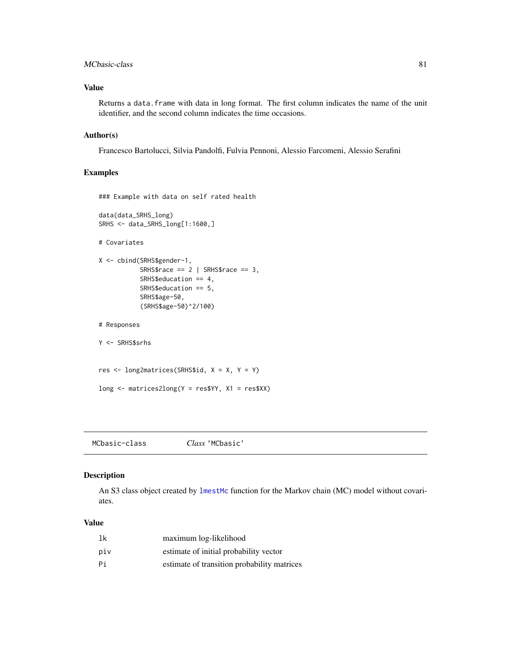#### <span id="page-80-0"></span>MCbasic-class 81

#### Value

Returns a data.frame with data in long format. The first column indicates the name of the unit identifier, and the second column indicates the time occasions.

# Author(s)

Francesco Bartolucci, Silvia Pandolfi, Fulvia Pennoni, Alessio Farcomeni, Alessio Serafini

# Examples

```
### Example with data on self rated health
data(data_SRHS_long)
SRHS <- data_SRHS_long[1:1600,]
# Covariates
X <- cbind(SRHS$gender-1,
           SRHS$race == 2 | SRHS$race == 3,
           SRHS$education == 4,
           SRHS$education == 5,
           SRHS$age-50,
           (SRHS$age-50)^2/100)
# Responses
Y <- SRHS$srhs
res <- long2matrices(SRHS$id, X = X, Y = Y)
long \leq matrices2long(Y = res$YY, X1 = res$XX)
```
MCbasic-class *Class* 'MCbasic'

#### Description

An S3 class object created by [lmestMc](#page-65-0) function for the Markov chain (MC) model without covariates.

| lk  | maximum log-likelihood                      |
|-----|---------------------------------------------|
| piv | estimate of initial probability vector      |
| Рi  | estimate of transition probability matrices |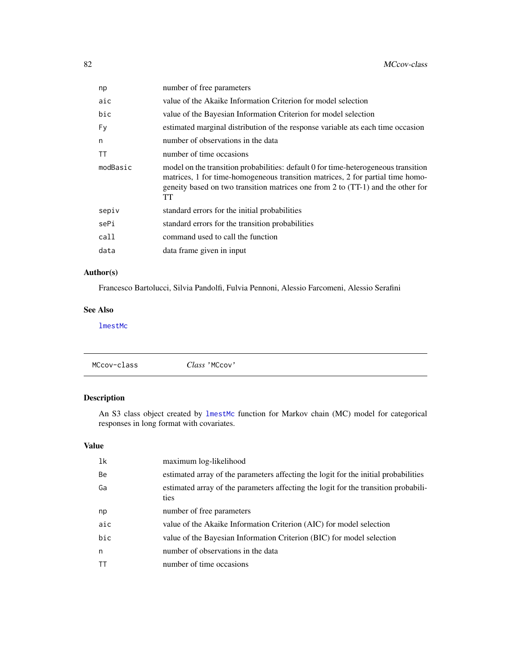<span id="page-81-0"></span>

| np       | number of free parameters                                                                                                                                                                                                                                     |
|----------|---------------------------------------------------------------------------------------------------------------------------------------------------------------------------------------------------------------------------------------------------------------|
| aic      | value of the Akaike Information Criterion for model selection                                                                                                                                                                                                 |
| bic      | value of the Bayesian Information Criterion for model selection                                                                                                                                                                                               |
| Fv       | estimated marginal distribution of the response variable ats each time occasion                                                                                                                                                                               |
| n        | number of observations in the data                                                                                                                                                                                                                            |
| TT       | number of time occasions                                                                                                                                                                                                                                      |
| modBasic | model on the transition probabilities: default 0 for time-heterogeneous transition<br>matrices, 1 for time-homogeneous transition matrices, 2 for partial time homo-<br>geneity based on two transition matrices one from 2 to (TT-1) and the other for<br>TT |
| sepiv    | standard errors for the initial probabilities                                                                                                                                                                                                                 |
| sePi     | standard errors for the transition probabilities                                                                                                                                                                                                              |
| call     | command used to call the function                                                                                                                                                                                                                             |
| data     | data frame given in input                                                                                                                                                                                                                                     |
|          |                                                                                                                                                                                                                                                               |

# Author(s)

Francesco Bartolucci, Silvia Pandolfi, Fulvia Pennoni, Alessio Farcomeni, Alessio Serafini

# See Also

[lmestMc](#page-65-0)

|  | MCcov-class | Class 'MCcov' |  |  |
|--|-------------|---------------|--|--|
|--|-------------|---------------|--|--|

# Description

An S3 class object created by [lmestMc](#page-65-0) function for Markov chain (MC) model for categorical responses in long format with covariates.

| 1k  | maximum log-likelihood                                                                      |
|-----|---------------------------------------------------------------------------------------------|
| Be  | estimated array of the parameters affecting the logit for the initial probabilities         |
| Ga  | estimated array of the parameters affecting the logit for the transition probabili-<br>ties |
| np  | number of free parameters                                                                   |
| aic | value of the Akaike Information Criterion (AIC) for model selection                         |
| bic | value of the Bayesian Information Criterion (BIC) for model selection                       |
| n   | number of observations in the data                                                          |
| ТT  | number of time occasions                                                                    |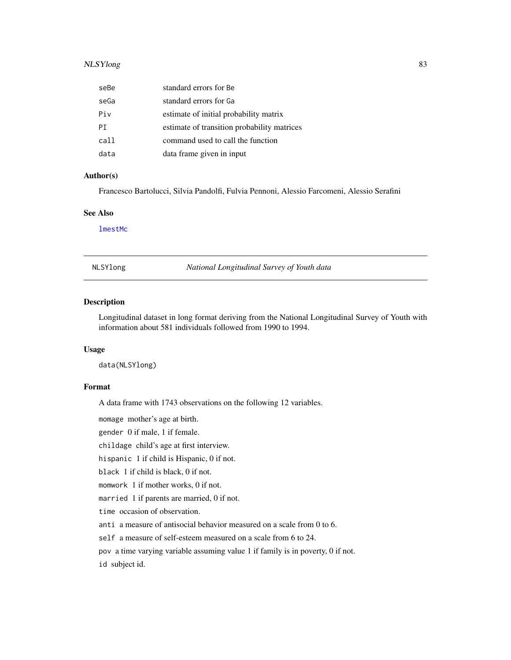# <span id="page-82-0"></span>NLSYlong 83

| seBe | standard errors for Be                      |
|------|---------------------------------------------|
| seGa | standard errors for Ga                      |
| Piv  | estimate of initial probability matrix      |
| PT.  | estimate of transition probability matrices |
| call | command used to call the function           |
| data | data frame given in input                   |

#### Author(s)

Francesco Bartolucci, Silvia Pandolfi, Fulvia Pennoni, Alessio Farcomeni, Alessio Serafini

#### See Also

[lmestMc](#page-65-0)

NLSYlong *National Longitudinal Survey of Youth data*

# Description

Longitudinal dataset in long format deriving from the National Longitudinal Survey of Youth with information about 581 individuals followed from 1990 to 1994.

#### Usage

data(NLSYlong)

#### Format

A data frame with 1743 observations on the following 12 variables.

momage mother's age at birth.

gender 0 if male, 1 if female.

childage child's age at first interview.

hispanic 1 if child is Hispanic, 0 if not.

black 1 if child is black, 0 if not.

momwork 1 if mother works, 0 if not.

married 1 if parents are married, 0 if not.

time occasion of observation.

anti a measure of antisocial behavior measured on a scale from 0 to 6.

self a measure of self-esteem measured on a scale from 6 to 24.

pov a time varying variable assuming value 1 if family is in poverty, 0 if not.

id subject id.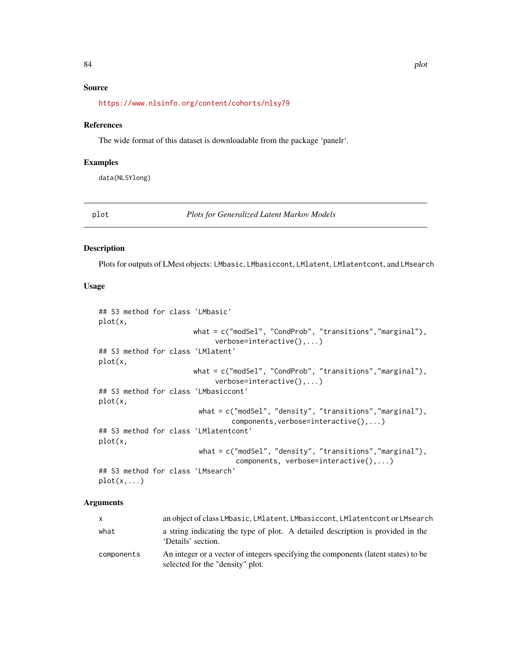# <span id="page-83-0"></span>Source

<https://www.nlsinfo.org/content/cohorts/nlsy79>

#### References

The wide format of this dataset is downloadable from the package 'panelr'.

#### Examples

data(NLSYlong)

plot *Plots for Generalized Latent Markov Models*

#### Description

Plots for outputs of LMest objects: LMbasic, LMbasiccont, LMlatent, LMlatentcont, and LMsearch

#### Usage

```
## S3 method for class 'LMbasic'
plot(x,
                       what = c("modSel", "CondProb", "transitions","marginal"),
                            verbose=interactive(),...)
## S3 method for class 'LMlatent'
plot(x,
                       what = c("modSel", "CondProb", "transitions","marginal"),
                            verbose=interactive(),...)
## S3 method for class 'LMbasiccont'
plot(x,
                        what = c("modSel", "density", "transitions","marginal"),
                                components, verbose=interactive(),...)
## S3 method for class 'LMlatentcont'
plot(x,
                        what = c("modSel", "density", "transitions","marginal"),
                                 components, verbose=interactive(),...)
## S3 method for class 'LMsearch'
plot(x,...)
```
#### Arguments

| $\mathsf{x}$ | an object of class LMbasic, LMlatent, LMbasiccont, LMlatentcont or LMsearch                                            |
|--------------|------------------------------------------------------------------------------------------------------------------------|
| what         | a string indicating the type of plot. A detailed description is provided in the<br>'Details' section.                  |
| components   | An integer or a vector of integers specifying the components (latent states) to be<br>selected for the "density" plot. |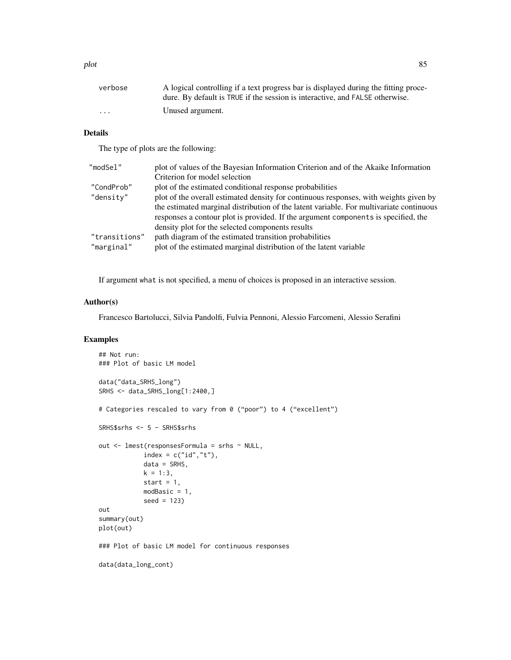| verbose                 | A logical controlling if a text progress bar is displayed during the fitting proce- |
|-------------------------|-------------------------------------------------------------------------------------|
|                         | dure. By default is TRUE if the session is interactive, and FALSE otherwise.        |
| $\cdot$ $\cdot$ $\cdot$ | Unused argument.                                                                    |

# Details

The type of plots are the following:

| "modSel"      | plot of values of the Bayesian Information Criterion and of the Akaike Information      |
|---------------|-----------------------------------------------------------------------------------------|
|               | Criterion for model selection                                                           |
| "CondProb"    | plot of the estimated conditional response probabilities                                |
| "density"     | plot of the overall estimated density for continuous responses, with weights given by   |
|               | the estimated marginal distribution of the latent variable. For multivariate continuous |
|               | responses a contour plot is provided. If the argument components is specified, the      |
|               | density plot for the selected components results                                        |
| "transitions" | path diagram of the estimated transition probabilities                                  |
| "marginal"    | plot of the estimated marginal distribution of the latent variable                      |
|               |                                                                                         |

If argument what is not specified, a menu of choices is proposed in an interactive session.

# Author(s)

Francesco Bartolucci, Silvia Pandolfi, Fulvia Pennoni, Alessio Farcomeni, Alessio Serafini

# Examples

```
## Not run:
### Plot of basic LM model
data("data_SRHS_long")
SRHS <- data_SRHS_long[1:2400,]
# Categories rescaled to vary from 0 ("poor") to 4 ("excellent")
SRHS$srhs <- 5 - SRHS$srhs
out <- lmest(responsesFormula = srhs ~ NULL,
            index = c("id", "t"),
            data = SRHS,
           k = 1:3,
            start = 1,
           modBasic = 1,
            seed = 123)
out
summary(out)
plot(out)
### Plot of basic LM model for continuous responses
data(data_long_cont)
```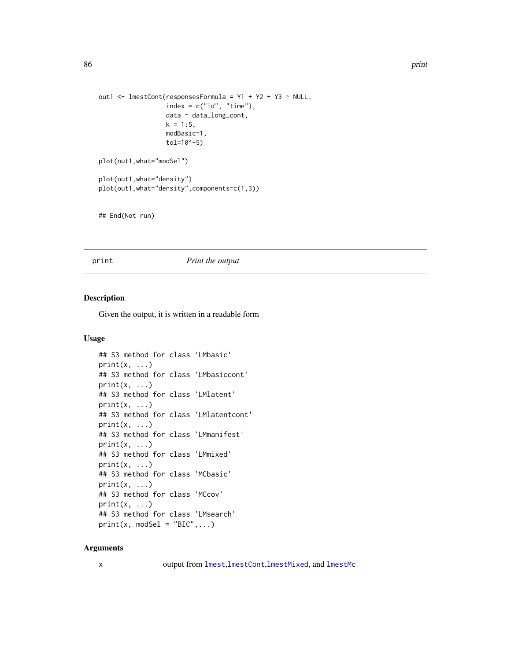```
out1 <- lmestCont(responsesFormula = Y1 + Y2 + Y3 ~ NULL,
                  index = c("id", "time"),data = data_long_cont,
                  k = 1:5,
                  modBasic=1,
                  tol=10^-5)
plot(out1,what="modSel")
plot(out1,what="density")
plot(out1,what="density",components=c(1,3))
```
## End(Not run)

#### print *Print the output*

# Description

Given the output, it is written in a readable form

# Usage

```
## S3 method for class 'LMbasic'
print(x, \ldots)## S3 method for class 'LMbasiccont'
print(x, \ldots)## S3 method for class 'LMlatent'
print(x, \ldots)## S3 method for class 'LMlatentcont'
print(x, \ldots)## S3 method for class 'LMmanifest'
print(x, \ldots)## S3 method for class 'LMmixed'
print(x, \ldots)## S3 method for class 'MCbasic'
print(x, \ldots)## S3 method for class 'MCcov'
print(x, \ldots)## S3 method for class 'LMsearch'
print(x, model = "BIC",...)
```
#### Arguments

x output from [lmest](#page-49-0),[lmestCont](#page-54-0),[lmestMixed](#page-68-0), and [lmestMc](#page-65-0)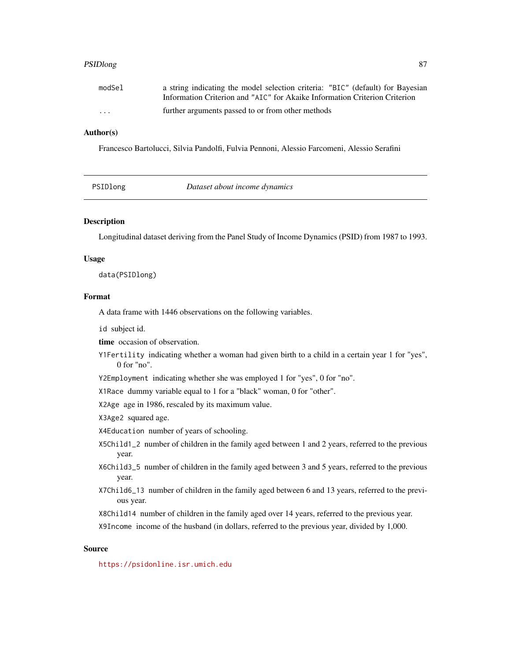#### <span id="page-86-0"></span>PSIDlong 87

| modSel   | a string indicating the model selection criteria: "BIC" (default) for Bayesian |
|----------|--------------------------------------------------------------------------------|
|          | Information Criterion and "AIC" for Akaike Information Criterion Criterion     |
| $\cdots$ | further arguments passed to or from other methods                              |

# Author(s)

Francesco Bartolucci, Silvia Pandolfi, Fulvia Pennoni, Alessio Farcomeni, Alessio Serafini

PSIDlong *Dataset about income dynamics*

# Description

Longitudinal dataset deriving from the Panel Study of Income Dynamics (PSID) from 1987 to 1993.

#### Usage

data(PSIDlong)

#### Format

A data frame with 1446 observations on the following variables.

id subject id.

time occasion of observation.

Y1Fertility indicating whether a woman had given birth to a child in a certain year 1 for "yes", 0 for "no".

Y2Employment indicating whether she was employed 1 for "yes", 0 for "no".

X1Race dummy variable equal to 1 for a "black" woman, 0 for "other".

X2Age age in 1986, rescaled by its maximum value.

X3Age2 squared age.

X4Education number of years of schooling.

X5Child1\_2 number of children in the family aged between 1 and 2 years, referred to the previous year.

- X6Child3\_5 number of children in the family aged between 3 and 5 years, referred to the previous year.
- X7Child6\_13 number of children in the family aged between 6 and 13 years, referred to the previous year.

X8Child14 number of children in the family aged over 14 years, referred to the previous year.

X9Income income of the husband (in dollars, referred to the previous year, divided by 1,000.

#### Source

<https://psidonline.isr.umich.edu>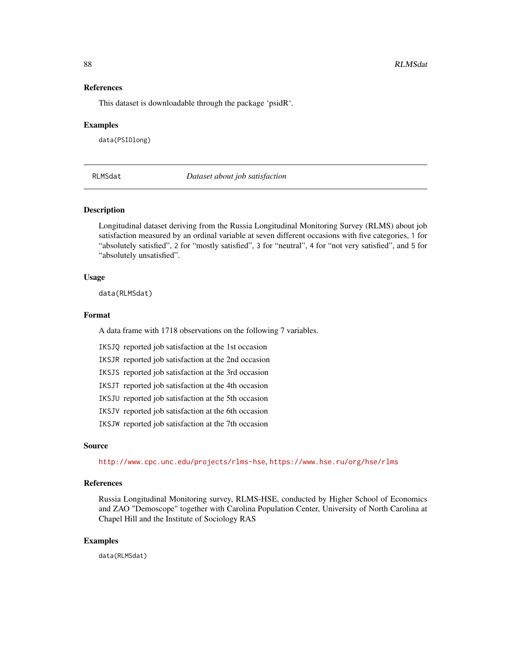#### <span id="page-87-1"></span>References

This dataset is downloadable through the package 'psidR'.

#### Examples

data(PSIDlong)

<span id="page-87-0"></span>

RLMSdat *Dataset about job satisfaction*

#### Description

Longitudinal dataset deriving from the Russia Longitudinal Monitoring Survey (RLMS) about job satisfaction measured by an ordinal variable at seven different occasions with five categories, 1 for "absolutely satisfied", 2 for "mostly satisfied", 3 for "neutral", 4 for "not very satisfied", and 5 for "absolutely unsatisfied".

#### Usage

data(RLMSdat)

#### Format

A data frame with 1718 observations on the following 7 variables.

IKSJQ reported job satisfaction at the 1st occasion

IKSJR reported job satisfaction at the 2nd occasion

IKSJS reported job satisfaction at the 3rd occasion

IKSJT reported job satisfaction at the 4th occasion

IKSJU reported job satisfaction at the 5th occasion

IKSJV reported job satisfaction at the 6th occasion

IKSJW reported job satisfaction at the 7th occasion

#### Source

<http://www.cpc.unc.edu/projects/rlms-hse>, <https://www.hse.ru/org/hse/rlms>

#### References

Russia Longitudinal Monitoring survey, RLMS-HSE, conducted by Higher School of Economics and ZAO "Demoscope" together with Carolina Population Center, University of North Carolina at Chapel Hill and the Institute of Sociology RAS

#### Examples

data(RLMSdat)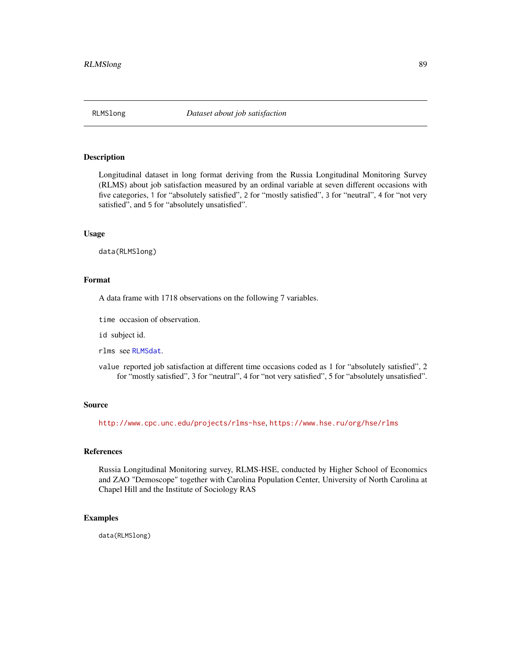<span id="page-88-0"></span>

#### Description

Longitudinal dataset in long format deriving from the Russia Longitudinal Monitoring Survey (RLMS) about job satisfaction measured by an ordinal variable at seven different occasions with five categories, 1 for "absolutely satisfied", 2 for "mostly satisfied", 3 for "neutral", 4 for "not very satisfied", and 5 for "absolutely unsatisfied".

# Usage

data(RLMSlong)

# Format

A data frame with 1718 observations on the following 7 variables.

time occasion of observation.

id subject id.

rlms see [RLMSdat](#page-87-0).

value reported job satisfaction at different time occasions coded as 1 for "absolutely satisfied", 2 for "mostly satisfied", 3 for "neutral", 4 for "not very satisfied", 5 for "absolutely unsatisfied".

#### Source

<http://www.cpc.unc.edu/projects/rlms-hse>, <https://www.hse.ru/org/hse/rlms>

#### References

Russia Longitudinal Monitoring survey, RLMS-HSE, conducted by Higher School of Economics and ZAO "Demoscope" together with Carolina Population Center, University of North Carolina at Chapel Hill and the Institute of Sociology RAS

#### Examples

data(RLMSlong)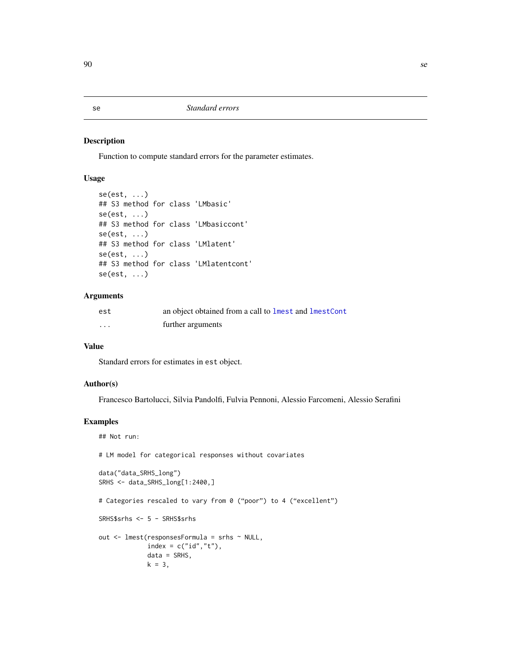#### <span id="page-89-0"></span>Description

Function to compute standard errors for the parameter estimates.

# Usage

```
se(est, ...)
## S3 method for class 'LMbasic'
se(est, \ldots)## S3 method for class 'LMbasiccont'
se(est, \ldots)## S3 method for class 'LMlatent'
se(est, \ldots)## S3 method for class 'LMlatentcont'
se(est, \ldots)
```
#### Arguments

| est      | an object obtained from a call to lmest and lmestCont |
|----------|-------------------------------------------------------|
| $\cdots$ | further arguments                                     |

# Value

Standard errors for estimates in est object.

# Author(s)

Francesco Bartolucci, Silvia Pandolfi, Fulvia Pennoni, Alessio Farcomeni, Alessio Serafini

# Examples

```
## Not run:
# LM model for categorical responses without covariates
data("data_SRHS_long")
SRHS <- data_SRHS_long[1:2400,]
# Categories rescaled to vary from 0 ("poor") to 4 ("excellent")
SRHS$srhs <- 5 - SRHS$srhs
out <- lmest(responsesFormula = srhs ~ NULL,
            index = c("id", "t"),data = SRHS,
            k = 3,
```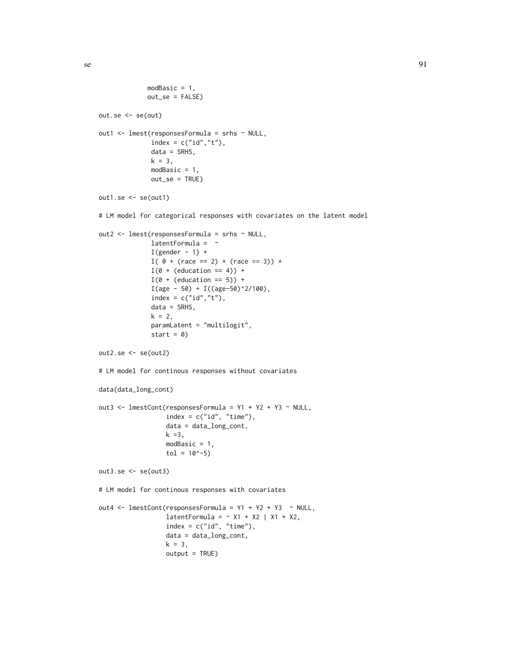```
modBasic = 1,
             out_se = FALSE)
out.se <- se(out)
out1 <- lmest(responsesFormula = srhs ~ NULL,
              index = c("id", "t"),data = SRHS,
              k = 3,
              modBasic = 1,
              out_se = TRUE)
out1.se <- se(out1)
# LM model for categorical responses with covariates on the latent model
out2 <- lmest(responsesFormula = srhs ~ NULL,
              latentFormula = ~I(gender - 1) +I( 0 + (race == 2) + (race == 3)) +I(\emptyset + (education == 4)) +I(\emptyset + (education == 5)) +I(age - 50) + I((age - 50)^2/100),index = c("id", "t"),
              data = SRHS,
              k = 2,paramLatent = "multilogit",
              start = 0)
out2.se <- se(out2)
# LM model for continous responses without covariates
data(data_long_cont)
out3 <- lmestCont(responsesFormula = Y1 + Y2 + Y3 ~ NULL,
                  index = c("id", "time"),data = data_long_cont,
                  k = 3,
                  modBasic = 1,
                  tol = 10^{\circ} - 5)out3.se <- se(out3)
# LM model for continous responses with covariates
out4 <- lmestCont(responsesFormula = Y1 + Y2 + Y3 ~ NULL,
                  latentFormula = \sim X1 + X2 | X1 + X2,
                  index = c("id", "time"),data = data_long_cont,
                  k = 3,output = TRUE)
```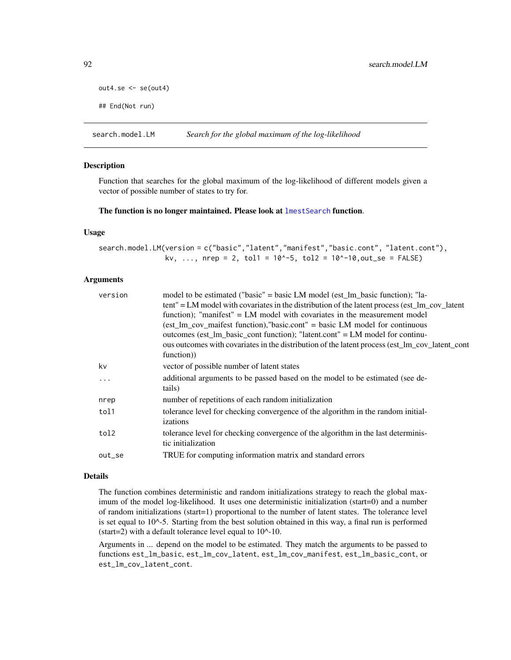```
out4.se <- se(out4)
```

```
## End(Not run)
```
search.model.LM *Search for the global maximum of the log-likelihood*

# Description

Function that searches for the global maximum of the log-likelihood of different models given a vector of possible number of states to try for.

#### The function is no longer maintained. Please look at lmest Search function.

#### Usage

```
search.model.LM(version = c("basic","latent","manifest","basic.cont", "latent.cont"),
                 kv, ..., nrep = 2, tol1 = 10^{\circ}-5, tol2 = 10^{\circ}-10, out\_se = FALSE)
```
#### Arguments

| version  | model to be estimated ("basic" = basic LM model (est 1m basic function); "la-                                                                                                |
|----------|------------------------------------------------------------------------------------------------------------------------------------------------------------------------------|
|          | tent" = LM model with covariates in the distribution of the latent process (est_lm_cov_latent<br>function); "manifest" = $LM$ model with covariates in the measurement model |
|          | $\text{test\_lm\_cov\_maifest function}$ , "basic.cont" = basic LM model for continuous                                                                                      |
|          | outcomes (est_lm_basic_cont function); "latent.cont" = LM model for continu-                                                                                                 |
|          | ous outcomes with covariates in the distribution of the latent process (est_lm_cov_latent_cont                                                                               |
|          | function)                                                                                                                                                                    |
| kv       | vector of possible number of latent states                                                                                                                                   |
| $\ddots$ | additional arguments to be passed based on the model to be estimated (see de-                                                                                                |
|          | tails)                                                                                                                                                                       |
| nrep     | number of repetitions of each random initialization                                                                                                                          |
| tol1     | tolerance level for checking convergence of the algorithm in the random initial-                                                                                             |
|          | izations                                                                                                                                                                     |
| tol2     | tolerance level for checking convergence of the algorithm in the last determinis-                                                                                            |
|          | tic initialization                                                                                                                                                           |
| out_se   | TRUE for computing information matrix and standard errors                                                                                                                    |
|          |                                                                                                                                                                              |

#### Details

The function combines deterministic and random initializations strategy to reach the global maximum of the model log-likelihood. It uses one deterministic initialization (start=0) and a number of random initializations (start=1) proportional to the number of latent states. The tolerance level is set equal to  $10^{\lambda}$ -5. Starting from the best solution obtained in this way, a final run is performed (start=2) with a default tolerance level equal to  $10^{\text{A}}-10$ .

Arguments in ... depend on the model to be estimated. They match the arguments to be passed to functions est\_lm\_basic, est\_lm\_cov\_latent, est\_lm\_cov\_manifest, est\_lm\_basic\_cont, or est\_lm\_cov\_latent\_cont.

<span id="page-91-0"></span>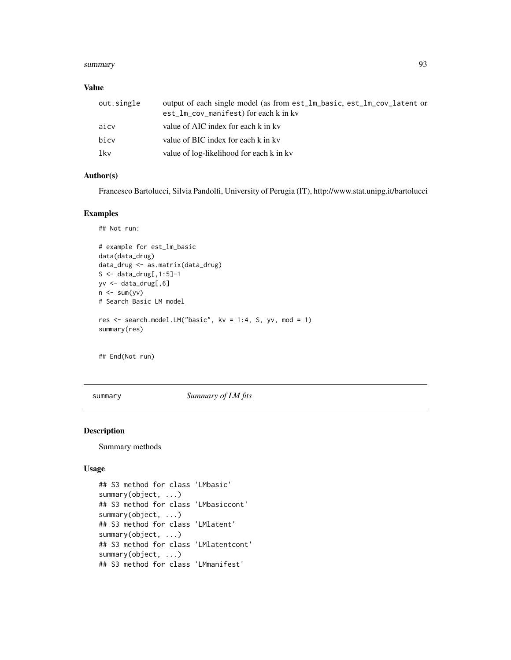#### <span id="page-92-0"></span>summary 2008 and 2008 and 2008 and 2008 and 2008 and 2008 and 2008 and 2008 and 2008 and 2008 and 2008 and 200

#### Value

| out.single | output of each single model (as from est_lm_basic, est_lm_cov_latent or<br>est_lm_cov_manifest) for each k in kv |
|------------|------------------------------------------------------------------------------------------------------------------|
| aicv       | value of AIC index for each k in ky                                                                              |
| bicv       | value of BIC index for each k in kv                                                                              |
| lkv        | value of log-likelihood for each k in kv                                                                         |

#### Author(s)

Francesco Bartolucci, Silvia Pandolfi, University of Perugia (IT), http://www.stat.unipg.it/bartolucci

#### Examples

```
## Not run:
```

```
# example for est_lm_basic
data(data_drug)
data_drug <- as.matrix(data_drug)
S <- data_drug[,1:5]-1
yv <- data_drug[,6]
n \leq -\text{sum}(yv)# Search Basic LM model
res <- search.model.LM("basic", kv = 1:4, S, yv, mod = 1)
summary(res)
```
## End(Not run)

summary *Summary of LM fits*

# Description

Summary methods

### Usage

```
## S3 method for class 'LMbasic'
summary(object, ...)
## S3 method for class 'LMbasiccont'
summary(object, ...)
## S3 method for class 'LMlatent'
summary(object, ...)
## S3 method for class 'LMlatentcont'
summary(object, ...)
## S3 method for class 'LMmanifest'
```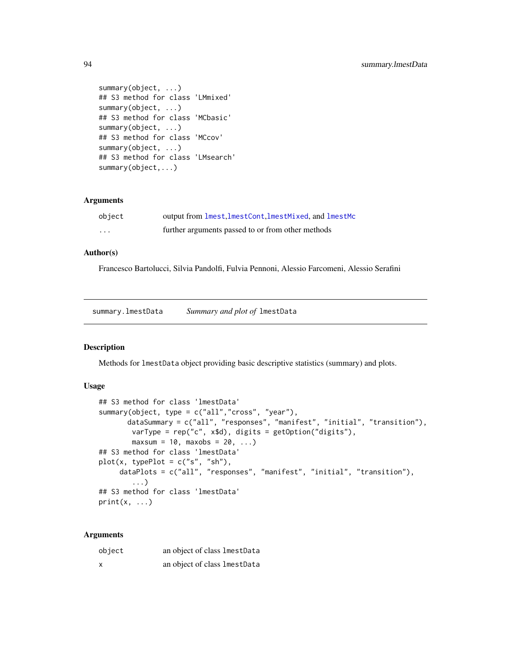```
summary(object, ...)
## S3 method for class 'LMmixed'
summary(object, ...)
## S3 method for class 'MCbasic'
summary(object, ...)
## S3 method for class 'MCcov'
summary(object, ...)
## S3 method for class 'LMsearch'
summary(object,...)
```
# Arguments

| object   | output from lmest. ImestCont. ImestMixed, and ImestMc |
|----------|-------------------------------------------------------|
| $\cdots$ | further arguments passed to or from other methods     |

#### Author(s)

Francesco Bartolucci, Silvia Pandolfi, Fulvia Pennoni, Alessio Farcomeni, Alessio Serafini

summary.lmestData *Summary and plot of* lmestData

#### Description

Methods for lmestData object providing basic descriptive statistics (summary) and plots.

# Usage

```
## S3 method for class 'lmestData'
summary(object, type = c("all","cross", "year"),
      dataSummary = c("all", "responses", "manifest", "initial", "transition"),
        varType = rep("c", x$d), digits = getOption("digits"),
        maxsum = 10, maxobs = 20, ...)
## S3 method for class 'lmestData'
plot(x, typePlot = c("s", "sh"),dataPlots = c("all", "responses", "manifest", "initial", "transition"),
        ...)
## S3 method for class 'lmestData'
print(x, \ldots)
```
#### Arguments

| object | an object of class lmestData |  |
|--------|------------------------------|--|
| x      | an object of class lmestData |  |

<span id="page-93-0"></span>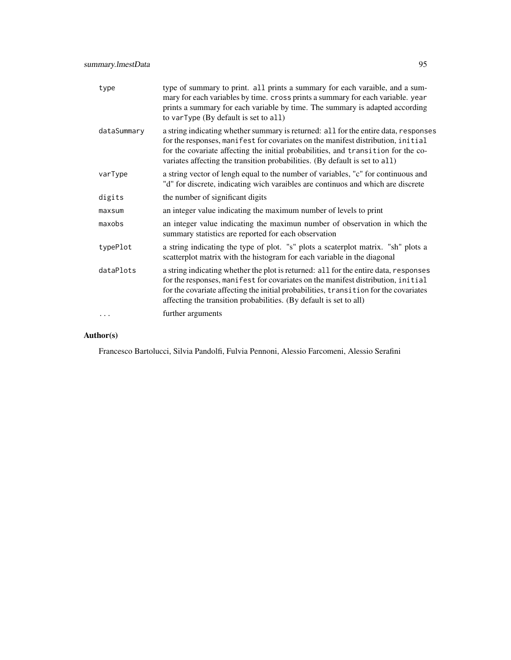| type        | type of summary to print. all prints a summary for each varaible, and a sum-<br>mary for each variables by time. cross prints a summary for each variable. year<br>prints a summary for each variable by time. The summary is adapted according<br>to varType (By default is set to all)                                                    |
|-------------|---------------------------------------------------------------------------------------------------------------------------------------------------------------------------------------------------------------------------------------------------------------------------------------------------------------------------------------------|
| dataSummary | a string indicating whether summary is returned: all for the entire data, responses<br>for the responses, manifest for covariates on the manifest distribution, initial<br>for the covariate affecting the initial probabilities, and transition for the co-<br>variates affecting the transition probabilities. (By default is set to all) |
| varType     | a string vector of lengh equal to the number of variables, "c" for continuous and<br>"d" for discrete, indicating wich varaibles are continuos and which are discrete                                                                                                                                                                       |
| digits      | the number of significant digits                                                                                                                                                                                                                                                                                                            |
| maxsum      | an integer value indicating the maximum number of levels to print                                                                                                                                                                                                                                                                           |
| maxobs      | an integer value indicating the maximun number of observation in which the<br>summary statistics are reported for each observation                                                                                                                                                                                                          |
| typePlot    | a string indicating the type of plot. "s" plots a scaterplot matrix. "sh" plots a<br>scatterplot matrix with the histogram for each variable in the diagonal                                                                                                                                                                                |
| dataPlots   | a string indicating whether the plot is returned: all for the entire data, responses<br>for the responses, manifest for covariates on the manifest distribution, initial<br>for the covariate affecting the initial probabilities, transition for the covariates<br>affecting the transition probabilities. (By default is set to all)      |
|             | further arguments                                                                                                                                                                                                                                                                                                                           |

# Author(s)

Francesco Bartolucci, Silvia Pandolfi, Fulvia Pennoni, Alessio Farcomeni, Alessio Serafini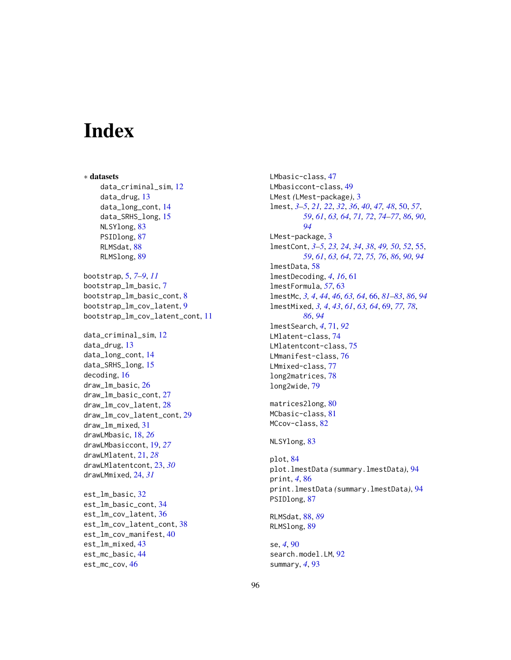# **Index**

∗ datasets data\_criminal\_sim, [12](#page-11-0) data\_drug, [13](#page-12-0) data\_long\_cont, [14](#page-13-0) data\_SRHS\_long, [15](#page-14-0) NLSYlong, [83](#page-82-0) PSIDlong, [87](#page-86-0) RLMSdat, [88](#page-87-1) RLMSlong, [89](#page-88-0) bootstrap, [5,](#page-4-0) *[7](#page-6-0)[–9](#page-8-0)*, *[11](#page-10-0)* bootstrap\_lm\_basic, [7](#page-6-0) bootstrap\_lm\_basic\_cont, [8](#page-7-0) bootstrap\_lm\_cov\_latent, [9](#page-8-0) bootstrap\_lm\_cov\_latent\_cont, [11](#page-10-0) data\_criminal\_sim, [12](#page-11-0) data\_drug, [13](#page-12-0) data\_long\_cont, [14](#page-13-0) data\_SRHS\_long, [15](#page-14-0) decoding, [16](#page-15-0) draw\_lm\_basic, [26](#page-25-0) draw\_lm\_basic\_cont, [27](#page-26-0) draw\_lm\_cov\_latent, [28](#page-27-0) draw\_lm\_cov\_latent\_cont, [29](#page-28-0) draw\_lm\_mixed, [31](#page-30-0) drawLMbasic, [18,](#page-17-0) *[26](#page-25-0)* drawLMbasiccont, [19,](#page-18-0) *[27](#page-26-0)* drawLMlatent, [21,](#page-20-0) *[28](#page-27-0)* drawLMlatentcont, [23,](#page-22-0) *[30](#page-29-0)* drawLMmixed, [24,](#page-23-0) *[31](#page-30-0)* est\_lm\_basic, [32](#page-31-0) est\_lm\_basic\_cont, [34](#page-33-0) est\_lm\_cov\_latent, [36](#page-35-0)

est\_lm\_cov\_latent\_cont, [38](#page-37-0) est\_lm\_cov\_manifest, [40](#page-39-0)

est\_lm\_mixed, [43](#page-42-0) est\_mc\_basic, [44](#page-43-0) est\_mc\_cov, [46](#page-45-0)

LMbasiccont-class, [49](#page-48-0) LMest *(*LMest-package*)*, [3](#page-2-0) lmest, *[3–](#page-2-0)[5](#page-4-0)*, *[21,](#page-20-0) [22](#page-21-0)*, *[32](#page-31-0)*, *[36](#page-35-0)*, *[40](#page-39-0)*, *[47,](#page-46-0) [48](#page-47-0)*, [50,](#page-49-1) *[57](#page-56-0)*, *[59](#page-58-0)*, *[61](#page-60-0)*, *[63,](#page-62-0) [64](#page-63-0)*, *[71,](#page-70-1) [72](#page-71-0)*, *[74](#page-73-0)[–77](#page-76-0)*, *[86](#page-85-0)*, *[90](#page-89-0)*, *[94](#page-93-0)* LMest-package, [3](#page-2-0) lmestCont, *[3](#page-2-0)[–5](#page-4-0)*, *[23,](#page-22-0) [24](#page-23-0)*, *[34](#page-33-0)*, *[38](#page-37-0)*, *[49,](#page-48-0) [50](#page-49-1)*, *[52](#page-51-0)*, [55,](#page-54-1) *[59](#page-58-0)*, *[61](#page-60-0)*, *[63,](#page-62-0) [64](#page-63-0)*, *[72](#page-71-0)*, *[75,](#page-74-0) [76](#page-75-0)*, *[86](#page-85-0)*, *[90](#page-89-0)*, *[94](#page-93-0)* lmestData, [58](#page-57-0) lmestDecoding, *[4](#page-3-0)*, *[16](#page-15-0)*, [61](#page-60-0) lmestFormula, *[57](#page-56-0)*, [63](#page-62-0) lmestMc, *[3,](#page-2-0) [4](#page-3-0)*, *[44](#page-43-0)*, *[46](#page-45-0)*, *[63,](#page-62-0) [64](#page-63-0)*, [66,](#page-65-1) *[81](#page-80-0)[–83](#page-82-0)*, *[86](#page-85-0)*, *[94](#page-93-0)* lmestMixed, *[3,](#page-2-0) [4](#page-3-0)*, *[43](#page-42-0)*, *[61](#page-60-0)*, *[63,](#page-62-0) [64](#page-63-0)*, [69,](#page-68-1) *[77,](#page-76-0) [78](#page-77-0)*, *[86](#page-85-0)*, *[94](#page-93-0)* lmestSearch, *[4](#page-3-0)*, [71,](#page-70-1) *[92](#page-91-0)* LMlatent-class, [74](#page-73-0) LMlatentcont-class, [75](#page-74-0) LMmanifest-class, [76](#page-75-0) LMmixed-class, [77](#page-76-0) long2matrices, [78](#page-77-0) long2wide, [79](#page-78-0) matrices2long, [80](#page-79-0) MCbasic-class, [81](#page-80-0) MCcov-class, [82](#page-81-0) NLSYlong, [83](#page-82-0) plot, [84](#page-83-0) plot.lmestData *(*summary.lmestData*)*, [94](#page-93-0) print, *[4](#page-3-0)*, [86](#page-85-0) print.lmestData *(*summary.lmestData*)*, [94](#page-93-0) PSIDlong, [87](#page-86-0) RLMSdat, [88,](#page-87-1) *[89](#page-88-0)* RLMSlong, [89](#page-88-0) se, *[4](#page-3-0)*, [90](#page-89-0) search.model.LM, [92](#page-91-0) summary, *[4](#page-3-0)*, [93](#page-92-0)

LMbasic-class, [47](#page-46-0)